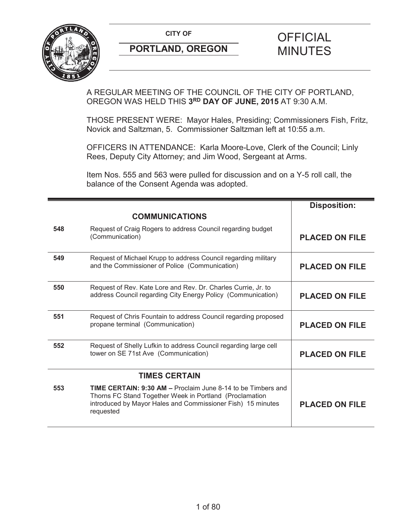

A REGULAR MEETING OF THE COUNCIL OF THE CITY OF PORTLAND, OREGON WAS HELD THIS **3RD DAY OF JUNE, 2015** AT 9:30 A.M.

THOSE PRESENT WERE: Mayor Hales, Presiding; Commissioners Fish, Fritz, Novick and Saltzman, 5. Commissioner Saltzman left at 10:55 a.m.

OFFICERS IN ATTENDANCE: Karla Moore-Love, Clerk of the Council; Linly Rees, Deputy City Attorney; and Jim Wood, Sergeant at Arms.

Item Nos. 555 and 563 were pulled for discussion and on a Y-5 roll call, the balance of the Consent Agenda was adopted.

|     |                                                                                                                                                                                                            | <b>Disposition:</b>   |
|-----|------------------------------------------------------------------------------------------------------------------------------------------------------------------------------------------------------------|-----------------------|
|     | <b>COMMUNICATIONS</b>                                                                                                                                                                                      |                       |
| 548 | Request of Craig Rogers to address Council regarding budget<br>(Communication)                                                                                                                             | <b>PLACED ON FILE</b> |
| 549 | Request of Michael Krupp to address Council regarding military<br>and the Commissioner of Police (Communication)                                                                                           | <b>PLACED ON FILE</b> |
| 550 | Request of Rev. Kate Lore and Rev. Dr. Charles Currie, Jr. to<br>address Council regarding City Energy Policy (Communication)                                                                              | <b>PLACED ON FILE</b> |
| 551 | Request of Chris Fountain to address Council regarding proposed<br>propane terminal (Communication)                                                                                                        | <b>PLACED ON FILE</b> |
| 552 | Request of Shelly Lufkin to address Council regarding large cell<br>tower on SE 71st Ave (Communication)                                                                                                   | <b>PLACED ON FILE</b> |
|     | <b>TIMES CERTAIN</b>                                                                                                                                                                                       |                       |
| 553 | <b>TIME CERTAIN: 9:30 AM – Proclaim June 8-14 to be Timbers and</b><br>Thorns FC Stand Together Week in Portland (Proclamation<br>introduced by Mayor Hales and Commissioner Fish) 15 minutes<br>requested | <b>PLACED ON FILE</b> |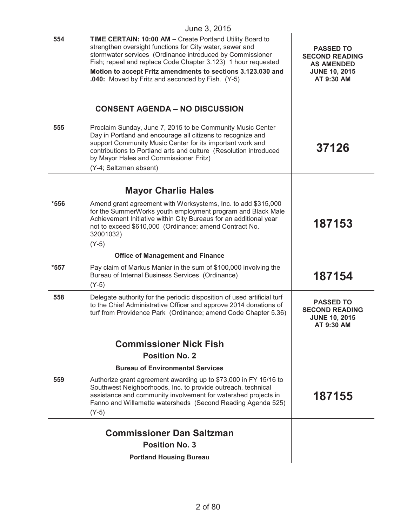|        | June 3, 2015                                                                                                                                                                                                                                                                                                                                                           |                                                                                                      |
|--------|------------------------------------------------------------------------------------------------------------------------------------------------------------------------------------------------------------------------------------------------------------------------------------------------------------------------------------------------------------------------|------------------------------------------------------------------------------------------------------|
| 554    | TIME CERTAIN: 10:00 AM - Create Portland Utility Board to<br>strengthen oversight functions for City water, sewer and<br>stormwater services (Ordinance introduced by Commissioner<br>Fish; repeal and replace Code Chapter 3.123) 1 hour requested<br>Motion to accept Fritz amendments to sections 3.123.030 and<br>.040: Moved by Fritz and seconded by Fish. (Y-5) | <b>PASSED TO</b><br><b>SECOND READING</b><br><b>AS AMENDED</b><br><b>JUNE 10, 2015</b><br>AT 9:30 AM |
|        | <b>CONSENT AGENDA - NO DISCUSSION</b>                                                                                                                                                                                                                                                                                                                                  |                                                                                                      |
| 555    | Proclaim Sunday, June 7, 2015 to be Community Music Center<br>Day in Portland and encourage all citizens to recognize and<br>support Community Music Center for its important work and<br>contributions to Portland arts and culture (Resolution introduced<br>by Mayor Hales and Commissioner Fritz)<br>(Y-4; Saltzman absent)                                        | 37126                                                                                                |
|        | <b>Mayor Charlie Hales</b>                                                                                                                                                                                                                                                                                                                                             |                                                                                                      |
| *556   | Amend grant agreement with Worksystems, Inc. to add \$315,000<br>for the SummerWorks youth employment program and Black Male<br>Achievement Initiative within City Bureaus for an additional year<br>not to exceed \$610,000 (Ordinance; amend Contract No.<br>32001032)<br>$(Y-5)$                                                                                    | 187153                                                                                               |
|        | <b>Office of Management and Finance</b>                                                                                                                                                                                                                                                                                                                                |                                                                                                      |
| $*557$ | Pay claim of Markus Maniar in the sum of \$100,000 involving the<br>Bureau of Internal Business Services (Ordinance)<br>$(Y-5)$                                                                                                                                                                                                                                        | 187154                                                                                               |
| 558    | Delegate authority for the periodic disposition of used artificial turf<br>to the Chief Administrative Officer and approve 2014 donations of<br>turf from Providence Park (Ordinance; amend Code Chapter 5.36)                                                                                                                                                         | <b>PASSED TO</b><br><b>SECOND READING</b><br><b>JUNE 10, 2015</b><br>AT 9:30 AM                      |
|        | <b>Commissioner Nick Fish</b>                                                                                                                                                                                                                                                                                                                                          |                                                                                                      |
|        | <b>Position No. 2</b>                                                                                                                                                                                                                                                                                                                                                  |                                                                                                      |
|        | <b>Bureau of Environmental Services</b>                                                                                                                                                                                                                                                                                                                                |                                                                                                      |
| 559    | Authorize grant agreement awarding up to \$73,000 in FY 15/16 to<br>Southwest Neighborhoods, Inc. to provide outreach, technical<br>assistance and community involvement for watershed projects in<br>Fanno and Willamette watersheds (Second Reading Agenda 525)<br>$(Y-5)$                                                                                           | 187155                                                                                               |
|        | <b>Commissioner Dan Saltzman</b>                                                                                                                                                                                                                                                                                                                                       |                                                                                                      |
|        | <b>Position No. 3</b>                                                                                                                                                                                                                                                                                                                                                  |                                                                                                      |
|        | <b>Portland Housing Bureau</b>                                                                                                                                                                                                                                                                                                                                         |                                                                                                      |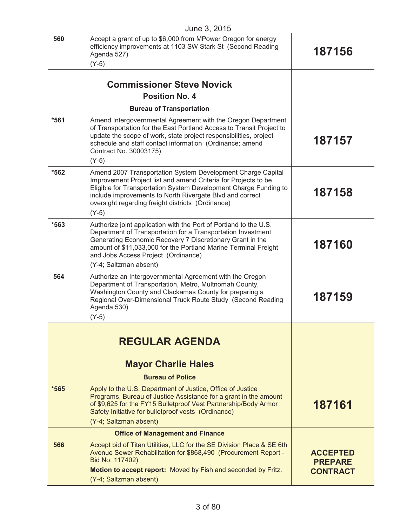|        | June 3, 2015                                                                                                                                                                                                                                                                                                                       |                                                      |
|--------|------------------------------------------------------------------------------------------------------------------------------------------------------------------------------------------------------------------------------------------------------------------------------------------------------------------------------------|------------------------------------------------------|
| 560    | Accept a grant of up to \$6,000 from MPower Oregon for energy<br>efficiency improvements at 1103 SW Stark St (Second Reading<br>Agenda 527)<br>$(Y-5)$                                                                                                                                                                             | 187156                                               |
|        |                                                                                                                                                                                                                                                                                                                                    |                                                      |
|        | <b>Commissioner Steve Novick</b>                                                                                                                                                                                                                                                                                                   |                                                      |
|        | <b>Position No. 4</b>                                                                                                                                                                                                                                                                                                              |                                                      |
|        | <b>Bureau of Transportation</b>                                                                                                                                                                                                                                                                                                    |                                                      |
| $*561$ | Amend Intergovernmental Agreement with the Oregon Department<br>of Transportation for the East Portland Access to Transit Project to<br>update the scope of work, state project responsibilities, project<br>schedule and staff contact information (Ordinance; amend<br>Contract No. 30003175)                                    | 187157                                               |
|        | $(Y-5)$                                                                                                                                                                                                                                                                                                                            |                                                      |
| *562   | Amend 2007 Transportation System Development Charge Capital<br>Improvement Project list and amend Criteria for Projects to be<br>Eligible for Transportation System Development Charge Funding to<br>include improvements to North Rivergate Blvd and correct<br>oversight regarding freight districts (Ordinance)<br>$(Y-5)$      | 187158                                               |
| *563   | Authorize joint application with the Port of Portland to the U.S.<br>Department of Transportation for a Transportation Investment<br>Generating Economic Recovery 7 Discretionary Grant in the<br>amount of \$11,033,000 for the Portland Marine Terminal Freight<br>and Jobs Access Project (Ordinance)<br>(Y-4; Saltzman absent) | 187160                                               |
| 564    | Authorize an Intergovernmental Agreement with the Oregon<br>Department of Transportation, Metro, Multnomah County,<br>Washington County and Clackamas County for preparing a<br>Regional Over-Dimensional Truck Route Study (Second Reading<br>Agenda 530)<br>$(Y-5)$                                                              | 187159                                               |
|        |                                                                                                                                                                                                                                                                                                                                    |                                                      |
|        | <b>REGULAR AGENDA</b>                                                                                                                                                                                                                                                                                                              |                                                      |
|        | <b>Mayor Charlie Hales</b>                                                                                                                                                                                                                                                                                                         |                                                      |
|        | <b>Bureau of Police</b>                                                                                                                                                                                                                                                                                                            |                                                      |
| $*565$ | Apply to the U.S. Department of Justice, Office of Justice<br>Programs, Bureau of Justice Assistance for a grant in the amount<br>of \$9,625 for the FY15 Bulletproof Vest Partnership/Body Armor<br>Safety Initiative for bulletproof vests (Ordinance)<br>(Y-4; Saltzman absent)                                                 | 187161                                               |
|        | <b>Office of Management and Finance</b>                                                                                                                                                                                                                                                                                            |                                                      |
| 566    | Accept bid of Titan Utilities, LLC for the SE Division Place & SE 6th<br>Avenue Sewer Rehabilitation for \$868,490 (Procurement Report -<br>Bid No. 117402)<br>Motion to accept report: Moved by Fish and seconded by Fritz.                                                                                                       | <b>ACCEPTED</b><br><b>PREPARE</b><br><b>CONTRACT</b> |
|        | (Y-4; Saltzman absent)                                                                                                                                                                                                                                                                                                             |                                                      |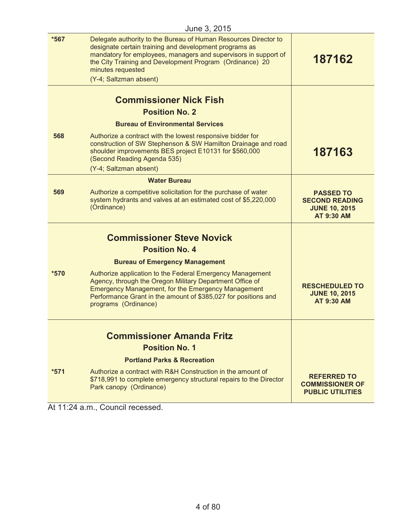|        | $0$ ulic $0, 2010$                                                                                                                                                                                                                                                                                      |                                                                                 |
|--------|---------------------------------------------------------------------------------------------------------------------------------------------------------------------------------------------------------------------------------------------------------------------------------------------------------|---------------------------------------------------------------------------------|
| *567   | Delegate authority to the Bureau of Human Resources Director to<br>designate certain training and development programs as<br>mandatory for employees, managers and supervisors in support of<br>the City Training and Development Program (Ordinance) 20<br>minutes requested<br>(Y-4; Saltzman absent) | 187162                                                                          |
|        | <b>Commissioner Nick Fish</b>                                                                                                                                                                                                                                                                           |                                                                                 |
|        | <b>Position No. 2</b>                                                                                                                                                                                                                                                                                   |                                                                                 |
|        | <b>Bureau of Environmental Services</b>                                                                                                                                                                                                                                                                 |                                                                                 |
| 568    | Authorize a contract with the lowest responsive bidder for<br>construction of SW Stephenson & SW Hamilton Drainage and road<br>shoulder improvements BES project E10131 for \$560,000<br>(Second Reading Agenda 535)<br>(Y-4; Saltzman absent)                                                          | 187163                                                                          |
|        | <b>Water Bureau</b>                                                                                                                                                                                                                                                                                     |                                                                                 |
| 569    | Authorize a competitive solicitation for the purchase of water<br>system hydrants and valves at an estimated cost of \$5,220,000<br>(Ordinance)                                                                                                                                                         | <b>PASSED TO</b><br><b>SECOND READING</b><br><b>JUNE 10, 2015</b><br>AT 9:30 AM |
|        | <b>Commissioner Steve Novick</b>                                                                                                                                                                                                                                                                        |                                                                                 |
|        | <b>Position No. 4</b>                                                                                                                                                                                                                                                                                   |                                                                                 |
|        | <b>Bureau of Emergency Management</b>                                                                                                                                                                                                                                                                   |                                                                                 |
| *570   | Authorize application to the Federal Emergency Management<br>Agency, through the Oregon Military Department Office of<br><b>Emergency Management, for the Emergency Management</b><br>Performance Grant in the amount of \$385,027 for positions and<br>programs (Ordinance)                            | <b>RESCHEDULED TO</b><br><b>JUNE 10, 2015</b><br><b>AT 9:30 AM</b>              |
|        | <b>Commissioner Amanda Fritz</b>                                                                                                                                                                                                                                                                        |                                                                                 |
|        | <b>Position No. 1</b>                                                                                                                                                                                                                                                                                   |                                                                                 |
|        | <b>Portland Parks &amp; Recreation</b>                                                                                                                                                                                                                                                                  |                                                                                 |
| $*571$ | Authorize a contract with R&H Construction in the amount of<br>\$718,991 to complete emergency structural repairs to the Director<br>Park canopy (Ordinance)                                                                                                                                            | <b>REFERRED TO</b><br><b>COMMISSIONER OF</b><br><b>PUBLIC UTILITIES</b>         |

At 11:24 a.m., Council recessed.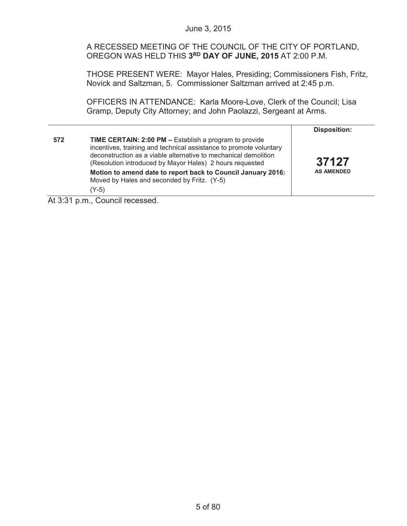A RECESSED MEETING OF THE COUNCIL OF THE CITY OF PORTLAND, OREGON WAS HELD THIS **3RD DAY OF JUNE, 2015** AT 2:00 P.M.

THOSE PRESENT WERE: Mayor Hales, Presiding; Commissioners Fish, Fritz, Novick and Saltzman, 5. Commissioner Saltzman arrived at 2:45 p.m.

OFFICERS IN ATTENDANCE: Karla Moore-Love, Clerk of the Council; Lisa Gramp, Deputy City Attorney; and John Paolazzi, Sergeant at Arms.

|     |                                                                                                                                                                                                                                                             | <b>Disposition:</b> |
|-----|-------------------------------------------------------------------------------------------------------------------------------------------------------------------------------------------------------------------------------------------------------------|---------------------|
| 572 | TIME CERTAIN: 2:00 PM - Establish a program to provide<br>incentives, training and technical assistance to promote voluntary<br>deconstruction as a viable alternative to mechanical demolition<br>(Resolution introduced by Mayor Hales) 2 hours requested | 37127               |
|     | Motion to amend date to report back to Council January 2016:<br>Moved by Hales and seconded by Fritz. (Y-5)<br>(Y-5)                                                                                                                                        | <b>AS AMENDED</b>   |
|     |                                                                                                                                                                                                                                                             |                     |

At 3:31 p.m., Council recessed.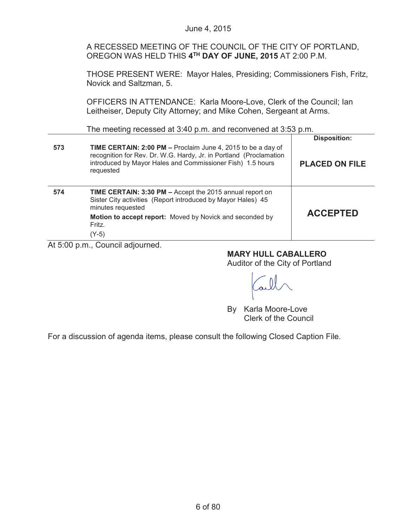|     | June 4, 2015                                                                                                                                                                                                  |                       |
|-----|---------------------------------------------------------------------------------------------------------------------------------------------------------------------------------------------------------------|-----------------------|
|     | A RECESSED MEETING OF THE COUNCIL OF THE CITY OF PORTLAND,<br>OREGON WAS HELD THIS 4TH DAY OF JUNE, 2015 AT 2:00 P.M.                                                                                         |                       |
|     | THOSE PRESENT WERE: Mayor Hales, Presiding; Commissioners Fish, Fritz,<br>Novick and Saltzman, 5.                                                                                                             |                       |
|     | OFFICERS IN ATTENDANCE: Karla Moore-Love, Clerk of the Council; Ian<br>Leitheiser, Deputy City Attorney; and Mike Cohen, Sergeant at Arms.                                                                    |                       |
|     | The meeting recessed at 3:40 p.m. and reconvened at 3:53 p.m.                                                                                                                                                 |                       |
|     |                                                                                                                                                                                                               | <b>Disposition:</b>   |
| 573 | TIME CERTAIN: 2:00 PM - Proclaim June 4, 2015 to be a day of<br>recognition for Rev. Dr. W.G. Hardy, Jr. in Portland (Proclamation<br>introduced by Mayor Hales and Commissioner Fish) 1.5 hours<br>requested | <b>PLACED ON FILE</b> |
| 574 | TIME CERTAIN: 3:30 PM - Accept the 2015 annual report on<br>Sister City activities (Report introduced by Mayor Hales) 45<br>minutes requested<br>Motion to accept report: Moved by Novick and seconded by     | <b>ACCEPTED</b>       |
|     | Fritz.<br>$(Y-5)$<br>At 5:00 p.m., Council adjourned.                                                                                                                                                         |                       |
|     |                                                                                                                                                                                                               |                       |

**MARY HULL CABALLERO**

Auditor of the City of Portland

aill

By Karla Moore-Love Clerk of the Council

For a discussion of agenda items, please consult the following Closed Caption File.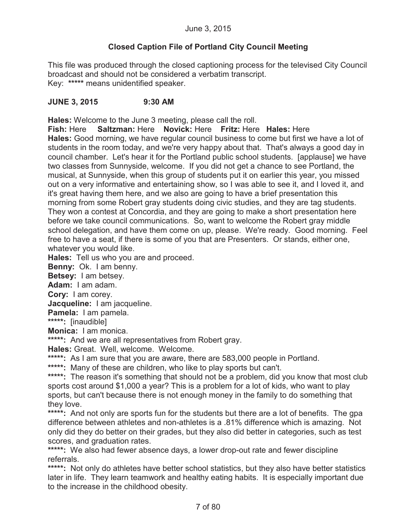# **Closed Caption File of Portland City Council Meeting**

This file was produced through the closed captioning process for the televised City Council broadcast and should not be considered a verbatim transcript. Key: **\*\*\*\*\*** means unidentified speaker.

# **JUNE 3, 2015 9:30 AM**

**Hales:** Welcome to the June 3 meeting, please call the roll.

**Fish:** Here **Saltzman:** Here **Novick:** Here **Fritz:** Here **Hales:** Here **Hales:** Good morning, we have regular council business to come but first we have a lot of students in the room today, and we're very happy about that. That's always a good day in council chamber. Let's hear it for the Portland public school students. [applause] we have two classes from Sunnyside, welcome. If you did not get a chance to see Portland, the musical, at Sunnyside, when this group of students put it on earlier this year, you missed out on a very informative and entertaining show, so I was able to see it, and I loved it, and it's great having them here, and we also are going to have a brief presentation this morning from some Robert gray students doing civic studies, and they are tag students. They won a contest at Concordia, and they are going to make a short presentation here before we take council communications. So, want to welcome the Robert gray middle school delegation, and have them come on up, please. We're ready. Good morning. Feel free to have a seat, if there is some of you that are Presenters. Or stands, either one, whatever you would like.

**Hales:** Tell us who you are and proceed.

**Benny:** Ok. I am benny.

**Betsey:** I am betsey.

**Adam:** I am adam.

**Cory:** I am corey.

**Jacqueline:** I am jacqueline.

**Pamela:** I am pamela.

**\*\*\*\*\*:** [inaudible]

**Monica:** I am monica.

**\*\*\*\*\*:** And we are all representatives from Robert gray.

**Hales:** Great. Well, welcome. Welcome.

\*\*\*\*\*: As I am sure that you are aware, there are 583,000 people in Portland.

**\*\*\*\*\*:** Many of these are children, who like to play sports but can't.

\*\*\*\*\*: The reason it's something that should not be a problem, did you know that most club sports cost around \$1,000 a year? This is a problem for a lot of kids, who want to play sports, but can't because there is not enough money in the family to do something that they love.

\*\*\*\*\*: And not only are sports fun for the students but there are a lot of benefits. The gpa difference between athletes and non-athletes is a .81% difference which is amazing. Not only did they do better on their grades, but they also did better in categories, such as test scores, and graduation rates.

**\*\*\*\*\*:** We also had fewer absence days, a lower drop-out rate and fewer discipline referrals.

\*\*\*\*\*: Not only do athletes have better school statistics, but they also have better statistics later in life. They learn teamwork and healthy eating habits. It is especially important due to the increase in the childhood obesity.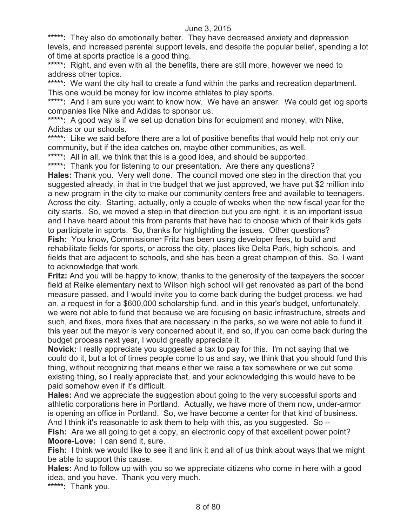\*\*\*\*\*: They also do emotionally better. They have decreased anxiety and depression levels, and increased parental support levels, and despite the popular belief, spending a lot of time at sports practice is a good thing.

**\*\*\*\*\*:** Right, and even with all the benefits, there are still more, however we need to address other topics.

\*\*\*\*\*: We want the city hall to create a fund within the parks and recreation department. This one would be money for low income athletes to play sports.

\*\*\*\*\*: And I am sure you want to know how. We have an answer. We could get log sports companies like Nike and Adidas to sponsor us.

**\*\*\*\*\*:** A good way is if we set up donation bins for equipment and money, with Nike, Adidas or our schools.

\*\*\*\*\*: Like we said before there are a lot of positive benefits that would help not only our community, but if the idea catches on, maybe other communities, as well.

\*\*\*\*\*: All in all, we think that this is a good idea, and should be supported.

\*\*\*\*\*: Thank you for listening to our presentation. Are there any questions?

**Hales:** Thank you. Very well done. The council moved one step in the direction that you suggested already, in that in the budget that we just approved, we have put \$2 million into a new program in the city to make our community centers free and available to teenagers. Across the city. Starting, actually, only a couple of weeks when the new fiscal year for the city starts. So, we moved a step in that direction but you are right, it is an important issue and I have heard about this from parents that have had to choose which of their kids gets to participate in sports. So, thanks for highlighting the issues. Other questions? **Fish:** You know, Commissioner Fritz has been using developer fees, to build and rehabilitate fields for sports, or across the city, places like Delta Park, high schools, and fields that are adjacent to schools, and she has been a great champion of this. So, I want to acknowledge that work.

**Fritz:** And you will be happy to know, thanks to the generosity of the taxpayers the soccer field at Reike elementary next to Wilson high school will get renovated as part of the bond measure passed, and I would invite you to come back during the budget process, we had an, a request in for a \$600,000 scholarship fund, and in this year's budget, unfortunately, we were not able to fund that because we are focusing on basic infrastructure, streets and such, and fixes, more fixes that are necessary in the parks, so we were not able to fund it this year but the mayor is very concerned about it, and so, if you can come back during the budget process next year, I would greatly appreciate it.

**Novick:** I really appreciate you suggested a tax to pay for this. I'm not saying that we could do it, but a lot of times people come to us and say, we think that you should fund this thing, without recognizing that means either we raise a tax somewhere or we cut some existing thing, so I really appreciate that, and your acknowledging this would have to be paid somehow even if it's difficult.

**Hales:** And we appreciate the suggestion about going to the very successful sports and athletic corporations here in Portland. Actually, we have more of them now, under-armor is opening an office in Portland. So, we have become a center for that kind of business. And I think it's reasonable to ask them to help with this, as you suggested. So --

**Fish:** Are we all going to get a copy, an electronic copy of that excellent power point? **Moore-Love:** I can send it, sure.

**Fish:** I think we would like to see it and link it and all of us think about ways that we might be able to support this cause.

**Hales:** And to follow up with you so we appreciate citizens who come in here with a good idea, and you have. Thank you very much.

**\*\*\*\*\*:** Thank you.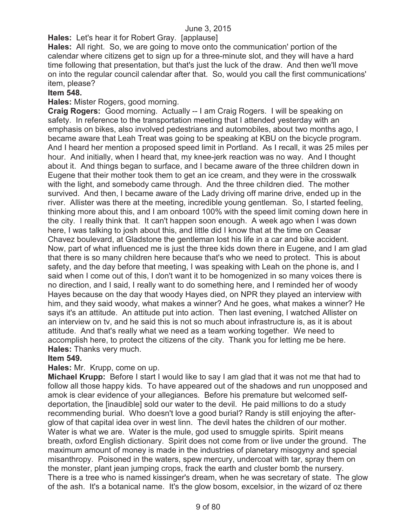**Hales:** Let's hear it for Robert Gray. [applause]

**Hales:** All right. So, we are going to move onto the communication' portion of the calendar where citizens get to sign up for a three-minute slot, and they will have a hard time following that presentation, but that's just the luck of the draw. And then we'll move on into the regular council calendar after that. So, would you call the first communications' item, please?

### **Item 548.**

**Hales:** Mister Rogers, good morning.

**Craig Rogers:** Good morning. Actually -- I am Craig Rogers. I will be speaking on safety. In reference to the transportation meeting that I attended yesterday with an emphasis on bikes, also involved pedestrians and automobiles, about two months ago, I became aware that Leah Treat was going to be speaking at KBU on the bicycle program. And I heard her mention a proposed speed limit in Portland. As I recall, it was 25 miles per hour. And initially, when I heard that, my knee-jerk reaction was no way. And I thought about it. And things began to surface, and I became aware of the three children down in Eugene that their mother took them to get an ice cream, and they were in the crosswalk with the light, and somebody came through. And the three children died. The mother survived. And then, I became aware of the Lady driving off marine drive, ended up in the river. Allister was there at the meeting, incredible young gentleman. So, I started feeling, thinking more about this, and I am onboard 100% with the speed limit coming down here in the city. I really think that. It can't happen soon enough. A week ago when I was down here, I was talking to josh about this, and little did I know that at the time on Ceasar Chavez boulevard, at Gladstone the gentleman lost his life in a car and bike accident. Now, part of what influenced me is just the three kids down there in Eugene, and I am glad that there is so many children here because that's who we need to protect. This is about safety, and the day before that meeting, I was speaking with Leah on the phone is, and I said when I come out of this, I don't want it to be homogenized in so many voices there is no direction, and I said, I really want to do something here, and I reminded her of woody Hayes because on the day that woody Hayes died, on NPR they played an interview with him, and they said woody, what makes a winner? And he goes, what makes a winner? He says it's an attitude. An attitude put into action. Then last evening, I watched Allister on an interview on tv, and he said this is not so much about infrastructure is, as it is about attitude. And that's really what we need as a team working together. We need to accomplish here, to protect the citizens of the city. Thank you for letting me be here. **Hales:** Thanks very much.

## **Item 549.**

#### **Hales:** Mr. Krupp, come on up.

**Michael Krupp:** Before I start I would like to say I am glad that it was not me that had to follow all those happy kids. To have appeared out of the shadows and run unopposed and amok is clear evidence of your allegiances. Before his premature but welcomed selfdeportation, the [inaudible] sold our water to the devil. He paid millions to do a study recommending burial. Who doesn't love a good burial? Randy is still enjoying the afterglow of that capital idea over in west linn. The devil hates the children of our mother. Water is what we are. Water is the mule, god used to smuggle spirits. Spirit means breath, oxford English dictionary. Spirit does not come from or live under the ground. The maximum amount of money is made in the industries of planetary misogyny and special misanthropy. Poisoned in the waters, spew mercury, undercoat with tar, spray them on the monster, plant jean jumping crops, frack the earth and cluster bomb the nursery. There is a tree who is named kissinger's dream, when he was secretary of state. The glow of the ash. It's a botanical name. It's the glow bosom, excelsior, in the wizard of oz there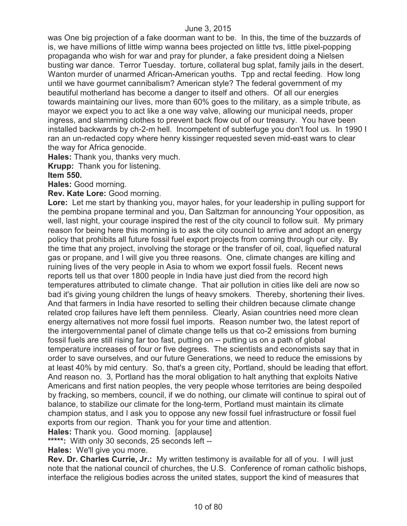was One big projection of a fake doorman want to be. In this, the time of the buzzards of is, we have millions of little wimp wanna bees projected on little tvs, little pixel-popping propaganda who wish for war and pray for plunder, a fake president doing a Nielsen busting war dance. Terror Tuesday. torture, collateral bug splat, family jails in the desert. Wanton murder of unarmed African-American youths. Tpp and rectal feeding. How long until we have gourmet cannibalism? American style? The federal government of my beautiful motherland has become a danger to itself and others. Of all our energies towards maintaining our lives, more than 60% goes to the military, as a simple tribute, as mayor we expect you to act like a one way valve, allowing our municipal needs, proper ingress, and slamming clothes to prevent back flow out of our treasury. You have been installed backwards by ch-2-m hell. Incompetent of subterfuge you don't fool us. In 1990 I ran an un-redacted copy where henry kissinger requested seven mid-east wars to clear the way for Africa genocide.

**Hales:** Thank you, thanks very much.

**Krupp:** Thank you for listening.

### **Item 550.**

**Hales:** Good morning.

**Rev. Kate Lore:** Good morning.

**Lore:** Let me start by thanking you, mayor hales, for your leadership in pulling support for the pembina propane terminal and you, Dan Saltzman for announcing Your opposition, as well, last night, your courage inspired the rest of the city council to follow suit. My primary reason for being here this morning is to ask the city council to arrive and adopt an energy policy that prohibits all future fossil fuel export projects from coming through our city. By the time that any project, involving the storage or the transfer of oil, coal, liquefied natural gas or propane, and I will give you three reasons. One, climate changes are killing and ruining lives of the very people in Asia to whom we export fossil fuels. Recent news reports tell us that over 1800 people in India have just died from the record high temperatures attributed to climate change. That air pollution in cities like deli are now so bad it's giving young children the lungs of heavy smokers. Thereby, shortening their lives. And that farmers in India have resorted to selling their children because climate change related crop failures have left them penniless. Clearly, Asian countries need more clean energy alternatives not more fossil fuel imports. Reason number two, the latest report of the intergovernmental panel of climate change tells us that co-2 emissions from burning fossil fuels are still rising far too fast, putting on -- putting us on a path of global temperature increases of four or five degrees. The scientists and economists say that in order to save ourselves, and our future Generations, we need to reduce the emissions by at least 40% by mid century. So, that's a green city, Portland, should be leading that effort. And reason no. 3, Portland has the moral obligation to halt anything that exploits Native Americans and first nation peoples, the very people whose territories are being despoiled by fracking, so members, council, if we do nothing, our climate will continue to spiral out of balance, to stabilize our climate for the long-term, Portland must maintain its climate champion status, and I ask you to oppose any new fossil fuel infrastructure or fossil fuel exports from our region. Thank you for your time and attention.

**Hales:** Thank you. Good morning. [applause]

**\*\*\*\*\*:** With only 30 seconds, 25 seconds left --

**Hales:** We'll give you more.

**Rev. Dr. Charles Currie, Jr.:** My written testimony is available for all of you. I will just note that the national council of churches, the U.S. Conference of roman catholic bishops, interface the religious bodies across the united states, support the kind of measures that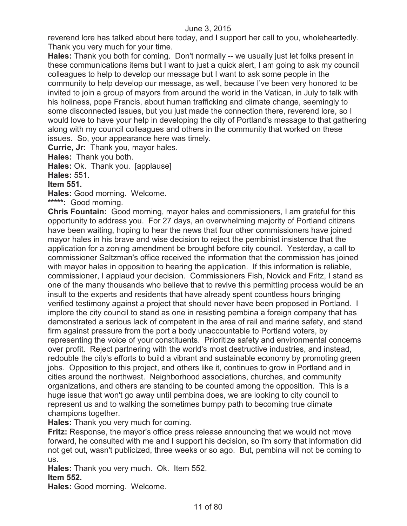reverend lore has talked about here today, and I support her call to you, wholeheartedly. Thank you very much for your time.

**Hales:** Thank you both for coming. Don't normally -- we usually just let folks present in these communications items but I want to just a quick alert, I am going to ask my council colleagues to help to develop our message but I want to ask some people in the community to help develop our message, as well, because I've been very honored to be invited to join a group of mayors from around the world in the Vatican, in July to talk with his holiness, pope Francis, about human trafficking and climate change, seemingly to some disconnected issues, but you just made the connection there, reverend lore, so I would love to have your help in developing the city of Portland's message to that gathering along with my council colleagues and others in the community that worked on these issues. So, your appearance here was timely.

**Currie, Jr:** Thank you, mayor hales.

**Hales:** Thank you both.

**Hales:** Ok. Thank you. [applause]

**Hales:** 551.

## **Item 551.**

**Hales:** Good morning. Welcome.

**\*\*\*\*\*:** Good morning.

**Chris Fountain:** Good morning, mayor hales and commissioners, I am grateful for this opportunity to address you. For 27 days, an overwhelming majority of Portland citizens have been waiting, hoping to hear the news that four other commissioners have joined mayor hales in his brave and wise decision to reject the pembinist insistence that the application for a zoning amendment be brought before city council. Yesterday, a call to commissioner Saltzman's office received the information that the commission has joined with mayor hales in opposition to hearing the application. If this information is reliable, commissioner, I applaud your decision. Commissioners Fish, Novick and Fritz, I stand as one of the many thousands who believe that to revive this permitting process would be an insult to the experts and residents that have already spent countless hours bringing verified testimony against a project that should never have been proposed in Portland. I implore the city council to stand as one in resisting pembina a foreign company that has demonstrated a serious lack of competent in the area of rail and marine safety, and stand firm against pressure from the port a body unaccountable to Portland voters, by representing the voice of your constituents. Prioritize safety and environmental concerns over profit. Reject partnering with the world's most destructive industries, and instead, redouble the city's efforts to build a vibrant and sustainable economy by promoting green jobs. Opposition to this project, and others like it, continues to grow in Portland and in cities around the northwest. Neighborhood associations, churches, and community organizations, and others are standing to be counted among the opposition. This is a huge issue that won't go away until pembina does, we are looking to city council to represent us and to walking the sometimes bumpy path to becoming true climate champions together.

## **Hales:** Thank you very much for coming.

**Fritz:** Response, the mayor's office press release announcing that we would not move forward, he consulted with me and I support his decision, so i'm sorry that information did not get out, wasn't publicized, three weeks or so ago. But, pembina will not be coming to us.

**Hales:** Thank you very much. Ok. Item 552. **Item 552.**

**Hales:** Good morning. Welcome.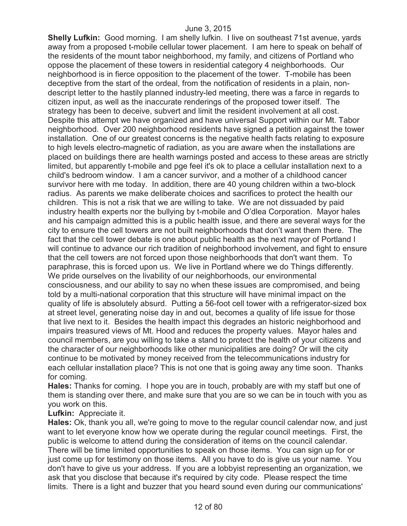**Shelly Lufkin:** Good morning. I am shelly lufkin. I live on southeast 71st avenue, yards away from a proposed t-mobile cellular tower placement. I am here to speak on behalf of the residents of the mount tabor neighborhood, my family, and citizens of Portland who oppose the placement of these towers in residential category 4 neighborhoods. Our neighborhood is in fierce opposition to the placement of the tower. T-mobile has been deceptive from the start of the ordeal, from the notification of residents in a plain, nondescript letter to the hastily planned industry-led meeting, there was a farce in regards to citizen input, as well as the inaccurate renderings of the proposed tower itself. The strategy has been to deceive, subvert and limit the resident involvement at all cost. Despite this attempt we have organized and have universal Support within our Mt. Tabor neighborhood. Over 200 neighborhood residents have signed a petition against the tower installation. One of our greatest concerns is the negative health facts relating to exposure to high levels electro-magnetic of radiation, as you are aware when the installations are placed on buildings there are health warnings posted and access to these areas are strictly limited, but apparently t-mobile and pge feel it's ok to place a cellular installation next to a child's bedroom window. I am a cancer survivor, and a mother of a childhood cancer survivor here with me today. In addition, there are 40 young children within a two-block radius. As parents we make deliberate choices and sacrifices to protect the health our children. This is not a risk that we are willing to take. We are not dissuaded by paid industry health experts nor the bullying by t-mobile and O'dlea Corporation. Mayor hales and his campaign admitted this is a public health issue, and there are several ways for the city to ensure the cell towers are not built neighborhoods that don't want them there. The fact that the cell tower debate is one about public health as the next mayor of Portland I will continue to advance our rich tradition of neighborhood involvement, and fight to ensure that the cell towers are not forced upon those neighborhoods that don't want them. To paraphrase, this is forced upon us. We live in Portland where we do Things differently. We pride ourselves on the livability of our neighborhoods, our environmental consciousness, and our ability to say no when these issues are compromised, and being told by a multi-national corporation that this structure will have minimal impact on the quality of life is absolutely absurd. Putting a 56-foot cell tower with a refrigerator-sized box at street level, generating noise day in and out, becomes a quality of life issue for those that live next to it. Besides the health impact this degrades an historic neighborhood and impairs treasured views of Mt. Hood and reduces the property values. Mayor hales and council members, are you willing to take a stand to protect the health of your citizens and the character of our neighborhoods like other municipalities are doing? Or will the city continue to be motivated by money received from the telecommunications industry for each cellular installation place? This is not one that is going away any time soon. Thanks for coming.

**Hales:** Thanks for coming. I hope you are in touch, probably are with my staff but one of them is standing over there, and make sure that you are so we can be in touch with you as you work on this.

# **Lufkin:** Appreciate it.

**Hales:** Ok, thank you all, we're going to move to the regular council calendar now, and just want to let everyone know how we operate during the regular council meetings. First, the public is welcome to attend during the consideration of items on the council calendar. There will be time limited opportunities to speak on those items. You can sign up for or just come up for testimony on those items. All you have to do is give us your name. You don't have to give us your address. If you are a lobbyist representing an organization, we ask that you disclose that because it's required by city code. Please respect the time limits. There is a light and buzzer that you heard sound even during our communications'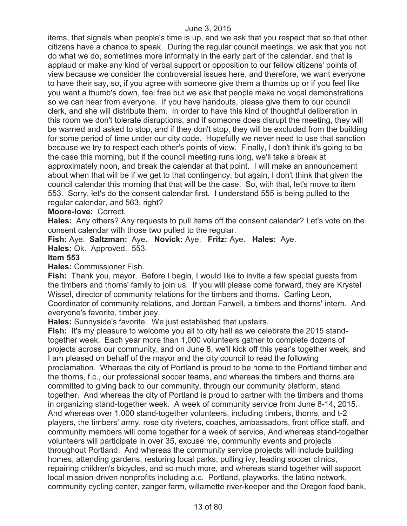items, that signals when people's time is up, and we ask that you respect that so that other citizens have a chance to speak. During the regular council meetings, we ask that you not do what we do, sometimes more informally in the early part of the calendar, and that is applaud or make any kind of verbal support or opposition to our fellow citizens' points of view because we consider the controversial issues here, and therefore, we want everyone to have their say, so, if you agree with someone give them a thumbs up or if you feel like you want a thumb's down, feel free but we ask that people make no vocal demonstrations so we can hear from everyone. If you have handouts, please give them to our council clerk, and she will distribute them. In order to have this kind of thoughtful deliberation in this room we don't tolerate disruptions, and if someone does disrupt the meeting, they will be warned and asked to stop, and if they don't stop, they will be excluded from the building for some period of time under our city code. Hopefully we never need to use that sanction because we try to respect each other's points of view. Finally, I don't think it's going to be the case this morning, but if the council meeting runs long, we'll take a break at approximately noon, and break the calendar at that point. I will make an announcement about when that will be if we get to that contingency, but again, I don't think that given the council calendar this morning that that will be the case. So, with that, let's move to item 553. Sorry, let's do the consent calendar first. I understand 555 is being pulled to the regular calendar, and 563, right?

### **Moore-love:** Correct.

**Hales:** Any others? Any requests to pull items off the consent calendar? Let's vote on the consent calendar with those two pulled to the regular.

**Fish:** Aye. **Saltzman:** Aye. **Novick:** Aye. **Fritz:** Aye. **Hales:** Aye.

**Hales:** Ok. Approved. 553.

#### **Item 553**

**Hales:** Commissioner Fish.

**Fish:** Thank you, mayor. Before I begin, I would like to invite a few special guests from the timbers and thorns' family to join us. If you will please come forward, they are Krystel Wissel, director of community relations for the timbers and thorns. Carling Leon, Coordinator of community relations, and Jordan Farwell, a timbers and thorns' intern. And everyone's favorite, timber joey.

**Hales:** Sunnyside's favorite. We just established that upstairs.

**Fish:** It's my pleasure to welcome you all to city hall as we celebrate the 2015 standtogether week. Each year more than 1,000 volunteers gather to complete dozens of projects across our community, and on June 8, we'll kick off this year's together week, and I am pleased on behalf of the mayor and the city council to read the following proclamation. Whereas the city of Portland is proud to be home to the Portland timber and the thorns, f.c., our professional soccer teams, and whereas the timbers and thorns are committed to giving back to our community, through our community platform, stand together. And whereas the city of Portland is proud to partner with the timbers and thorns in organizing stand-together week. A week of community service from June 8-14, 2015. And whereas over 1,000 stand-together volunteers, including timbers, thorns, and t-2 players, the timbers' army, rose city riveters, coaches, ambassadors, front office staff, and community members will come together for a week of service, And whereas stand-together volunteers will participate in over 35, excuse me, community events and projects throughout Portland. And whereas the community service projects will include building homes, attending gardens, restoring local parks, pulling ivy, leading soccer clinics, repairing children's bicycles, and so much more, and whereas stand together will support local mission-driven nonprofits including a.c. Portland, playworks, the latino network, community cycling center, zanger farm, willamette river-keeper and the Oregon food bank,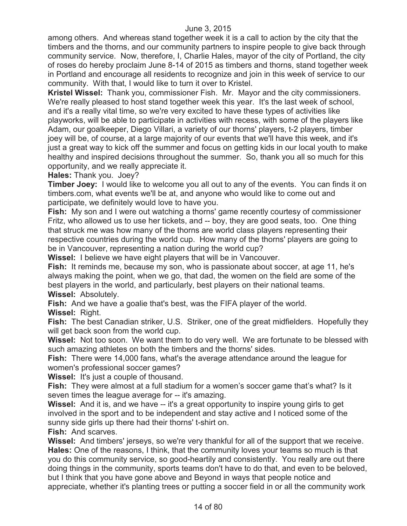among others. And whereas stand together week it is a call to action by the city that the timbers and the thorns, and our community partners to inspire people to give back through community service. Now, therefore, I, Charlie Hales, mayor of the city of Portland, the city of roses do hereby proclaim June 8-14 of 2015 as timbers and thorns, stand together week in Portland and encourage all residents to recognize and join in this week of service to our community. With that, I would like to turn it over to Kristel.

**Kristel Wissel:** Thank you, commissioner Fish. Mr. Mayor and the city commissioners. We're really pleased to host stand together week this year. It's the last week of school, and it's a really vital time, so we're very excited to have these types of activities like playworks, will be able to participate in activities with recess, with some of the players like Adam, our goalkeeper, Diego Villari, a variety of our thorns' players, t-2 players, timber joey will be, of course, at a large majority of our events that we'll have this week, and it's just a great way to kick off the summer and focus on getting kids in our local youth to make healthy and inspired decisions throughout the summer. So, thank you all so much for this opportunity, and we really appreciate it.

**Hales:** Thank you. Joey?

**Timber Joey:** I would like to welcome you all out to any of the events. You can finds it on timbers.com, what events we'll be at, and anyone who would like to come out and participate, we definitely would love to have you.

**Fish:** My son and I were out watching a thorns' game recently courtesy of commissioner Fritz, who allowed us to use her tickets, and -- boy, they are good seats, too. One thing that struck me was how many of the thorns are world class players representing their respective countries during the world cup. How many of the thorns' players are going to be in Vancouver, representing a nation during the world cup?

**Wissel:** I believe we have eight players that will be in Vancouver.

**Fish:** It reminds me, because my son, who is passionate about soccer, at age 11, he's always making the point, when we go, that dad, the women on the field are some of the best players in the world, and particularly, best players on their national teams. **Wissel:** Absolutely.

**Fish:** And we have a goalie that's best, was the FIFA player of the world.

**Wissel:** Right.

**Fish:** The best Canadian striker, U.S. Striker, one of the great midfielders. Hopefully they will get back soon from the world cup.

**Wissel:** Not too soon. We want them to do very well. We are fortunate to be blessed with such amazing athletes on both the timbers and the thorns' sides.

**Fish:** There were 14,000 fans, what's the average attendance around the league for women's professional soccer games?

**Wissel:** It's just a couple of thousand.

**Fish:** They were almost at a full stadium for a women's soccer game that's what? Is it seven times the league average for -- it's amazing.

**Wissel:** And it is, and we have -- it's a great opportunity to inspire young girls to get involved in the sport and to be independent and stay active and I noticed some of the sunny side girls up there had their thorns' t-shirt on.

**Fish:** And scarves.

**Wissel:** And timbers' jerseys, so we're very thankful for all of the support that we receive. **Hales:** One of the reasons, I think, that the community loves your teams so much is that you do this community service, so good-heartily and consistently. You really are out there doing things in the community, sports teams don't have to do that, and even to be beloved, but I think that you have gone above and Beyond in ways that people notice and appreciate, whether it's planting trees or putting a soccer field in or all the community work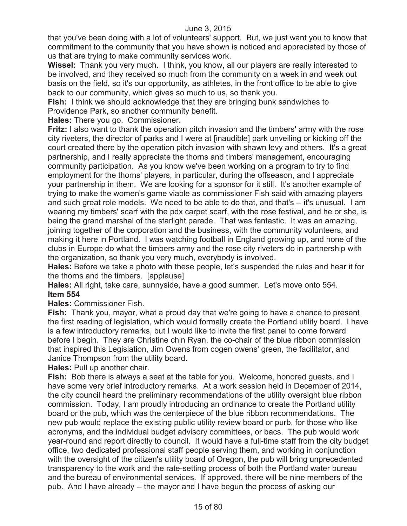that you've been doing with a lot of volunteers' support. But, we just want you to know that commitment to the community that you have shown is noticed and appreciated by those of us that are trying to make community services work.

**Wissel:** Thank you very much. I think, you know, all our players are really interested to be involved, and they received so much from the community on a week in and week out basis on the field, so it's our opportunity, as athletes, in the front office to be able to give back to our community, which gives so much to us, so thank you.

**Fish:** I think we should acknowledge that they are bringing bunk sandwiches to Providence Park, so another community benefit.

**Hales:** There you go. Commissioner.

**Fritz:** I also want to thank the operation pitch invasion and the timbers' army with the rose city riveters, the director of parks and I were at [inaudible] park unveiling or kicking off the court created there by the operation pitch invasion with shawn levy and others. It's a great partnership, and I really appreciate the thorns and timbers' management, encouraging community participation. As you know we've been working on a program to try to find employment for the thorns' players, in particular, during the offseason, and I appreciate your partnership in them. We are looking for a sponsor for it still. It's another example of trying to make the women's game viable as commissioner Fish said with amazing players and such great role models. We need to be able to do that, and that's -- it's unusual. I am wearing my timbers' scarf with the pdx carpet scarf, with the rose festival, and he or she, is being the grand marshal of the starlight parade. That was fantastic. It was an amazing, joining together of the corporation and the business, with the community volunteers, and making it here in Portland. I was watching football in England growing up, and none of the clubs in Europe do what the timbers army and the rose city riveters do in partnership with the organization, so thank you very much, everybody is involved.

**Hales:** Before we take a photo with these people, let's suspended the rules and hear it for the thorns and the timbers. [applause]

**Hales:** All right, take care, sunnyside, have a good summer. Let's move onto 554. **Item 554**

**Hales:** Commissioner Fish.

**Fish:** Thank you, mayor, what a proud day that we're going to have a chance to present the first reading of legislation, which would formally create the Portland utility board. I have is a few introductory remarks, but I would like to invite the first panel to come forward before I begin. They are Christine chin Ryan, the co-chair of the blue ribbon commission that inspired this Legislation, Jim Owens from cogen owens' green, the facilitator, and Janice Thompson from the utility board.

**Hales:** Pull up another chair.

**Fish:** Bob there is always a seat at the table for you. Welcome, honored guests, and I have some very brief introductory remarks. At a work session held in December of 2014, the city council heard the preliminary recommendations of the utility oversight blue ribbon commission. Today, I am proudly introducing an ordinance to create the Portland utility board or the pub, which was the centerpiece of the blue ribbon recommendations. The new pub would replace the existing public utility review board or purb, for those who like acronyms, and the individual budget advisory committees, or bacs. The pub would work year-round and report directly to council. It would have a full-time staff from the city budget office, two dedicated professional staff people serving them, and working in conjunction with the oversight of the citizen's utility board of Oregon, the pub will bring unprecedented transparency to the work and the rate-setting process of both the Portland water bureau and the bureau of environmental services. If approved, there will be nine members of the pub. And I have already -- the mayor and I have begun the process of asking our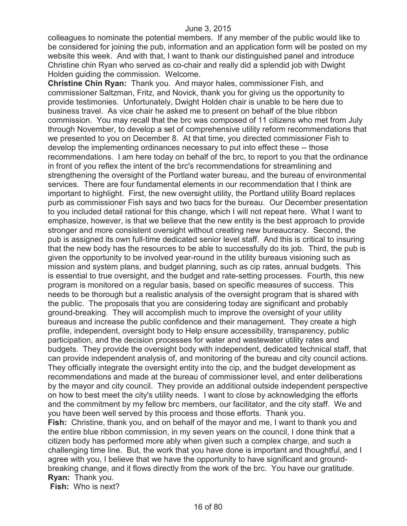colleagues to nominate the potential members. If any member of the public would like to be considered for joining the pub, information and an application form will be posted on my website this week. And with that, I want to thank our distinguished panel and introduce Christine chin Ryan who served as co-chair and really did a splendid job with Dwight Holden guiding the commission. Welcome.

**Christine Chin Ryan:** Thank you. And mayor hales, commissioner Fish, and commissioner Saltzman, Fritz, and Novick, thank you for giving us the opportunity to provide testimonies. Unfortunately, Dwight Holden chair is unable to be here due to business travel. As vice chair he asked me to present on behalf of the blue ribbon commission. You may recall that the brc was composed of 11 citizens who met from July through November, to develop a set of comprehensive utility reform recommendations that we presented to you on December 8. At that time, you directed commissioner Fish to develop the implementing ordinances necessary to put into effect these -- those recommendations. I am here today on behalf of the brc, to report to you that the ordinance in front of you reflex the intent of the brc's recommendations for streamlining and strengthening the oversight of the Portland water bureau, and the bureau of environmental services. There are four fundamental elements in our recommendation that I think are important to highlight. First, the new oversight utility, the Portland utility Board replaces purb as commissioner Fish says and two bacs for the bureau. Our December presentation to you included detail rational for this change, which I will not repeat here. What I want to emphasize, however, is that we believe that the new entity is the best approach to provide stronger and more consistent oversight without creating new bureaucracy. Second, the pub is assigned its own full-time dedicated senior level staff. And this is critical to insuring that the new body has the resources to be able to successfully do its job. Third, the pub is given the opportunity to be involved year-round in the utility bureaus visioning such as mission and system plans, and budget planning, such as cip rates, annual budgets. This is essential to true oversight, and the budget and rate-setting processes. Fourth, this new program is monitored on a regular basis, based on specific measures of success. This needs to be thorough but a realistic analysis of the oversight program that is shared with the public. The proposals that you are considering today are significant and probably ground-breaking. They will accomplish much to improve the oversight of your utility bureaus and increase the public confidence and their management. They create a high profile, independent, oversight body to Help ensure accessibility, transparency, public participation, and the decision processes for water and wastewater utility rates and budgets. They provide the oversight body with independent, dedicated technical staff, that can provide independent analysis of, and monitoring of the bureau and city council actions. They officially integrate the oversight entity into the cip, and the budget development as recommendations and made at the bureau of commissioner level, and enter deliberations by the mayor and city council. They provide an additional outside independent perspective on how to best meet the city's utility needs. I want to close by acknowledging the efforts and the commitment by my fellow brc members, our facilitator, and the city staff. We and you have been well served by this process and those efforts. Thank you. **Fish:** Christine, thank you, and on behalf of the mayor and me, I want to thank you and the entire blue ribbon commission, in my seven years on the council, I done think that a citizen body has performed more ably when given such a complex charge, and such a challenging time line. But, the work that you have done is important and thoughtful, and I

agree with you, I believe that we have the opportunity to have significant and groundbreaking change, and it flows directly from the work of the brc. You have our gratitude. **Ryan:** Thank you.

**Fish:** Who is next?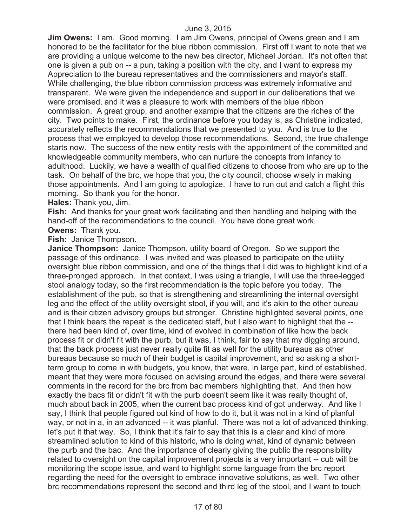**Jim Owens:** I am. Good morning. I am Jim Owens, principal of Owens green and I am honored to be the facilitator for the blue ribbon commission. First off I want to note that we are providing a unique welcome to the new bes director, Michael Jordan. It's not often that one is given a pub on -- a pun, taking a position with the city, and I want to express my Appreciation to the bureau representatives and the commissioners and mayor's staff. While challenging, the blue ribbon commission process was extremely informative and transparent. We were given the independence and support in our deliberations that we were promised, and it was a pleasure to work with members of the blue ribbon commission. A great group, and another example that the citizens are the riches of the city. Two points to make. First, the ordinance before you today is, as Christine indicated, accurately reflects the recommendations that we presented to you. And is true to the process that we employed to develop those recommendations. Second, the true challenge starts now. The success of the new entity rests with the appointment of the committed and knowledgeable community members, who can nurture the concepts from infancy to adulthood. Luckily, we have a wealth of qualified citizens to choose from who are up to the task. On behalf of the brc, we hope that you, the city council, choose wisely in making those appointments. And I am going to apologize. I have to run out and catch a flight this morning. So thank you for the honor.

**Hales:** Thank you, Jim.

**Fish:** And thanks for your great work facilitating and then handling and helping with the hand-off of the recommendations to the council. You have done great work.

**Owens:** Thank you.

**Fish:** Janice Thompson.

**Janice Thompson:** Janice Thompson, utility board of Oregon. So we support the passage of this ordinance. I was invited and was pleased to participate on the utility oversight blue ribbon commission, and one of the things that I did was to highlight kind of a three-pronged approach. In that context, I was using a triangle, I will use the three-legged stool analogy today, so the first recommendation is the topic before you today. The establishment of the pub, so that is strengthening and streamlining the internal oversight leg and the effect of the utility oversight stool, if you will, and it's akin to the other bureau and is their citizen advisory groups but stronger. Christine highlighted several points, one that I think bears the repeat is the dedicated staff, but I also want to highlight that the - there had been kind of, over time, kind of evolved in combination of like how the back process fit or didn't fit with the purb, but it was, I think, fair to say that my digging around, that the back process just never really quite fit as well for the utility bureaus as other bureaus because so much of their budget is capital improvement, and so asking a shortterm group to come in with budgets, you know, that were, in large part, kind of established, meant that they were more focused on advising around the edges, and there were several comments in the record for the brc from bac members highlighting that. And then how exactly the bacs fit or didn't fit with the purb doesn't seem like it was really thought of, much about back in 2005, when the current bac process kind of got underway. And like I say, I think that people figured out kind of how to do it, but it was not in a kind of planful way, or not in a, in an advanced -- it was planful. There was not a lot of advanced thinking, let's put it that way. So, I think that it's fair to say that this is a clear and kind of more streamlined solution to kind of this historic, who is doing what, kind of dynamic between the purb and the bac. And the importance of clearly giving the public the responsibility related to oversight on the capital improvement projects is a very important -- cub will be monitoring the scope issue, and want to highlight some language from the brc report regarding the need for the oversight to embrace innovative solutions, as well. Two other brc recommendations represent the second and third leg of the stool, and I want to touch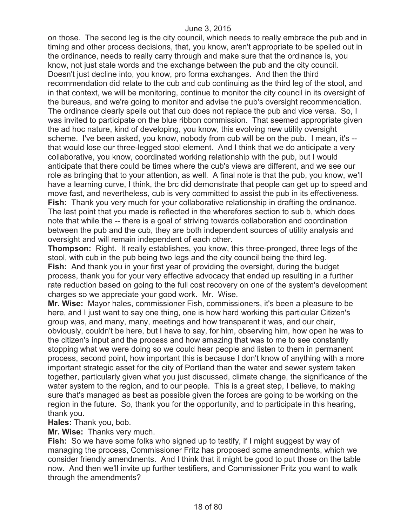on those. The second leg is the city council, which needs to really embrace the pub and in timing and other process decisions, that, you know, aren't appropriate to be spelled out in the ordinance, needs to really carry through and make sure that the ordinance is, you know, not just stale words and the exchange between the pub and the city council. Doesn't just decline into, you know, pro forma exchanges. And then the third recommendation did relate to the cub and cub continuing as the third leg of the stool, and in that context, we will be monitoring, continue to monitor the city council in its oversight of the bureaus, and we're going to monitor and advise the pub's oversight recommendation. The ordinance clearly spells out that cub does not replace the pub and vice versa. So, I was invited to participate on the blue ribbon commission. That seemed appropriate given the ad hoc nature, kind of developing, you know, this evolving new utility oversight scheme. I've been asked, you know, nobody from cub will be on the pub. I mean, it's - that would lose our three-legged stool element. And I think that we do anticipate a very collaborative, you know, coordinated working relationship with the pub, but I would anticipate that there could be times where the cub's views are different, and we see our role as bringing that to your attention, as well. A final note is that the pub, you know, we'll have a learning curve, I think, the brc did demonstrate that people can get up to speed and move fast, and nevertheless, cub is very committed to assist the pub in its effectiveness. **Fish:** Thank you very much for your collaborative relationship in drafting the ordinance. The last point that you made is reflected in the wherefores section to sub b, which does note that while the -- there is a goal of striving towards collaboration and coordination between the pub and the cub, they are both independent sources of utility analysis and oversight and will remain independent of each other.

**Thompson:** Right. It really establishes, you know, this three-pronged, three legs of the stool, with cub in the pub being two legs and the city council being the third leg. **Fish:** And thank you in your first year of providing the oversight, during the budget process, thank you for your very effective advocacy that ended up resulting in a further rate reduction based on going to the full cost recovery on one of the system's development charges so we appreciate your good work. Mr. Wise.

**Mr. Wise:** Mayor hales, commissioner Fish, commissioners, it's been a pleasure to be here, and I just want to say one thing, one is how hard working this particular Citizen's group was, and many, many, meetings and how transparent it was, and our chair, obviously, couldn't be here, but I have to say, for him, observing him, how open he was to the citizen's input and the process and how amazing that was to me to see constantly stopping what we were doing so we could hear people and listen to them in permanent process, second point, how important this is because I don't know of anything with a more important strategic asset for the city of Portland than the water and sewer system taken together, particularly given what you just discussed, climate change, the significance of the water system to the region, and to our people. This is a great step, I believe, to making sure that's managed as best as possible given the forces are going to be working on the region in the future. So, thank you for the opportunity, and to participate in this hearing, thank you.

**Hales:** Thank you, bob.

**Mr. Wise:** Thanks very much.

**Fish:** So we have some folks who signed up to testify, if I might suggest by way of managing the process, Commissioner Fritz has proposed some amendments, which we consider friendly amendments. And I think that it might be good to put those on the table now. And then we'll invite up further testifiers, and Commissioner Fritz you want to walk through the amendments?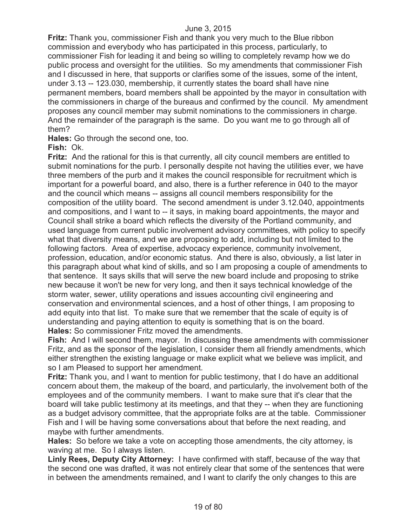**Fritz:** Thank you, commissioner Fish and thank you very much to the Blue ribbon commission and everybody who has participated in this process, particularly, to commissioner Fish for leading it and being so willing to completely revamp how we do public process and oversight for the utilities. So my amendments that commissioner Fish and I discussed in here, that supports or clarifies some of the issues, some of the intent, under 3.13 -- 123.030, membership, it currently states the board shall have nine permanent members, board members shall be appointed by the mayor in consultation with the commissioners in charge of the bureaus and confirmed by the council. My amendment proposes any council member may submit nominations to the commissioners in charge. And the remainder of the paragraph is the same. Do you want me to go through all of them?

**Hales:** Go through the second one, too.

**Fish:** Ok.

**Fritz:** And the rational for this is that currently, all city council members are entitled to submit nominations for the purb. I personally despite not having the utilities ever, we have three members of the purb and it makes the council responsible for recruitment which is important for a powerful board, and also, there is a further reference in 040 to the mayor and the council which means -- assigns all council members responsibility for the composition of the utility board. The second amendment is under 3.12.040, appointments and compositions, and I want to -- it says, in making board appointments, the mayor and Council shall strike a board which reflects the diversity of the Portland community, and used language from current public involvement advisory committees, with policy to specify what that diversity means, and we are proposing to add, including but not limited to the following factors. Area of expertise, advocacy experience, community involvement, profession, education, and/or economic status. And there is also, obviously, a list later in this paragraph about what kind of skills, and so I am proposing a couple of amendments to that sentence. It says skills that will serve the new board include and proposing to strike new because it won't be new for very long, and then it says technical knowledge of the storm water, sewer, utility operations and issues accounting civil engineering and conservation and environmental sciences, and a host of other things, I am proposing to add equity into that list. To make sure that we remember that the scale of equity is of understanding and paying attention to equity is something that is on the board. **Hales:** So commissioner Fritz moved the amendments.

**Fish:** And I will second them, mayor. In discussing these amendments with commissioner Fritz, and as the sponsor of the legislation, I consider them all friendly amendments, which either strengthen the existing language or make explicit what we believe was implicit, and so I am Pleased to support her amendment.

**Fritz:** Thank you, and I want to mention for public testimony, that I do have an additional concern about them, the makeup of the board, and particularly, the involvement both of the employees and of the community members. I want to make sure that it's clear that the board will take public testimony at its meetings, and that they -- when they are functioning as a budget advisory committee, that the appropriate folks are at the table. Commissioner Fish and I will be having some conversations about that before the next reading, and maybe with further amendments.

**Hales:** So before we take a vote on accepting those amendments, the city attorney, is waving at me. So I always listen.

**Linly Rees, Deputy City Attorney:** I have confirmed with staff, because of the way that the second one was drafted, it was not entirely clear that some of the sentences that were in between the amendments remained, and I want to clarify the only changes to this are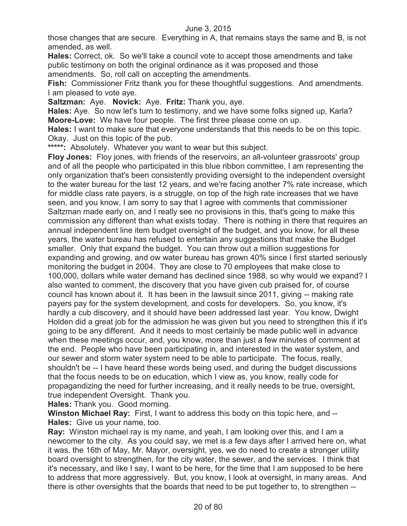those changes that are secure. Everything in A, that remains stays the same and B, is not amended, as well.

**Hales:** Correct, ok. So we'll take a council vote to accept those amendments and take public testimony on both the original ordinance as it was proposed and those amendments. So, roll call on accepting the amendments.

**Fish:** Commissioner Fritz thank you for these thoughtful suggestions. And amendments. I am pleased to vote aye.

**Saltzman:** Aye. **Novick:** Aye. **Fritz:** Thank you, aye.

**Hales:** Aye. So now let's turn to testimony, and we have some folks signed up, Karla? **Moore-Love:** We have four people. The first three please come on up.

**Hales:** I want to make sure that everyone understands that this needs to be on this topic. Okay. Just on this topic of the pub.

**\*\*\*\*\*:** Absolutely. Whatever you want to wear but this subject.

**Floy Jones:** Floy jones, with friends of the reservoirs, an all-volunteer grassroots' group and of all the people who participated in this blue ribbon committee, I am representing the only organization that's been consistently providing oversight to the independent oversight to the water bureau for the last 12 years, and we're facing another 7% rate increase, which for middle class rate payers, is a struggle, on top of the high rate increases that we have seen, and you know, I am sorry to say that I agree with comments that commissioner Saltzman made early on, and I really see no provisions in this, that's going to make this commission any different than what exists today. There is nothing in there that requires an annual independent line item budget oversight of the budget, and you know, for all these years, the water bureau has refused to entertain any suggestions that make the Budget smaller. Only that expand the budget. You can throw out a million suggestions for expanding and growing, and ow water bureau has grown 40% since I first started seriously monitoring the budget in 2004. They are close to 70 employees that make close to 100,000, dollars while water demand has declined since 1988, so why would we expand? I also wanted to comment, the discovery that you have given cub praised for, of course council has known about it. It has been in the lawsuit since 2011, giving -- making rate payers pay for the system development, and costs for developers. So, you know, it's hardly a cub discovery, and it should have been addressed last year. You know, Dwight Holden did a great job for the admission he was given but you need to strengthen this if it's going to be any different. And it needs to most certainly be made public well in advance when these meetings occur, and, you know, more than just a few minutes of comment at the end. People who have been participating in, and interested in the water system, and our sewer and storm water system need to be able to participate. The focus, really, shouldn't be -- I have heard these words being used, and during the budget discussions that the focus needs to be on education, which I view as, you know, really code for propagandizing the need for further increasing, and it really needs to be true, oversight, true independent Oversight. Thank you.

**Hales:** Thank you. Good morning.

**Winston Michael Ray:** First, I want to address this body on this topic here, and -- **Hales:** Give us your name, too.

**Ray:** Winston michael ray is my name, and yeah, I am looking over this, and I am a newcomer to the city. As you could say, we met is a few days after I arrived here on, what it was, the 16th of May, Mr. Mayor, oversight, yes, we do need to create a stronger utility board oversight to strengthen, for the city water, the sewer, and the services. I think that it's necessary, and like I say, I want to be here, for the time that I am supposed to be here to address that more aggressively. But, you know, I look at oversight, in many areas. And there is other oversights that the boards that need to be put together to, to strengthen --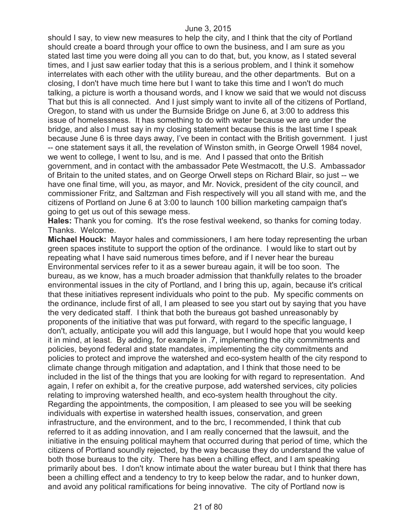should I say, to view new measures to help the city, and I think that the city of Portland should create a board through your office to own the business, and I am sure as you stated last time you were doing all you can to do that, but, you know, as I stated several times, and I just saw earlier today that this is a serious problem, and I think it somehow interrelates with each other with the utility bureau, and the other departments. But on a closing, I don't have much time here but I want to take this time and I won't do much talking, a picture is worth a thousand words, and I know we said that we would not discuss That but this is all connected. And I just simply want to invite all of the citizens of Portland, Oregon, to stand with us under the Burnside Bridge on June 6, at 3:00 to address this issue of homelessness. It has something to do with water because we are under the bridge, and also I must say in my closing statement because this is the last time I speak because June 6 is three days away, I've been in contact with the British government. I just -- one statement says it all, the revelation of Winston smith, in George Orwell 1984 novel, we went to college, I went to lsu, and is me. And I passed that onto the British government, and in contact with the ambassador Pete Westmacott, the U.S. Ambassador of Britain to the united states, and on George Orwell steps on Richard Blair, so just -- we have one final time, will you, as mayor, and Mr. Novick, president of the city council, and commissioner Fritz, and Saltzman and Fish respectively will you all stand with me, and the citizens of Portland on June 6 at 3:00 to launch 100 billion marketing campaign that's going to get us out of this sewage mess.

**Hales:** Thank you for coming. It's the rose festival weekend, so thanks for coming today. Thanks. Welcome.

**Michael Houck:** Mayor hales and commissioners, I am here today representing the urban green spaces institute to support the option of the ordinance. I would like to start out by repeating what I have said numerous times before, and if I never hear the bureau Environmental services refer to it as a sewer bureau again, it will be too soon. The bureau, as we know, has a much broader admission that thankfully relates to the broader environmental issues in the city of Portland, and I bring this up, again, because it's critical that these initiatives represent individuals who point to the pub. My specific comments on the ordinance, include first of all, I am pleased to see you start out by saying that you have the very dedicated staff. I think that both the bureaus got bashed unreasonably by proponents of the initiative that was put forward, with regard to the specific language, I don't, actually, anticipate you will add this language, but I would hope that you would keep it in mind, at least. By adding, for example in .7, implementing the city commitments and policies, beyond federal and state mandates, implementing the city commitments and policies to protect and improve the watershed and eco-system health of the city respond to climate change through mitigation and adaptation, and I think that those need to be included in the list of the things that you are looking for with regard to representation. And again, I refer on exhibit a, for the creative purpose, add watershed services, city policies relating to improving watershed health, and eco-system health throughout the city. Regarding the appointments, the composition, I am pleased to see you will be seeking individuals with expertise in watershed health issues, conservation, and green infrastructure, and the environment, and to the brc, I recommended, I think that cub referred to it as adding innovation, and I am really concerned that the lawsuit, and the initiative in the ensuing political mayhem that occurred during that period of time, which the citizens of Portland soundly rejected, by the way because they do understand the value of both those bureaus to the city. There has been a chilling effect, and I am speaking primarily about bes. I don't know intimate about the water bureau but I think that there has been a chilling effect and a tendency to try to keep below the radar, and to hunker down, and avoid any political ramifications for being innovative. The city of Portland now is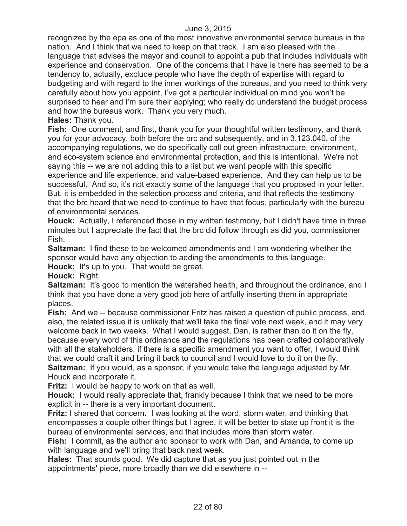recognized by the epa as one of the most innovative environmental service bureaus in the nation. And I think that we need to keep on that track. I am also pleased with the language that advises the mayor and council to appoint a pub that includes individuals with experience and conservation. One of the concerns that I have is there has seemed to be a tendency to, actually, exclude people who have the depth of expertise with regard to budgeting and with regard to the inner workings of the bureaus, and you need to think very carefully about how you appoint, I've got a particular individual on mind you won't be surprised to hear and I'm sure their applying; who really do understand the budget process and how the bureaus work. Thank you very much.

**Hales:** Thank you.

**Fish:** One comment, and first, thank you for your thoughtful written testimony, and thank you for your advocacy, both before the brc and subsequently, and in 3.123.040, of the accompanying regulations, we do specifically call out green infrastructure, environment, and eco-system science and environmental protection, and this is intentional. We're not saying this -- we are not adding this to a list but we want people with this specific experience and life experience, and value-based experience. And they can help us to be successful. And so, it's not exactly some of the language that you proposed in your letter. But, it is embedded in the selection process and criteria, and that reflects the testimony that the brc heard that we need to continue to have that focus, particularly with the bureau of environmental services.

**Houck:** Actually, I referenced those in my written testimony, but I didn't have time in three minutes but I appreciate the fact that the brc did follow through as did you, commissioner Fish.

**Saltzman:** I find these to be welcomed amendments and I am wondering whether the sponsor would have any objection to adding the amendments to this language.

**Houck:** It's up to you. That would be great.

**Houck:** Right.

**Saltzman:** It's good to mention the watershed health, and throughout the ordinance, and I think that you have done a very good job here of artfully inserting them in appropriate places.

**Fish:** And we -- because commissioner Fritz has raised a question of public process, and also, the related issue it is unlikely that we'll take the final vote next week, and it may very welcome back in two weeks. What I would suggest, Dan, is rather than do it on the fly, because every word of this ordinance and the regulations has been crafted collaboratively with all the stakeholders, if there is a specific amendment you want to offer, I would think that we could craft it and bring it back to council and I would love to do it on the fly. **Saltzman:** If you would, as a sponsor, if you would take the language adjusted by Mr. Houck and incorporate it.

**Fritz:** I would be happy to work on that as well.

**Houck:** I would really appreciate that, frankly because I think that we need to be more explicit in -- there is a very important document.

**Fritz:** I shared that concern. I was looking at the word, storm water, and thinking that encompasses a couple other things but I agree, it will be better to state up front it is the bureau of environmental services, and that includes more than storm water.

**Fish:** I commit, as the author and sponsor to work with Dan, and Amanda, to come up with language and we'll bring that back next week.

**Hales:** That sounds good. We did capture that as you just pointed out in the appointments' piece, more broadly than we did elsewhere in --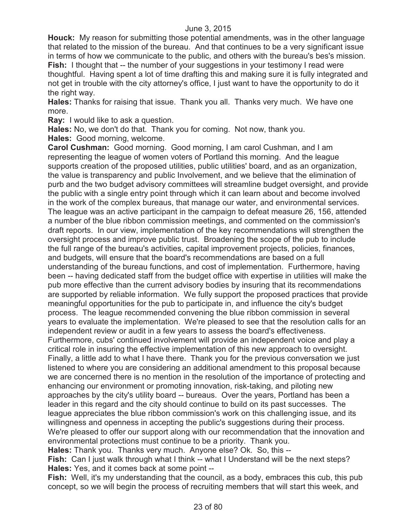**Houck:** My reason for submitting those potential amendments, was in the other language that related to the mission of the bureau. And that continues to be a very significant issue in terms of how we communicate to the public, and others with the bureau's bes's mission. **Fish:** I thought that -- the number of your suggestions in your testimony I read were thoughtful. Having spent a lot of time drafting this and making sure it is fully integrated and not get in trouble with the city attorney's office, I just want to have the opportunity to do it the right way.

**Hales:** Thanks for raising that issue. Thank you all. Thanks very much. We have one more.

**Ray:** I would like to ask a question.

**Hales:** No, we don't do that. Thank you for coming. Not now, thank you.

**Hales:** Good morning, welcome.

**Carol Cushman:** Good morning. Good morning, I am carol Cushman, and I am representing the league of women voters of Portland this morning. And the league supports creation of the proposed utilities, public utilities' board, and as an organization, the value is transparency and public Involvement, and we believe that the elimination of purb and the two budget advisory committees will streamline budget oversight, and provide the public with a single entry point through which it can learn about and become involved in the work of the complex bureaus, that manage our water, and environmental services. The league was an active participant in the campaign to defeat measure 26, 156, attended a number of the blue ribbon commission meetings, and commented on the commission's draft reports. In our view, implementation of the key recommendations will strengthen the oversight process and improve public trust. Broadening the scope of the pub to include the full range of the bureau's activities, capital improvement projects, policies, finances, and budgets, will ensure that the board's recommendations are based on a full understanding of the bureau functions, and cost of implementation. Furthermore, having been -- having dedicated staff from the budget office with expertise in utilities will make the pub more effective than the current advisory bodies by insuring that its recommendations are supported by reliable information. We fully support the proposed practices that provide meaningful opportunities for the pub to participate in, and influence the city's budget process. The league recommended convening the blue ribbon commission in several years to evaluate the implementation. We're pleased to see that the resolution calls for an independent review or audit in a few years to assess the board's effectiveness. Furthermore, cubs' continued involvement will provide an independent voice and play a critical role in insuring the effective implementation of this new approach to oversight. Finally, a little add to what I have there. Thank you for the previous conversation we just listened to where you are considering an additional amendment to this proposal because we are concerned there is no mention in the resolution of the importance of protecting and enhancing our environment or promoting innovation, risk-taking, and piloting new approaches by the city's utility board -- bureaus. Over the years, Portland has been a leader in this regard and the city should continue to build on its past successes. The league appreciates the blue ribbon commission's work on this challenging issue, and its willingness and openness in accepting the public's suggestions during their process. We're pleased to offer our support along with our recommendation that the innovation and environmental protections must continue to be a priority. Thank you.

**Hales:** Thank you. Thanks very much. Anyone else? Ok. So, this --

**Fish:** Can I just walk through what I think -- what I Understand will be the next steps? **Hales:** Yes, and it comes back at some point --

**Fish:** Well, it's my understanding that the council, as a body, embraces this cub, this pub concept, so we will begin the process of recruiting members that will start this week, and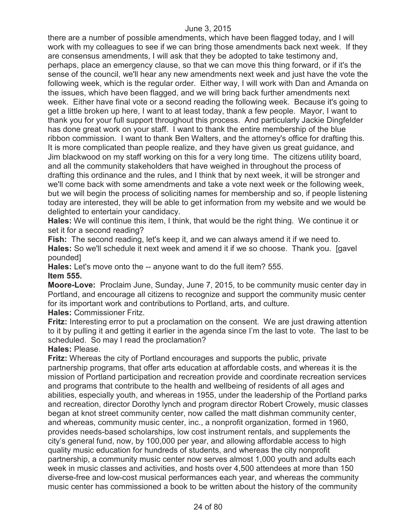there are a number of possible amendments, which have been flagged today, and I will work with my colleagues to see if we can bring those amendments back next week. If they are consensus amendments, I will ask that they be adopted to take testimony and, perhaps, place an emergency clause, so that we can move this thing forward, or if it's the sense of the council, we'll hear any new amendments next week and just have the vote the following week, which is the regular order. Either way, I will work with Dan and Amanda on the issues, which have been flagged, and we will bring back further amendments next week. Either have final vote or a second reading the following week. Because it's going to get a little broken up here, I want to at least today, thank a few people. Mayor, I want to thank you for your full support throughout this process. And particularly Jackie Dingfelder has done great work on your staff. I want to thank the entire membership of the blue ribbon commission. I want to thank Ben Walters, and the attorney's office for drafting this. It is more complicated than people realize, and they have given us great guidance, and Jim blackwood on my staff working on this for a very long time. The citizens utility board, and all the community stakeholders that have weighed in throughout the process of drafting this ordinance and the rules, and I think that by next week, it will be stronger and we'll come back with some amendments and take a vote next week or the following week, but we will begin the process of soliciting names for membership and so, if people listening today are interested, they will be able to get information from my website and we would be delighted to entertain your candidacy.

**Hales:** We will continue this item, I think, that would be the right thing. We continue it or set it for a second reading?

**Fish:** The second reading, let's keep it, and we can always amend it if we need to. **Hales:** So we'll schedule it next week and amend it if we so choose. Thank you. [gavel pounded]

**Hales:** Let's move onto the -- anyone want to do the full item? 555. **Item 555.**

**Moore-Love:** Proclaim June, Sunday, June 7, 2015, to be community music center day in Portland, and encourage all citizens to recognize and support the community music center for its important work and contributions to Portland, arts, and culture.

**Hales:** Commissioner Fritz.

**Fritz:** Interesting error to put a proclamation on the consent. We are just drawing attention to it by pulling it and getting it earlier in the agenda since I'm the last to vote. The last to be scheduled. So may I read the proclamation?

**Hales:** Please.

**Fritz:** Whereas the city of Portland encourages and supports the public, private partnership programs, that offer arts education at affordable costs, and whereas it is the mission of Portland participation and recreation provide and coordinate recreation services and programs that contribute to the health and wellbeing of residents of all ages and abilities, especially youth, and whereas in 1955, under the leadership of the Portland parks and recreation, director Dorothy lynch and program director Robert Crowely, music classes began at knot street community center, now called the matt dishman community center, and whereas, community music center, inc., a nonprofit organization, formed in 1960, provides needs-based scholarships, low cost instrument rentals, and supplements the city's general fund, now, by 100,000 per year, and allowing affordable access to high quality music education for hundreds of students, and whereas the city nonprofit partnership, a community music center now serves almost 1,000 youth and adults each week in music classes and activities, and hosts over 4,500 attendees at more than 150 diverse-free and low-cost musical performances each year, and whereas the community music center has commissioned a book to be written about the history of the community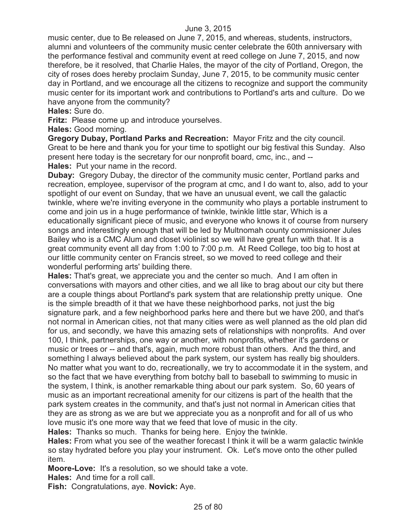music center, due to Be released on June 7, 2015, and whereas, students, instructors, alumni and volunteers of the community music center celebrate the 60th anniversary with the performance festival and community event at reed college on June 7, 2015, and now therefore, be it resolved, that Charlie Hales, the mayor of the city of Portland, Oregon, the city of roses does hereby proclaim Sunday, June 7, 2015, to be community music center day in Portland, and we encourage all the citizens to recognize and support the community music center for its important work and contributions to Portland's arts and culture. Do we have anyone from the community?

**Hales:** Sure do.

**Fritz:** Please come up and introduce yourselves.

**Hales:** Good morning.

**Gregory Dubay, Portland Parks and Recreation:** Mayor Fritz and the city council. Great to be here and thank you for your time to spotlight our big festival this Sunday. Also present here today is the secretary for our nonprofit board, cmc, inc., and -- **Hales:** Put your name in the record.

**Dubay:** Gregory Dubay, the director of the community music center, Portland parks and recreation, employee, supervisor of the program at cmc, and I do want to, also, add to your spotlight of our event on Sunday, that we have an unusual event, we call the galactic twinkle, where we're inviting everyone in the community who plays a portable instrument to come and join us in a huge performance of twinkle, twinkle little star, Which is a educationally significant piece of music, and everyone who knows it of course from nursery songs and interestingly enough that will be led by Multnomah county commissioner Jules Bailey who is a CMC Alum and closet violinist so we will have great fun with that. It is a great community event all day from 1:00 to 7:00 p.m. At Reed College, too big to host at our little community center on Francis street, so we moved to reed college and their wonderful performing arts' building there.

**Hales:** That's great, we appreciate you and the center so much. And I am often in conversations with mayors and other cities, and we all like to brag about our city but there are a couple things about Portland's park system that are relationship pretty unique. One is the simple breadth of it that we have these neighborhood parks, not just the big signature park, and a few neighborhood parks here and there but we have 200, and that's not normal in American cities, not that many cities were as well planned as the old plan did for us, and secondly, we have this amazing sets of relationships with nonprofits. And over 100, I think, partnerships, one way or another, with nonprofits, whether it's gardens or music or trees or -- and that's, again, much more robust than others. And the third, and something I always believed about the park system, our system has really big shoulders. No matter what you want to do, recreationally, we try to accommodate it in the system, and so the fact that we have everything from botchy ball to baseball to swimming to music in the system, I think, is another remarkable thing about our park system. So, 60 years of music as an important recreational amenity for our citizens is part of the health that the park system creates in the community, and that's just not normal in American cities that they are as strong as we are but we appreciate you as a nonprofit and for all of us who love music it's one more way that we feed that love of music in the city.

**Hales:** Thanks so much. Thanks for being here. Enjoy the twinkle.

**Hales:** From what you see of the weather forecast I think it will be a warm galactic twinkle so stay hydrated before you play your instrument. Ok. Let's move onto the other pulled item.

**Moore-Love:** It's a resolution, so we should take a vote.

**Hales:** And time for a roll call.

**Fish:** Congratulations, aye. **Novick:** Aye.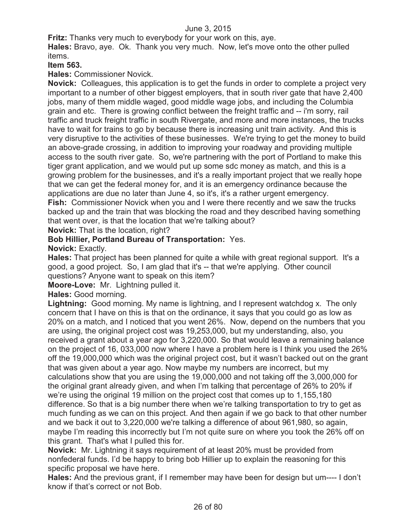**Fritz:** Thanks very much to everybody for your work on this, aye.

**Hales:** Bravo, aye. Ok. Thank you very much. Now, let's move onto the other pulled items.

# **Item 563.**

**Hales:** Commissioner Novick.

**Novick:** Colleagues, this application is to get the funds in order to complete a project very important to a number of other biggest employers, that in south river gate that have 2,400 jobs, many of them middle waged, good middle wage jobs, and including the Columbia grain and etc. There is growing conflict between the freight traffic and -- i'm sorry, rail traffic and truck freight traffic in south Rivergate, and more and more instances, the trucks have to wait for trains to go by because there is increasing unit train activity. And this is very disruptive to the activities of these businesses. We're trying to get the money to build an above-grade crossing, in addition to improving your roadway and providing multiple access to the south river gate. So, we're partnering with the port of Portland to make this tiger grant application, and we would put up some sdc money as match, and this is a growing problem for the businesses, and it's a really important project that we really hope that we can get the federal money for, and it is an emergency ordinance because the applications are due no later than June 4, so it's, it's a rather urgent emergency. **Fish:** Commissioner Novick when you and I were there recently and we saw the trucks backed up and the train that was blocking the road and they described having something

that went over, is that the location that we're talking about?

**Novick:** That is the location, right?

#### **Bob Hillier, Portland Bureau of Transportation:** Yes. **Novick:** Exactly.

**Hales:** That project has been planned for quite a while with great regional support. It's a good, a good project. So, I am glad that it's -- that we're applying. Other council questions? Anyone want to speak on this item?

**Moore-Love:** Mr. Lightning pulled it.

**Hales:** Good morning.

**Lightning:** Good morning. My name is lightning, and I represent watchdog x. The only concern that I have on this is that on the ordinance, it says that you could go as low as 20% on a match, and I noticed that you went 26%. Now, depend on the numbers that you are using, the original project cost was 19,253,000, but my understanding, also, you received a grant about a year ago for 3,220,000. So that would leave a remaining balance on the project of 16, 033,000 now where I have a problem here is I think you used the 26% off the 19,000,000 which was the original project cost, but it wasn't backed out on the grant that was given about a year ago. Now maybe my numbers are incorrect, but my calculations show that you are using the 19,000,000 and not taking off the 3,000,000 for the original grant already given, and when I'm talking that percentage of 26% to 20% if we're using the original 19 million on the project cost that comes up to 1,155,180 difference. So that is a big number there when we're talking transportation to try to get as much funding as we can on this project. And then again if we go back to that other number and we back it out to 3,220,000 we're talking a difference of about 961,980, so again, maybe I'm reading this incorrectly but I'm not quite sure on where you took the 26% off on this grant. That's what I pulled this for.

**Novick:** Mr. Lightning it says requirement of at least 20% must be provided from nonfederal funds. I'd be happy to bring bob Hillier up to explain the reasoning for this specific proposal we have here.

**Hales:** And the previous grant, if I remember may have been for design but um---- I don't know if that's correct or not Bob.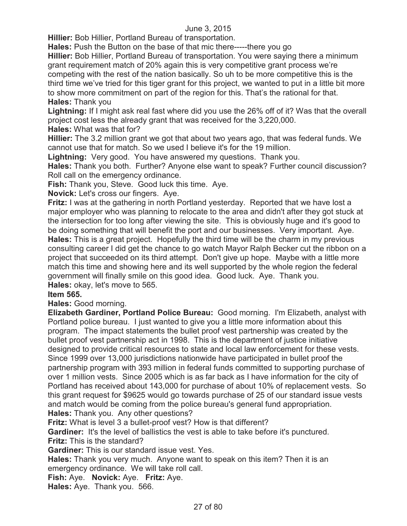**Hillier:** Bob Hillier, Portland Bureau of transportation.

**Hales:** Push the Button on the base of that mic there-----there you go

**Hillier:** Bob Hillier, Portland Bureau of transportation. You were saying there a minimum grant requirement match of 20% again this is very competitive grant process we're competing with the rest of the nation basically. So uh to be more competitive this is the third time we've tried for this tiger grant for this project, we wanted to put in a little bit more to show more commitment on part of the region for this. That's the rational for that. **Hales:** Thank you

**Lightning:** If I might ask real fast where did you use the 26% off of it? Was that the overall project cost less the already grant that was received for the 3,220,000.

**Hales:** What was that for?

**Hillier:** The 3.2 million grant we got that about two years ago, that was federal funds. We cannot use that for match. So we used I believe it's for the 19 million.

**Lightning:** Very good. You have answered my questions. Thank you.

**Hales:** Thank you both. Further? Anyone else want to speak? Further council discussion? Roll call on the emergency ordinance.

**Fish:** Thank you, Steve. Good luck this time. Aye.

**Novick:** Let's cross our fingers. Aye.

**Fritz:** I was at the gathering in north Portland yesterday. Reported that we have lost a major employer who was planning to relocate to the area and didn't after they got stuck at the intersection for too long after viewing the site. This is obviously huge and it's good to be doing something that will benefit the port and our businesses. Very important. Aye. **Hales:** This is a great project. Hopefully the third time will be the charm in my previous consulting career I did get the chance to go watch Mayor Ralph Becker cut the ribbon on a project that succeeded on its third attempt. Don't give up hope. Maybe with a little more match this time and showing here and its well supported by the whole region the federal government will finally smile on this good idea. Good luck. Aye. Thank you. **Hales:** okay, let's move to 565.

## **Item 565.**

**Hales:** Good morning.

**Elizabeth Gardiner, Portland Police Bureau:** Good morning. I'm Elizabeth, analyst with Portland police bureau. I just wanted to give you a little more information about this program. The impact statements the bullet proof vest partnership was created by the bullet proof vest partnership act in 1998. This is the department of justice initiative designed to provide critical resources to state and local law enforcement for these vests. Since 1999 over 13,000 jurisdictions nationwide have participated in bullet proof the partnership program with 393 million in federal funds committed to supporting purchase of over 1 million vests. Since 2005 which is as far back as I have information for the city of Portland has received about 143,000 for purchase of about 10% of replacement vests. So this grant request for \$9625 would go towards purchase of 25 of our standard issue vests and match would be coming from the police bureau's general fund appropriation. **Hales:** Thank you. Any other questions?

**Fritz:** What is level 3 a bullet-proof vest? How is that different?

**Gardiner:** It's the level of ballistics the vest is able to take before it's punctured.

**Fritz:** This is the standard?

**Gardiner:** This is our standard issue vest. Yes.

**Hales:** Thank you very much. Anyone want to speak on this item? Then it is an emergency ordinance. We will take roll call.

**Fish:** Aye. **Novick:** Aye. **Fritz:** Aye.

**Hales:** Aye. Thank you. 566.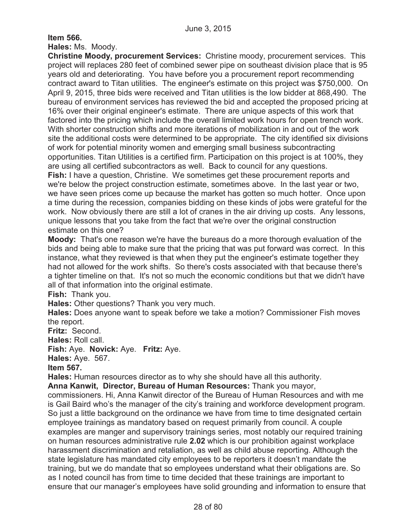**Item 566.**

**Hales:** Ms. Moody.

**Christine Moody, procurement Services:** Christine moody, procurement services. This project will replaces 280 feet of combined sewer pipe on southeast division place that is 95 years old and deteriorating. You have before you a procurement report recommending contract award to Titan utilities. The engineer's estimate on this project was \$750,000. On April 9, 2015, three bids were received and Titan utilities is the low bidder at 868,490. The bureau of environment services has reviewed the bid and accepted the proposed pricing at 16% over their original engineer's estimate. There are unique aspects of this work that factored into the pricing which include the overall limited work hours for open trench work. With shorter construction shifts and more iterations of mobilization in and out of the work site the additional costs were determined to be appropriate. The city identified six divisions of work for potential minority women and emerging small business subcontracting opportunities. Titan Utilities is a certified firm. Participation on this project is at 100%, they are using all certified subcontractors as well. Back to council for any questions. **Fish:** I have a question, Christine. We sometimes get these procurement reports and we're below the project construction estimate, sometimes above. In the last year or two, we have seen prices come up because the market has gotten so much hotter. Once upon a time during the recession, companies bidding on these kinds of jobs were grateful for the work. Now obviously there are still a lot of cranes in the air driving up costs. Any lessons, unique lessons that you take from the fact that we're over the original construction

## estimate on this one?

**Moody:** That's one reason we're have the bureaus do a more thorough evaluation of the bids and being able to make sure that the pricing that was put forward was correct. In this instance, what they reviewed is that when they put the engineer's estimate together they had not allowed for the work shifts. So there's costs associated with that because there's a tighter timeline on that. It's not so much the economic conditions but that we didn't have all of that information into the original estimate.

**Fish:** Thank you.

**Hales:** Other questions? Thank you very much.

**Hales:** Does anyone want to speak before we take a motion? Commissioner Fish moves the report.

**Fritz:** Second.

**Hales:** Roll call.

**Fish:** Aye. **Novick:** Aye. **Fritz:** Aye.

**Hales:** Aye. 567.

**Item 567.**

**Hales:** Human resources director as to why she should have all this authority.

**Anna Kanwit, Director, Bureau of Human Resources:** Thank you mayor,

commissioners. Hi, Anna Kanwit director of the Bureau of Human Resources and with me is Gail Baird who's the manager of the city's training and workforce development program. So just a little background on the ordinance we have from time to time designated certain employee trainings as mandatory based on request primarily from council. A couple examples are manger and supervisory trainings series, most notably our required training on human resources administrative rule **2.02** which is our prohibition against workplace harassment discrimination and retaliation, as well as child abuse reporting. Although the state legislature has mandated city employees to be reporters it doesn't mandate the training, but we do mandate that so employees understand what their obligations are. So as I noted council has from time to time decided that these trainings are important to ensure that our manager's employees have solid grounding and information to ensure that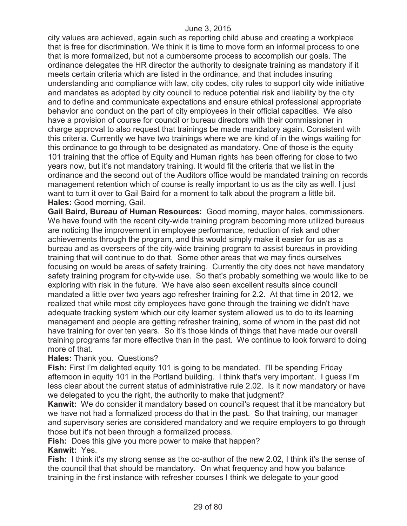city values are achieved, again such as reporting child abuse and creating a workplace that is free for discrimination. We think it is time to move form an informal process to one that is more formalized, but not a cumbersome process to accomplish our goals. The ordinance delegates the HR director the authority to designate training as mandatory if it meets certain criteria which are listed in the ordinance, and that includes insuring understanding and compliance with law, city codes, city rules to support city wide initiative and mandates as adopted by city council to reduce potential risk and liability by the city and to define and communicate expectations and ensure ethical professional appropriate behavior and conduct on the part of city employees in their official capacities. We also have a provision of course for council or bureau directors with their commissioner in charge approval to also request that trainings be made mandatory again. Consistent with this criteria. Currently we have two trainings where we are kind of in the wings waiting for this ordinance to go through to be designated as mandatory. One of those is the equity 101 training that the office of Equity and Human rights has been offering for close to two years now, but it's not mandatory training. It would fit the criteria that we list in the ordinance and the second out of the Auditors office would be mandated training on records management retention which of course is really important to us as the city as well. I just want to turn it over to Gail Baird for a moment to talk about the program a little bit. **Hales:** Good morning, Gail.

**Gail Baird, Bureau of Human Resources:** Good morning, mayor hales, commissioners. We have found with the recent city-wide training program becoming more utilized bureaus are noticing the improvement in employee performance, reduction of risk and other achievements through the program, and this would simply make it easier for us as a bureau and as overseers of the city-wide training program to assist bureaus in providing training that will continue to do that. Some other areas that we may finds ourselves focusing on would be areas of safety training. Currently the city does not have mandatory safety training program for city-wide use. So that's probably something we would like to be exploring with risk in the future. We have also seen excellent results since council mandated a little over two years ago refresher training for 2.2. At that time in 2012, we realized that while most city employees have gone through the training we didn't have adequate tracking system which our city learner system allowed us to do to its learning management and people are getting refresher training, some of whom in the past did not have training for over ten years. So it's those kinds of things that have made our overall training programs far more effective than in the past. We continue to look forward to doing more of that.

#### **Hales:** Thank you. Questions?

**Fish:** First I'm delighted equity 101 is going to be mandated. I'll be spending Friday afternoon in equity 101 in the Portland building. I think that's very important. I guess I'm less clear about the current status of administrative rule 2.02. Is it now mandatory or have we delegated to you the right, the authority to make that judgment?

**Kanwit:** We do consider it mandatory based on council's request that it be mandatory but we have not had a formalized process do that in the past. So that training, our manager and supervisory series are considered mandatory and we require employers to go through those but it's not been through a formalized process.

**Fish:** Does this give you more power to make that happen? **Kanwit:** Yes.

**Fish:** I think it's my strong sense as the co-author of the new 2.02, I think it's the sense of the council that that should be mandatory. On what frequency and how you balance training in the first instance with refresher courses I think we delegate to your good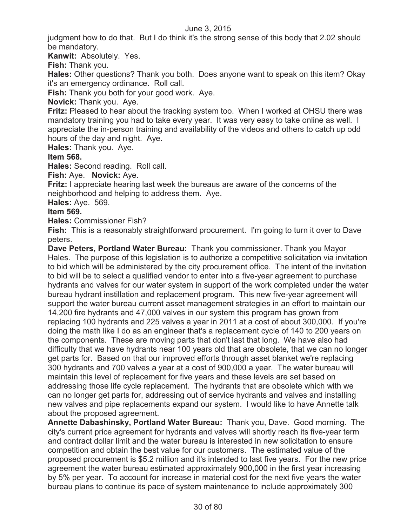judgment how to do that. But I do think it's the strong sense of this body that 2.02 should be mandatory.

**Kanwit:** Absolutely. Yes.

**Fish:** Thank you.

**Hales:** Other questions? Thank you both. Does anyone want to speak on this item? Okay it's an emergency ordinance. Roll call.

**Fish:** Thank you both for your good work. Aye.

**Novick:** Thank you. Aye.

**Fritz:** Pleased to hear about the tracking system too. When I worked at OHSU there was mandatory training you had to take every year. It was very easy to take online as well. I appreciate the in-person training and availability of the videos and others to catch up odd hours of the day and night. Aye.

**Hales:** Thank you. Aye.

#### **Item 568.**

**Hales:** Second reading. Roll call.

**Fish:** Aye. **Novick:** Aye.

**Fritz:** I appreciate hearing last week the bureaus are aware of the concerns of the neighborhood and helping to address them. Aye.

**Hales:** Aye. 569.

### **Item 569.**

**Hales:** Commissioner Fish?

**Fish:** This is a reasonably straightforward procurement. I'm going to turn it over to Dave peters.

**Dave Peters, Portland Water Bureau:** Thank you commissioner. Thank you Mayor Hales. The purpose of this legislation is to authorize a competitive solicitation via invitation to bid which will be administered by the city procurement office. The intent of the invitation to bid will be to select a qualified vendor to enter into a five-year agreement to purchase hydrants and valves for our water system in support of the work completed under the water bureau hydrant instillation and replacement program. This new five-year agreement will support the water bureau current asset management strategies in an effort to maintain our 14,200 fire hydrants and 47,000 valves in our system this program has grown from replacing 100 hydrants and 225 valves a year in 2011 at a cost of about 300,000. If you're doing the math like I do as an engineer that's a replacement cycle of 140 to 200 years on the components. These are moving parts that don't last that long. We have also had difficulty that we have hydrants near 100 years old that are obsolete, that we can no longer get parts for. Based on that our improved efforts through asset blanket we're replacing 300 hydrants and 700 valves a year at a cost of 900,000 a year. The water bureau will maintain this level of replacement for five years and these levels are set based on addressing those life cycle replacement. The hydrants that are obsolete which with we can no longer get parts for, addressing out of service hydrants and valves and installing new valves and pipe replacements expand our system. I would like to have Annette talk about the proposed agreement.

**Annette Dabashinsky, Portland Water Bureau:** Thank you, Dave. Good morning. The city's current price agreement for hydrants and valves will shortly reach its five-year term and contract dollar limit and the water bureau is interested in new solicitation to ensure competition and obtain the best value for our customers. The estimated value of the proposed procurement is \$5.2 million and it's intended to last five years. For the new price agreement the water bureau estimated approximately 900,000 in the first year increasing by 5% per year. To account for increase in material cost for the next five years the water bureau plans to continue its pace of system maintenance to include approximately 300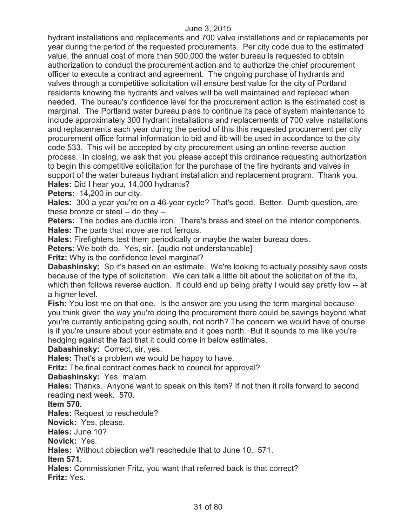hydrant installations and replacements and 700 valve installations and or replacements per year during the period of the requested procurements. Per city code due to the estimated value, the annual cost of more than 500,000 the water bureau is requested to obtain authorization to conduct the procurement action and to authorize the chief procurement officer to execute a contract and agreement. The ongoing purchase of hydrants and valves through a competitive solicitation will ensure best value for the city of Portland residents knowing the hydrants and valves will be well maintained and replaced when needed. The bureau's confidence level for the procurement action is the estimated cost is marginal. The Portland water bureau plans to continue its pace of system maintenance to include approximately 300 hydrant installations and replacements of 700 valve installations and replacements each year during the period of this this requested procurement per city procurement office formal information to bid and itb will be used in accordance to the city code 533. This will be accepted by city procurement using an online reverse auction process. In closing, we ask that you please accept this ordinance requesting authorization to begin this competitive solicitation for the purchase of the fire hydrants and valves in support of the water bureaus hydrant installation and replacement program. Thank you. **Hales:** Did I hear you, 14,000 hydrants?

**Peters:** 14,200 in our city.

**Hales:** 300 a year you're on a 46-year cycle? That's good. Better. Dumb question, are these bronze or steel -- do they --

Peters: The bodies are ductile iron. There's brass and steel on the interior components. **Hales:** The parts that move are not ferrous.

**Hales:** Firefighters test them periodically or maybe the water bureau does.

Peters: We both do. Yes, sir. [audio not understandable]

**Fritz:** Why is the confidence level marginal?

**Dabashinsky:** So it's based on an estimate. We're looking to actually possibly save costs because of the type of solicitation. We can talk a little bit about the solicitation of the itb, which then follows reverse auction. It could end up being pretty I would say pretty low -- at a higher level.

**Fish:** You lost me on that one. Is the answer are you using the term marginal because you think given the way you're doing the procurement there could be savings beyond what you're currently anticipating going south, not north? The concern we would have of course is if you're unsure about your estimate and it goes north. But it sounds to me like you're hedging against the fact that it could come in below estimates.

**Dabashinsky:** Correct, sir, yes.

**Hales:** That's a problem we would be happy to have.

**Fritz:** The final contract comes back to council for approval?

**Dabashinsky:** Yes, ma'am.

**Hales:** Thanks. Anyone want to speak on this item? If not then it rolls forward to second reading next week. 570.

**Item 570.**

**Hales:** Request to reschedule?

**Novick:** Yes, please.

**Hales:** June 10?

**Novick:** Yes.

**Hales:** Without objection we'll reschedule that to June 10. 571.

**Item 571.**

**Hales:** Commissioner Fritz, you want that referred back is that correct? **Fritz:** Yes.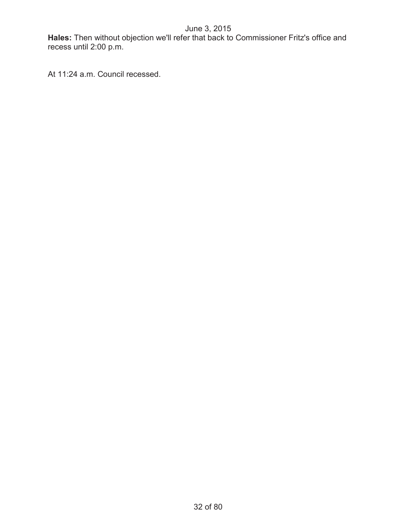**Hales:** Then without objection we'll refer that back to Commissioner Fritz's office and recess until 2:00 p.m.

At 11:24 a.m. Council recessed.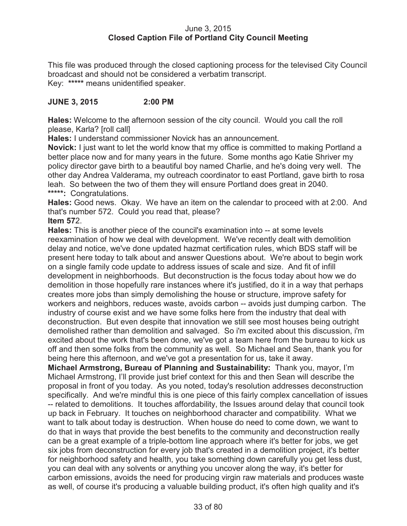## June 3, 2015 **Closed Caption File of Portland City Council Meeting**

This file was produced through the closed captioning process for the televised City Council broadcast and should not be considered a verbatim transcript. Key: **\*\*\*\*\*** means unidentified speaker.

## **JUNE 3, 2015 2:00 PM**

**Hales:** Welcome to the afternoon session of the city council. Would you call the roll please, Karla? [roll call]

**Hales:** I understand commissioner Novick has an announcement.

**Novick:** I just want to let the world know that my office is committed to making Portland a better place now and for many years in the future. Some months ago Katie Shriver my policy director gave birth to a beautiful boy named Charlie, and he's doing very well. The other day Andrea Valderama, my outreach coordinator to east Portland, gave birth to rosa leah. So between the two of them they will ensure Portland does great in 2040. **\*\*\*\*\*:** Congratulations.

**Hales:** Good news. Okay. We have an item on the calendar to proceed with at 2:00. And that's number 572. Could you read that, please?

## **Item 57**2.

**Hales:** This is another piece of the council's examination into -- at some levels reexamination of how we deal with development. We've recently dealt with demolition delay and notice, we've done updated hazmat certification rules, which BDS staff will be present here today to talk about and answer Questions about. We're about to begin work on a single family code update to address issues of scale and size. And fit of infill development in neighborhoods. But deconstruction is the focus today about how we do demolition in those hopefully rare instances where it's justified, do it in a way that perhaps creates more jobs than simply demolishing the house or structure, improve safety for workers and neighbors, reduces waste, avoids carbon -- avoids just dumping carbon. The industry of course exist and we have some folks here from the industry that deal with deconstruction. But even despite that innovation we still see most houses being outright demolished rather than demolition and salvaged. So i'm excited about this discussion, i'm excited about the work that's been done, we've got a team here from the bureau to kick us off and then some folks from the community as well. So Michael and Sean, thank you for being here this afternoon, and we've got a presentation for us, take it away.

**Michael Armstrong, Bureau of Planning and Sustainability:** Thank you, mayor, I'm Michael Armstrong, I'll provide just brief context for this and then Sean will describe the proposal in front of you today. As you noted, today's resolution addresses deconstruction specifically. And we're mindful this is one piece of this fairly complex cancellation of issues -- related to demolitions. It touches affordability, the Issues around delay that council took up back in February. It touches on neighborhood character and compatibility. What we want to talk about today is destruction. When house do need to come down, we want to do that in ways that provide the best benefits to the community and deconstruction really can be a great example of a triple-bottom line approach where it's better for jobs, we get six jobs from deconstruction for every job that's created in a demolition project, it's better for neighborhood safety and health, you take something down carefully you get less dust, you can deal with any solvents or anything you uncover along the way, it's better for carbon emissions, avoids the need for producing virgin raw materials and produces waste as well, of course it's producing a valuable building product, it's often high quality and it's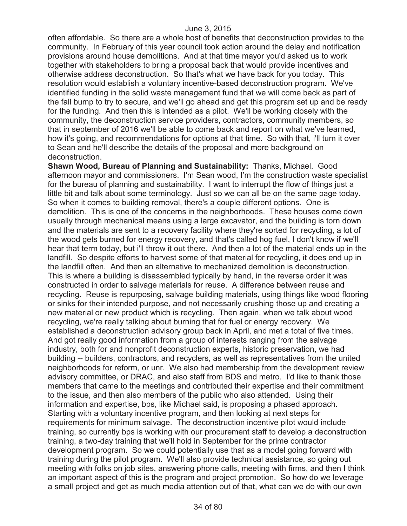often affordable. So there are a whole host of benefits that deconstruction provides to the community. In February of this year council took action around the delay and notification provisions around house demolitions. And at that time mayor you'd asked us to work together with stakeholders to bring a proposal back that would provide incentives and otherwise address deconstruction. So that's what we have back for you today. This resolution would establish a voluntary incentive-based deconstruction program. We've identified funding in the solid waste management fund that we will come back as part of the fall bump to try to secure, and we'll go ahead and get this program set up and be ready for the funding. And then this is intended as a pilot. We'll be working closely with the community, the deconstruction service providers, contractors, community members, so that in september of 2016 we'll be able to come back and report on what we've learned, how it's going, and recommendations for options at that time. So with that, i'll turn it over to Sean and he'll describe the details of the proposal and more background on deconstruction.

**Shawn Wood, Bureau of Planning and Sustainability:** Thanks, Michael. Good afternoon mayor and commissioners. I'm Sean wood, I'm the construction waste specialist for the bureau of planning and sustainability. I want to interrupt the flow of things just a little bit and talk about some terminology. Just so we can all be on the same page today. So when it comes to building removal, there's a couple different options. One is demolition. This is one of the concerns in the neighborhoods. These houses come down usually through mechanical means using a large excavator, and the building is torn down and the materials are sent to a recovery facility where they're sorted for recycling, a lot of the wood gets burned for energy recovery, and that's called hog fuel, I don't know if we'll hear that term today, but i'll throw it out there. And then a lot of the material ends up in the landfill. So despite efforts to harvest some of that material for recycling, it does end up in the landfill often. And then an alternative to mechanized demolition is deconstruction. This is where a building is disassembled typically by hand, in the reverse order it was constructed in order to salvage materials for reuse. A difference between reuse and recycling. Reuse is repurposing, salvage building materials, using things like wood flooring or sinks for their intended purpose, and not necessarily crushing those up and creating a new material or new product which is recycling. Then again, when we talk about wood recycling, we're really talking about burning that for fuel or energy recovery. We established a deconstruction advisory group back in April, and met a total of five times. And got really good information from a group of interests ranging from the salvage industry, both for and nonprofit deconstruction experts, historic preservation, we had building -- builders, contractors, and recyclers, as well as representatives from the united neighborhoods for reform, or unr. We also had membership from the development review advisory committee, or DRAC, and also staff from BDS and metro. I'd like to thank those members that came to the meetings and contributed their expertise and their commitment to the issue, and then also members of the public who also attended. Using their information and expertise, bps, like Michael said, is proposing a phased approach. Starting with a voluntary incentive program, and then looking at next steps for requirements for minimum salvage. The deconstruction incentive pilot would include training, so currently bps is working with our procurement staff to develop a deconstruction training, a two-day training that we'll hold in September for the prime contractor development program. So we could potentially use that as a model going forward with training during the pilot program. We'll also provide technical assistance, so going out meeting with folks on job sites, answering phone calls, meeting with firms, and then I think an important aspect of this is the program and project promotion. So how do we leverage a small project and get as much media attention out of that, what can we do with our own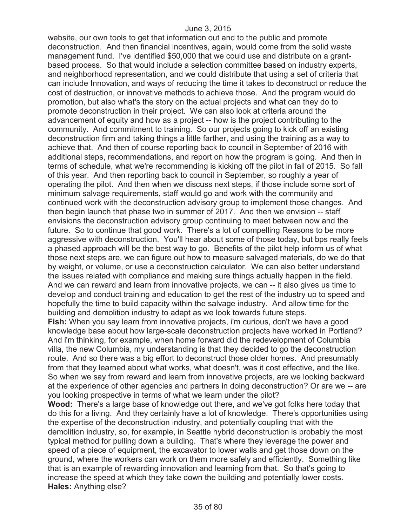website, our own tools to get that information out and to the public and promote deconstruction. And then financial incentives, again, would come from the solid waste management fund. I've identified \$50,000 that we could use and distribute on a grantbased process. So that would include a selection committee based on industry experts, and neighborhood representation, and we could distribute that using a set of criteria that can include Innovation, and ways of reducing the time it takes to deconstruct or reduce the cost of destruction, or innovative methods to achieve those. And the program would do promotion, but also what's the story on the actual projects and what can they do to promote deconstruction in their project. We can also look at criteria around the advancement of equity and how as a project -- how is the project contributing to the community. And commitment to training. So our projects going to kick off an existing deconstruction firm and taking things a little farther, and using the training as a way to achieve that. And then of course reporting back to council in September of 2016 with additional steps, recommendations, and report on how the program is going. And then in terms of schedule, what we're recommending is kicking off the pilot in fall of 2015. So fall of this year. And then reporting back to council in September, so roughly a year of operating the pilot. And then when we discuss next steps, if those include some sort of minimum salvage requirements, staff would go and work with the community and continued work with the deconstruction advisory group to implement those changes. And then begin launch that phase two in summer of 2017. And then we envision -- staff envisions the deconstruction advisory group continuing to meet between now and the future. So to continue that good work. There's a lot of compelling Reasons to be more aggressive with deconstruction. You'll hear about some of those today, but bps really feels a phased approach will be the best way to go. Benefits of the pilot help inform us of what those next steps are, we can figure out how to measure salvaged materials, do we do that by weight, or volume, or use a deconstruction calculator. We can also better understand the issues related with compliance and making sure things actually happen in the field. And we can reward and learn from innovative projects, we can -- it also gives us time to develop and conduct training and education to get the rest of the industry up to speed and hopefully the time to build capacity within the salvage industry. And allow time for the building and demolition industry to adapt as we look towards future steps. **Fish:** When you say learn from innovative projects, i'm curious, don't we have a good knowledge base about how large-scale deconstruction projects have worked in Portland? And i'm thinking, for example, when home forward did the redevelopment of Columbia villa, the new Columbia, my understanding is that they decided to go the deconstruction route. And so there was a big effort to deconstruct those older homes. And presumably from that they learned about what works, what doesn't, was it cost effective, and the like. So when we say from reward and learn from innovative projects, are we looking backward at the experience of other agencies and partners in doing deconstruction? Or are we -- are you looking prospective in terms of what we learn under the pilot? **Wood:** There's a large base of knowledge out there, and we've got folks here today that do this for a living. And they certainly have a lot of knowledge. There's opportunities using the expertise of the deconstruction industry, and potentially coupling that with the demolition industry, so, for example, in Seattle hybrid deconstruction is probably the most

typical method for pulling down a building. That's where they leverage the power and speed of a piece of equipment, the excavator to lower walls and get those down on the ground, where the workers can work on them more safely and efficiently. Something like that is an example of rewarding innovation and learning from that. So that's going to increase the speed at which they take down the building and potentially lower costs. **Hales:** Anything else?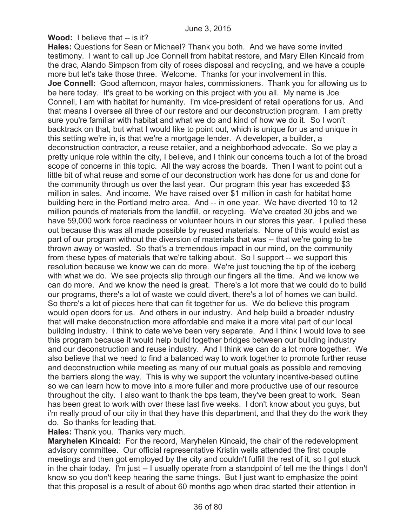**Wood:** I believe that -- is it?

**Hales:** Questions for Sean or Michael? Thank you both. And we have some invited testimony. I want to call up Joe Connell from habitat restore, and Mary Ellen Kincaid from the drac, Alando Simpson from city of roses disposal and recycling, and we have a couple more but let's take those three. Welcome. Thanks for your involvement in this. **Joe Connell:** Good afternoon, mayor hales, commissioners. Thank you for allowing us to be here today. It's great to be working on this project with you all. My name is Joe Connell, I am with habitat for humanity. I'm vice-president of retail operations for us. And that means I oversee all three of our restore and our deconstruction program. I am pretty sure you're familiar with habitat and what we do and kind of how we do it. So I won't backtrack on that, but what I would like to point out, which is unique for us and unique in this setting we're in, is that we're a mortgage lender. A developer, a builder, a deconstruction contractor, a reuse retailer, and a neighborhood advocate. So we play a pretty unique role within the city, I believe, and I think our concerns touch a lot of the broad scope of concerns in this topic. All the way across the boards. Then I want to point out a little bit of what reuse and some of our deconstruction work has done for us and done for the community through us over the last year. Our program this year has exceeded \$3 million in sales. And income. We have raised over \$1 million in cash for habitat home building here in the Portland metro area. And -- in one year. We have diverted 10 to 12 million pounds of materials from the landfill, or recycling. We've created 30 jobs and we have 59,000 work force readiness or volunteer hours in our stores this year. I pulled these out because this was all made possible by reused materials. None of this would exist as part of our program without the diversion of materials that was -- that we're going to be thrown away or wasted. So that's a tremendous impact in our mind, on the community from these types of materials that we're talking about. So I support -- we support this resolution because we know we can do more. We're just touching the tip of the iceberg with what we do. We see projects slip through our fingers all the time. And we know we can do more. And we know the need is great. There's a lot more that we could do to build our programs, there's a lot of waste we could divert, there's a lot of homes we can build. So there's a lot of pieces here that can fit together for us. We do believe this program would open doors for us. And others in our industry. And help build a broader industry that will make deconstruction more affordable and make it a more vital part of our local building industry. I think to date we've been very separate. And I think I would love to see this program because it would help build together bridges between our building industry and our deconstruction and reuse industry. And I think we can do a lot more together. We also believe that we need to find a balanced way to work together to promote further reuse and deconstruction while meeting as many of our mutual goals as possible and removing the barriers along the way. This is why we support the voluntary incentive-based outline so we can learn how to move into a more fuller and more productive use of our resource throughout the city. I also want to thank the bps team, they've been great to work. Sean has been great to work with over these last five weeks. I don't know about you guys, but i'm really proud of our city in that they have this department, and that they do the work they do. So thanks for leading that.

**Hales:** Thank you. Thanks very much.

**Maryhelen Kincaid:** For the record, Maryhelen Kincaid, the chair of the redevelopment advisory committee. Our official representative Kristin wells attended the first couple meetings and then got employed by the city and couldn't fulfill the rest of it, so I got stuck in the chair today. I'm just -- I usually operate from a standpoint of tell me the things I don't know so you don't keep hearing the same things. But I just want to emphasize the point that this proposal is a result of about 60 months ago when drac started their attention in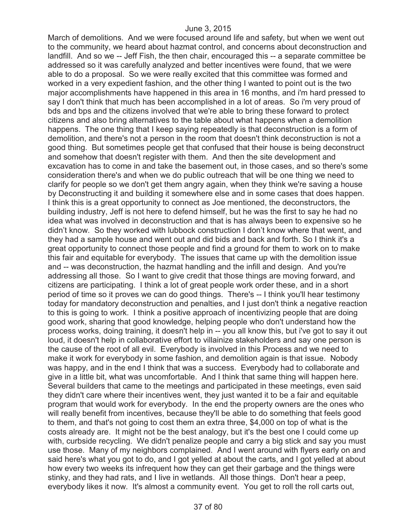March of demolitions. And we were focused around life and safety, but when we went out to the community, we heard about hazmat control, and concerns about deconstruction and landfill. And so we -- Jeff Fish, the then chair, encouraged this -- a separate committee be addressed so it was carefully analyzed and better incentives were found, that we were able to do a proposal. So we were really excited that this committee was formed and worked in a very expedient fashion, and the other thing I wanted to point out is the two major accomplishments have happened in this area in 16 months, and i'm hard pressed to say I don't think that much has been accomplished in a lot of areas. So i'm very proud of bds and bps and the citizens involved that we're able to bring these forward to protect citizens and also bring alternatives to the table about what happens when a demolition happens. The one thing that I keep saying repeatedly is that deconstruction is a form of demolition, and there's not a person in the room that doesn't think deconstruction is not a good thing. But sometimes people get that confused that their house is being deconstruct and somehow that doesn't register with them. And then the site development and excavation has to come in and take the basement out, in those cases, and so there's some consideration there's and when we do public outreach that will be one thing we need to clarify for people so we don't get them angry again, when they think we're saving a house by Deconstructing it and building it somewhere else and in some cases that does happen. I think this is a great opportunity to connect as Joe mentioned, the deconstructors, the building industry, Jeff is not here to defend himself, but he was the first to say he had no idea what was involved in deconstruction and that is has always been to expensive so he didn't know. So they worked with lubbock construction I don't know where that went, and they had a sample house and went out and did bids and back and forth. So I think it's a great opportunity to connect those people and find a ground for them to work on to make this fair and equitable for everybody. The issues that came up with the demolition issue and -- was deconstruction, the hazmat handling and the infill and design. And you're addressing all those. So I want to give credit that those things are moving forward, and citizens are participating. I think a lot of great people work order these, and in a short period of time so it proves we can do good things. There's -- I think you'll hear testimony today for mandatory deconstruction and penalties, and I just don't think a negative reaction to this is going to work. I think a positive approach of incentivizing people that are doing good work, sharing that good knowledge, helping people who don't understand how the process works, doing training, it doesn't help in -- you all know this, but i've got to say it out loud, it doesn't help in collaborative effort to villainize stakeholders and say one person is the cause of the root of all evil. Everybody is involved in this Process and we need to make it work for everybody in some fashion, and demolition again is that issue. Nobody was happy, and in the end I think that was a success. Everybody had to collaborate and give in a little bit, what was uncomfortable. And I think that same thing will happen here. Several builders that came to the meetings and participated in these meetings, even said they didn't care where their incentives went, they just wanted it to be a fair and equitable program that would work for everybody. In the end the property owners are the ones who will really benefit from incentives, because they'll be able to do something that feels good to them, and that's not going to cost them an extra three, \$4,000 on top of what is the costs already are. It might not be the best analogy, but it's the best one I could come up with, curbside recycling. We didn't penalize people and carry a big stick and say you must use those. Many of my neighbors complained. And I went around with flyers early on and said here's what you got to do, and I got yelled at about the carts, and I got yelled at about how every two weeks its infrequent how they can get their garbage and the things were stinky, and they had rats, and I live in wetlands. All those things. Don't hear a peep, everybody likes it now. It's almost a community event. You get to roll the roll carts out,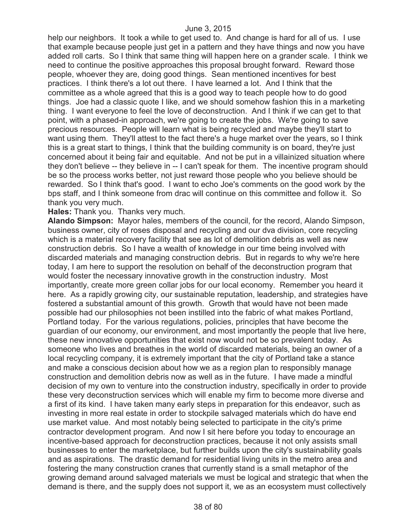help our neighbors. It took a while to get used to. And change is hard for all of us. I use that example because people just get in a pattern and they have things and now you have added roll carts. So I think that same thing will happen here on a grander scale. I think we need to continue the positive approaches this proposal brought forward. Reward those people, whoever they are, doing good things. Sean mentioned incentives for best practices. I think there's a lot out there. I have learned a lot. And I think that the committee as a whole agreed that this is a good way to teach people how to do good things. Joe had a classic quote I like, and we should somehow fashion this in a marketing thing. I want everyone to feel the love of deconstruction. And I think if we can get to that point, with a phased-in approach, we're going to create the jobs. We're going to save precious resources. People will learn what is being recycled and maybe they'll start to want using them. They'll attest to the fact there's a huge market over the years, so I think this is a great start to things, I think that the building community is on board, they're just concerned about it being fair and equitable. And not be put in a villainized situation where they don't believe -- they believe in -- I can't speak for them. The incentive program should be so the process works better, not just reward those people who you believe should be rewarded. So I think that's good. I want to echo Joe's comments on the good work by the bps staff, and I think someone from drac will continue on this committee and follow it. So thank you very much.

**Hales:** Thank you. Thanks very much.

**Alando Simpson:** Mayor hales, members of the council, for the record, Alando Simpson, business owner, city of roses disposal and recycling and our dva division, core recycling which is a material recovery facility that see as lot of demolition debris as well as new construction debris. So I have a wealth of knowledge in our time being involved with discarded materials and managing construction debris. But in regards to why we're here today, I am here to support the resolution on behalf of the deconstruction program that would foster the necessary innovative growth in the construction industry. Most importantly, create more green collar jobs for our local economy. Remember you heard it here. As a rapidly growing city, our sustainable reputation, leadership, and strategies have fostered a substantial amount of this growth. Growth that would have not been made possible had our philosophies not been instilled into the fabric of what makes Portland, Portland today. For the various regulations, policies, principles that have become the guardian of our economy, our environment, and most importantly the people that live here, these new innovative opportunities that exist now would not be so prevalent today. As someone who lives and breathes in the world of discarded materials, being an owner of a local recycling company, it is extremely important that the city of Portland take a stance and make a conscious decision about how we as a region plan to responsibly manage construction and demolition debris now as well as in the future. I have made a mindful decision of my own to venture into the construction industry, specifically in order to provide these very deconstruction services which will enable my firm to become more diverse and a first of its kind. I have taken many early steps in preparation for this endeavor, such as investing in more real estate in order to stockpile salvaged materials which do have end use market value. And most notably being selected to participate in the city's prime contractor development program. And now I sit here before you today to encourage an incentive-based approach for deconstruction practices, because it not only assists small businesses to enter the marketplace, but further builds upon the city's sustainability goals and as aspirations. The drastic demand for residential living units in the metro area and fostering the many construction cranes that currently stand is a small metaphor of the growing demand around salvaged materials we must be logical and strategic that when the demand is there, and the supply does not support it, we as an ecosystem must collectively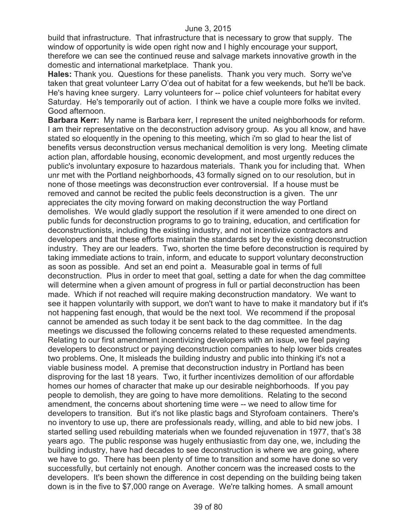build that infrastructure. That infrastructure that is necessary to grow that supply. The window of opportunity is wide open right now and I highly encourage your support, therefore we can see the continued reuse and salvage markets innovative growth in the domestic and international marketplace. Thank you.

**Hales:** Thank you. Questions for these panelists. Thank you very much. Sorry we've taken that great volunteer Larry O'dea out of habitat for a few weekends, but he'll be back. He's having knee surgery. Larry volunteers for -- police chief volunteers for habitat every Saturday. He's temporarily out of action. I think we have a couple more folks we invited. Good afternoon.

**Barbara Kerr:** My name is Barbara kerr, I represent the united neighborhoods for reform. I am their representative on the deconstruction advisory group. As you all know, and have stated so eloquently in the opening to this meeting, which i'm so glad to hear the list of benefits versus deconstruction versus mechanical demolition is very long. Meeting climate action plan, affordable housing, economic development, and most urgently reduces the public's involuntary exposure to hazardous materials. Thank you for including that. When unr met with the Portland neighborhoods, 43 formally signed on to our resolution, but in none of those meetings was deconstruction ever controversial. If a house must be removed and cannot be recited the public feels deconstruction is a given. The unr appreciates the city moving forward on making deconstruction the way Portland demolishes. We would gladly support the resolution if it were amended to one direct on public funds for deconstruction programs to go to training, education, and certification for deconstructionists, including the existing industry, and not incentivize contractors and developers and that these efforts maintain the standards set by the existing deconstruction industry. They are our leaders. Two, shorten the time before deconstruction is required by taking immediate actions to train, inform, and educate to support voluntary deconstruction as soon as possible. And set an end point a. Measurable goal in terms of full deconstruction. Plus in order to meet that goal, setting a date for when the dag committee will determine when a given amount of progress in full or partial deconstruction has been made. Which if not reached will require making deconstruction mandatory. We want to see it happen voluntarily with support, we don't want to have to make it mandatory but if it's not happening fast enough, that would be the next tool. We recommend if the proposal cannot be amended as such today it be sent back to the dag committee. In the dag meetings we discussed the following concerns related to these requested amendments. Relating to our first amendment incentivizing developers with an issue, we feel paying developers to deconstruct or paying deconstruction companies to help lower bids creates two problems. One, It misleads the building industry and public into thinking it's not a viable business model. A premise that deconstruction industry in Portland has been disproving for the last 18 years. Two, it further incentivizes demolition of our affordable homes our homes of character that make up our desirable neighborhoods. If you pay people to demolish, they are going to have more demolitions. Relating to the second amendment, the concerns about shortening time were -- we need to allow time for developers to transition. But it's not like plastic bags and Styrofoam containers. There's no inventory to use up, there are professionals ready, willing, and able to bid new jobs. I started selling used rebuilding materials when we founded rejuvenation in 1977, that's 38 years ago. The public response was hugely enthusiastic from day one, we, including the building industry, have had decades to see deconstruction is where we are going, where we have to go. There has been plenty of time to transition and some have done so very successfully, but certainly not enough. Another concern was the increased costs to the developers. It's been shown the difference in cost depending on the building being taken down is in the five to \$7,000 range on Average. We're talking homes. A small amount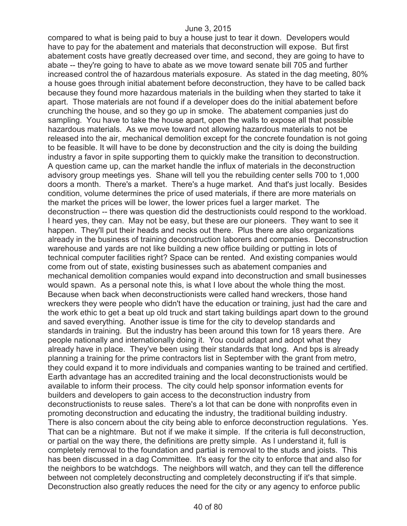compared to what is being paid to buy a house just to tear it down. Developers would have to pay for the abatement and materials that deconstruction will expose. But first abatement costs have greatly decreased over time, and second, they are going to have to abate -- they're going to have to abate as we move toward senate bill 705 and further increased control the of hazardous materials exposure. As stated in the dag meeting, 80% a house goes through initial abatement before deconstruction, they have to be called back because they found more hazardous materials in the building when they started to take it apart. Those materials are not found if a developer does do the initial abatement before crunching the house, and so they go up in smoke. The abatement companies just do sampling. You have to take the house apart, open the walls to expose all that possible hazardous materials. As we move toward not allowing hazardous materials to not be released into the air, mechanical demolition except for the concrete foundation is not going to be feasible. It will have to be done by deconstruction and the city is doing the building industry a favor in spite supporting them to quickly make the transition to deconstruction. A question came up, can the market handle the influx of materials in the deconstruction advisory group meetings yes. Shane will tell you the rebuilding center sells 700 to 1,000 doors a month. There's a market. There's a huge market. And that's just locally. Besides condition, volume determines the price of used materials, if there are more materials on the market the prices will be lower, the lower prices fuel a larger market. The deconstruction -- there was question did the destructionists could respond to the workload. I heard yes, they can. May not be easy, but these are our pioneers. They want to see it happen. They'll put their heads and necks out there. Plus there are also organizations already in the business of training deconstruction laborers and companies. Deconstruction warehouse and yards are not like building a new office building or putting in lots of technical computer facilities right? Space can be rented. And existing companies would come from out of state, existing businesses such as abatement companies and mechanical demolition companies would expand into deconstruction and small businesses would spawn. As a personal note this, is what I love about the whole thing the most. Because when back when deconstructionists were called hand wreckers, those hand wreckers they were people who didn't have the education or training, just had the care and the work ethic to get a beat up old truck and start taking buildings apart down to the ground and saved everything. Another issue is time for the city to develop standards and standards in training. But the industry has been around this town for 18 years there. Are people nationally and internationally doing it. You could adapt and adopt what they already have in place. They've been using their standards that long. And bps is already planning a training for the prime contractors list in September with the grant from metro, they could expand it to more individuals and companies wanting to be trained and certified. Earth advantage has an accredited training and the local deconstructionists would be available to inform their process. The city could help sponsor information events for builders and developers to gain access to the deconstruction industry from deconstructionists to reuse sales. There's a lot that can be done with nonprofits even in promoting deconstruction and educating the industry, the traditional building industry. There is also concern about the city being able to enforce deconstruction regulations. Yes. That can be a nightmare. But not if we make it simple. If the criteria is full deconstruction, or partial on the way there, the definitions are pretty simple. As I understand it, full is completely removal to the foundation and partial is removal to the studs and joists. This has been discussed in a dag Committee. It's easy for the city to enforce that and also for the neighbors to be watchdogs. The neighbors will watch, and they can tell the difference between not completely deconstructing and completely deconstructing if it's that simple. Deconstruction also greatly reduces the need for the city or any agency to enforce public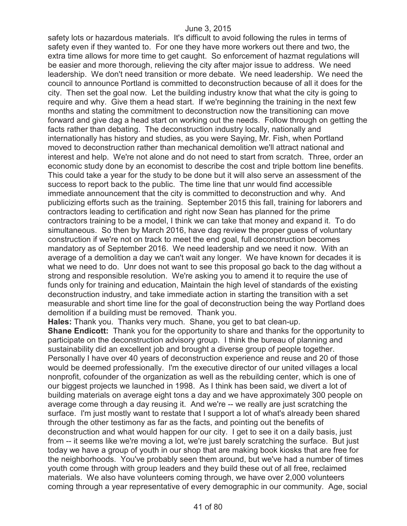safety lots or hazardous materials. It's difficult to avoid following the rules in terms of safety even if they wanted to. For one they have more workers out there and two, the extra time allows for more time to get caught. So enforcement of hazmat regulations will be easier and more thorough, relieving the city after major issue to address. We need leadership. We don't need transition or more debate. We need leadership. We need the council to announce Portland is committed to deconstruction because of all it does for the city. Then set the goal now. Let the building industry know that what the city is going to require and why. Give them a head start. If we're beginning the training in the next few months and stating the commitment to deconstruction now the transitioning can move forward and give dag a head start on working out the needs. Follow through on getting the facts rather than debating. The deconstruction industry locally, nationally and internationally has history and studies, as you were Saying, Mr. Fish, when Portland moved to deconstruction rather than mechanical demolition we'll attract national and interest and help. We're not alone and do not need to start from scratch. Three, order an economic study done by an economist to describe the cost and triple bottom line benefits. This could take a year for the study to be done but it will also serve an assessment of the success to report back to the public. The time line that unr would find accessible immediate announcement that the city is committed to deconstruction and why. And publicizing efforts such as the training. September 2015 this fall, training for laborers and contractors leading to certification and right now Sean has planned for the prime contractors training to be a model, I think we can take that money and expand it. To do simultaneous. So then by March 2016, have dag review the proper guess of voluntary construction if we're not on track to meet the end goal, full deconstruction becomes mandatory as of September 2016. We need leadership and we need it now. With an average of a demolition a day we can't wait any longer. We have known for decades it is what we need to do. Unr does not want to see this proposal go back to the dag without a strong and responsible resolution. We're asking you to amend it to require the use of funds only for training and education, Maintain the high level of standards of the existing deconstruction industry, and take immediate action in starting the transition with a set measurable and short time line for the goal of deconstruction being the way Portland does demolition if a building must be removed. Thank you.

**Hales:** Thank you. Thanks very much. Shane, you get to bat clean-up.

**Shane Endicott:** Thank you for the opportunity to share and thanks for the opportunity to participate on the deconstruction advisory group. I think the bureau of planning and sustainability did an excellent job and brought a diverse group of people together. Personally I have over 40 years of deconstruction experience and reuse and 20 of those would be deemed professionally. I'm the executive director of our united villages a local nonprofit, cofounder of the organization as well as the rebuilding center, which is one of our biggest projects we launched in 1998. As I think has been said, we divert a lot of building materials on average eight tons a day and we have approximately 300 people on average come through a day reusing it. And we're -- we really are just scratching the surface. I'm just mostly want to restate that I support a lot of what's already been shared through the other testimony as far as the facts, and pointing out the benefits of deconstruction and what would happen for our city. I get to see it on a daily basis, just from -- it seems like we're moving a lot, we're just barely scratching the surface. But just today we have a group of youth in our shop that are making book kiosks that are free for the neighborhoods. You've probably seen them around, but we've had a number of times youth come through with group leaders and they build these out of all free, reclaimed materials. We also have volunteers coming through, we have over 2,000 volunteers coming through a year representative of every demographic in our community. Age, social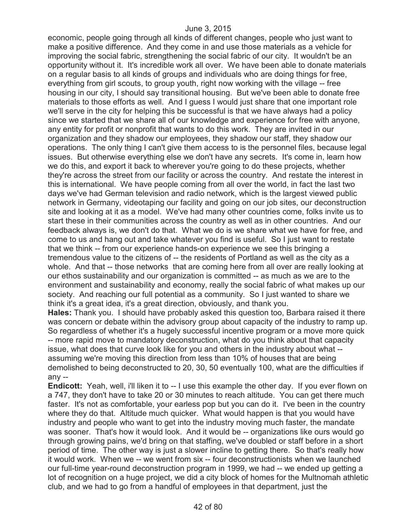economic, people going through all kinds of different changes, people who just want to make a positive difference. And they come in and use those materials as a vehicle for improving the social fabric, strengthening the social fabric of our city. It wouldn't be an opportunity without it. It's incredible work all over. We have been able to donate materials on a regular basis to all kinds of groups and individuals who are doing things for free, everything from girl scouts, to group youth, right now working with the village -- free housing in our city, I should say transitional housing. But we've been able to donate free materials to those efforts as well. And I guess I would just share that one important role we'll serve in the city for helping this be successful is that we have always had a policy since we started that we share all of our knowledge and experience for free with anyone, any entity for profit or nonprofit that wants to do this work. They are invited in our organization and they shadow our employees, they shadow our staff, they shadow our operations. The only thing I can't give them access to is the personnel files, because legal issues. But otherwise everything else we don't have any secrets. It's come in, learn how we do this, and export it back to wherever you're going to do these projects, whether they're across the street from our facility or across the country. And restate the interest in this is international. We have people coming from all over the world, in fact the last two days we've had German television and radio network, which is the largest viewed public network in Germany, videotaping our facility and going on our job sites, our deconstruction site and looking at it as a model. We've had many other countries come, folks invite us to start these in their communities across the country as well as in other countries. And our feedback always is, we don't do that. What we do is we share what we have for free, and come to us and hang out and take whatever you find is useful. So I just want to restate that we think -- from our experience hands-on experience we see this bringing a tremendous value to the citizens of -- the residents of Portland as well as the city as a whole. And that -- those networks that are coming here from all over are really looking at our ethos sustainability and our organization is committed -- as much as we are to the environment and sustainability and economy, really the social fabric of what makes up our society. And reaching our full potential as a community. So I just wanted to share we think it's a great idea, it's a great direction, obviously, and thank you.

**Hales:** Thank you. I should have probably asked this question too, Barbara raised it there was concern or debate within the advisory group about capacity of the industry to ramp up. So regardless of whether it's a hugely successful incentive program or a move more quick -- more rapid move to mandatory deconstruction, what do you think about that capacity issue, what does that curve look like for you and others in the industry about what - assuming we're moving this direction from less than 10% of houses that are being demolished to being deconstructed to 20, 30, 50 eventually 100, what are the difficulties if any --

**Endicott:** Yeah, well, i'll liken it to -- I use this example the other day. If you ever flown on a 747, they don't have to take 20 or 30 minutes to reach altitude. You can get there much faster. It's not as comfortable, your earless pop but you can do it. I've been in the country where they do that. Altitude much quicker. What would happen is that you would have industry and people who want to get into the industry moving much faster, the mandate was sooner. That's how it would look. And it would be -- organizations like ours would go through growing pains, we'd bring on that staffing, we've doubled or staff before in a short period of time. The other way is just a slower incline to getting there. So that's really how it would work. When we -- we went from six -- four deconstructionists when we launched our full-time year-round deconstruction program in 1999, we had -- we ended up getting a lot of recognition on a huge project, we did a city block of homes for the Multnomah athletic club, and we had to go from a handful of employees in that department, just the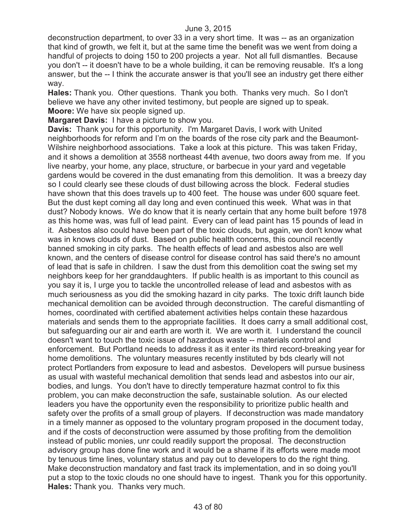deconstruction department, to over 33 in a very short time. It was -- as an organization that kind of growth, we felt it, but at the same time the benefit was we went from doing a handful of projects to doing 150 to 200 projects a year. Not all full dismantles. Because you don't -- it doesn't have to be a whole building, it can be removing reusable. It's a long answer, but the -- I think the accurate answer is that you'll see an industry get there either way.

**Hales:** Thank you. Other questions. Thank you both. Thanks very much. So I don't believe we have any other invited testimony, but people are signed up to speak. **Moore:** We have six people signed up.

**Margaret Davis:** I have a picture to show you.

**Davis:** Thank you for this opportunity. I'm Margaret Davis, I work with United neighborhoods for reform and I'm on the boards of the rose city park and the Beaumont-Wilshire neighborhood associations. Take a look at this picture. This was taken Friday, and it shows a demolition at 3558 northeast 44th avenue, two doors away from me. If you live nearby, your home, any place, structure, or barbecue in your yard and vegetable gardens would be covered in the dust emanating from this demolition. It was a breezy day so I could clearly see these clouds of dust billowing across the block. Federal studies have shown that this does travels up to 400 feet. The house was under 600 square feet. But the dust kept coming all day long and even continued this week. What was in that dust? Nobody knows. We do know that it is nearly certain that any home built before 1978 as this home was, was full of lead paint. Every can of lead paint has 15 pounds of lead in it. Asbestos also could have been part of the toxic clouds, but again, we don't know what was in knows clouds of dust. Based on public health concerns, this council recently banned smoking in city parks. The health effects of lead and asbestos also are well known, and the centers of disease control for disease control has said there's no amount of lead that is safe in children. I saw the dust from this demolition coat the swing set my neighbors keep for her granddaughters. If public health is as important to this council as you say it is, I urge you to tackle the uncontrolled release of lead and asbestos with as much seriousness as you did the smoking hazard in city parks. The toxic drift launch bide mechanical demolition can be avoided through deconstruction. The careful dismantling of homes, coordinated with certified abatement activities helps contain these hazardous materials and sends them to the appropriate facilities. It does carry a small additional cost, but safeguarding our air and earth are worth it. We are worth it. I understand the council doesn't want to touch the toxic issue of hazardous waste -- materials control and enforcement. But Portland needs to address it as it enter its third record-breaking year for home demolitions. The voluntary measures recently instituted by bds clearly will not protect Portlanders from exposure to lead and asbestos. Developers will pursue business as usual with wasteful mechanical demolition that sends lead and asbestos into our air, bodies, and lungs. You don't have to directly temperature hazmat control to fix this problem, you can make deconstruction the safe, sustainable solution. As our elected leaders you have the opportunity even the responsibility to prioritize public health and safety over the profits of a small group of players. If deconstruction was made mandatory in a timely manner as opposed to the voluntary program proposed in the document today, and if the costs of deconstruction were assumed by those profiting from the demolition instead of public monies, unr could readily support the proposal. The deconstruction advisory group has done fine work and it would be a shame if its efforts were made moot by tenuous time lines, voluntary status and pay out to developers to do the right thing. Make deconstruction mandatory and fast track its implementation, and in so doing you'll put a stop to the toxic clouds no one should have to ingest. Thank you for this opportunity. **Hales:** Thank you. Thanks very much.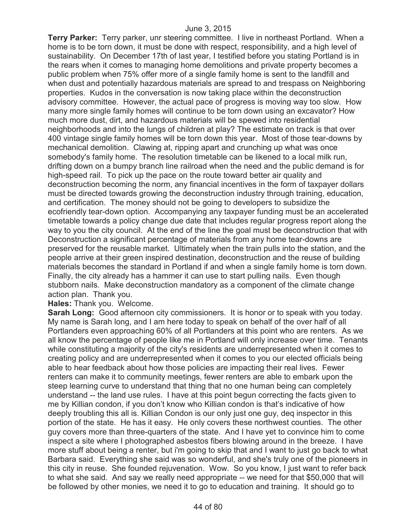**Terry Parker:** Terry parker, unr steering committee. I live in northeast Portland. When a home is to be torn down, it must be done with respect, responsibility, and a high level of sustainability. On December 17th of last year, I testified before you stating Portland is in the rears when it comes to managing home demolitions and private property becomes a public problem when 75% offer more of a single family home is sent to the landfill and when dust and potentially hazardous materials are spread to and trespass on Neighboring properties. Kudos in the conversation is now taking place within the deconstruction advisory committee. However, the actual pace of progress is moving way too slow. How many more single family homes will continue to be torn down using an excavator? How much more dust, dirt, and hazardous materials will be spewed into residential neighborhoods and into the lungs of children at play? The estimate on track is that over 400 vintage single family homes will be torn down this year. Most of those tear-downs by mechanical demolition. Clawing at, ripping apart and crunching up what was once somebody's family home. The resolution timetable can be likened to a local milk run, drifting down on a bumpy branch line railroad when the need and the public demand is for high-speed rail. To pick up the pace on the route toward better air quality and deconstruction becoming the norm, any financial incentives in the form of taxpayer dollars must be directed towards growing the deconstruction industry through training, education, and certification. The money should not be going to developers to subsidize the ecofriendly tear-down option. Accompanying any taxpayer funding must be an accelerated timetable towards a policy change due date that includes regular progress report along the way to you the city council. At the end of the line the goal must be deconstruction that with Deconstruction a significant percentage of materials from any home tear-downs are preserved for the reusable market. Ultimately when the train pulls into the station, and the people arrive at their green inspired destination, deconstruction and the reuse of building materials becomes the standard in Portland if and when a single family home is torn down. Finally, the city already has a hammer it can use to start pulling nails. Even though stubborn nails. Make deconstruction mandatory as a component of the climate change action plan. Thank you.

**Hales:** Thank you. Welcome.

**Sarah Long:** Good afternoon city commissioners. It is honor or to speak with you today. My name is Sarah long, and I am here today to speak on behalf of the over half of all Portlanders even approaching 60% of all Portlanders at this point who are renters. As we all know the percentage of people like me in Portland will only increase over time. Tenants while constituting a majority of the city's residents are underrepresented when it comes to creating policy and are underrepresented when it comes to you our elected officials being able to hear feedback about how those policies are impacting their real lives. Fewer renters can make it to community meetings, fewer renters are able to embark upon the steep learning curve to understand that thing that no one human being can completely understand -- the land use rules. I have at this point begun correcting the facts given to me by Killian condon, if you don't know who Killian condon is that's indicative of how deeply troubling this all is. Killian Condon is our only just one guy, deq inspector in this portion of the state. He has it easy. He only covers these northwest counties. The other guy covers more than three-quarters of the state. And I have yet to convince him to come inspect a site where I photographed asbestos fibers blowing around in the breeze. I have more stuff about being a renter, but i'm going to skip that and I want to just go back to what Barbara said. Everything she said was so wonderful, and she's truly one of the pioneers in this city in reuse. She founded rejuvenation. Wow. So you know, I just want to refer back to what she said. And say we really need appropriate -- we need for that \$50,000 that will be followed by other monies, we need it to go to education and training. It should go to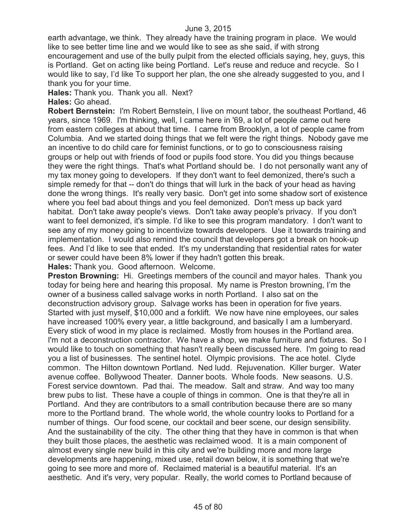earth advantage, we think. They already have the training program in place. We would like to see better time line and we would like to see as she said, if with strong encouragement and use of the bully pulpit from the elected officials saying, hey, guys, this is Portland. Get on acting like being Portland. Let's reuse and reduce and recycle. So I would like to say, I'd like To support her plan, the one she already suggested to you, and I thank you for your time.

**Hales:** Thank you. Thank you all. Next?

**Hales:** Go ahead.

**Robert Bernstein:** I'm Robert Bernstein, I live on mount tabor, the southeast Portland, 46 years, since 1969. I'm thinking, well, I came here in '69, a lot of people came out here from eastern colleges at about that time. I came from Brooklyn, a lot of people came from Columbia. And we started doing things that we felt were the right things. Nobody gave me an incentive to do child care for feminist functions, or to go to consciousness raising groups or help out with friends of food or pupils food store. You did you things because they were the right things. That's what Portland should be. I do not personally want any of my tax money going to developers. If they don't want to feel demonized, there's such a simple remedy for that -- don't do things that will lurk in the back of your head as having done the wrong things. It's really very basic. Don't get into some shadow sort of existence where you feel bad about things and you feel demonized. Don't mess up back yard habitat. Don't take away people's views. Don't take away people's privacy. If you don't want to feel demonized, it's simple. I'd like to see this program mandatory. I don't want to see any of my money going to incentivize towards developers. Use it towards training and implementation. I would also remind the council that developers got a break on hook-up fees. And I'd like to see that ended. It's my understanding that residential rates for water or sewer could have been 8% lower if they hadn't gotten this break.

**Hales:** Thank you. Good afternoon. Welcome.

**Preston Browning:** Hi. Greetings members of the council and mayor hales. Thank you today for being here and hearing this proposal. My name is Preston browning, I'm the owner of a business called salvage works in north Portland. I also sat on the deconstruction advisory group. Salvage works has been in operation for five years. Started with just myself, \$10,000 and a forklift. We now have nine employees, our sales have increased 100% every year, a little background, and basically I am a lumberyard. Every stick of wood in my place is reclaimed. Mostly from houses in the Portland area. I'm not a deconstruction contractor. We have a shop, we make furniture and fixtures. So I would like to touch on something that hasn't really been discussed here. I'm going to read you a list of businesses. The sentinel hotel. Olympic provisions. The ace hotel. Clyde common. The Hilton downtown Portland. Ned ludd. Rejuvenation. Killer burger. Water avenue coffee. Bollywood Theater. Danner boots. Whole foods. New seasons. U.S. Forest service downtown. Pad thai. The meadow. Salt and straw. And way too many brew pubs to list. These have a couple of things in common. One is that they're all in Portland. And they are contributors to a small contribution because there are so many more to the Portland brand. The whole world, the whole country looks to Portland for a number of things. Our food scene, our cocktail and beer scene, our design sensibility. And the sustainability of the city. The other thing that they have in common is that when they built those places, the aesthetic was reclaimed wood. It is a main component of almost every single new build in this city and we're building more and more large developments are happening, mixed use, retail down below, it is something that we're going to see more and more of. Reclaimed material is a beautiful material. It's an aesthetic. And it's very, very popular. Really, the world comes to Portland because of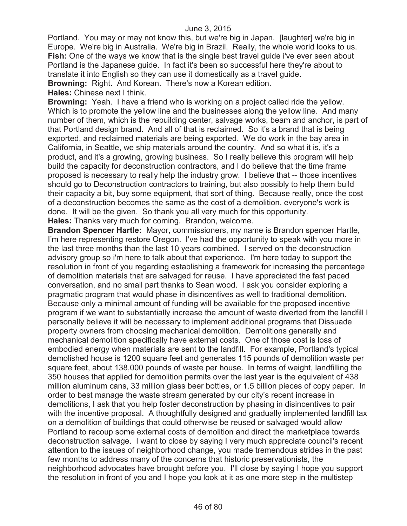Portland. You may or may not know this, but we're big in Japan. [laughter] we're big in Europe. We're big in Australia. We're big in Brazil. Really, the whole world looks to us. **Fish:** One of the ways we know that is the single best travel guide i've ever seen about Portland is the Japanese guide. In fact it's been so successful here they're about to translate it into English so they can use it domestically as a travel guide. **Browning:** Right. And Korean. There's now a Korean edition.

**Hales:** Chinese next I think.

**Browning:** Yeah. I have a friend who is working on a project called ride the yellow. Which is to promote the yellow line and the businesses along the yellow line. And many number of them, which is the rebuilding center, salvage works, beam and anchor, is part of that Portland design brand. And all of that is reclaimed. So it's a brand that is being exported, and reclaimed materials are being exported. We do work in the bay area in California, in Seattle, we ship materials around the country. And so what it is, it's a product, and it's a growing, growing business. So I really believe this program will help build the capacity for deconstruction contractors, and I do believe that the time frame proposed is necessary to really help the industry grow. I believe that -- those incentives should go to Deconstruction contractors to training, but also possibly to help them build their capacity a bit, buy some equipment, that sort of thing. Because really, once the cost of a deconstruction becomes the same as the cost of a demolition, everyone's work is done. It will be the given. So thank you all very much for this opportunity. **Hales:** Thanks very much for coming. Brandon, welcome.

**Brandon Spencer Hartle:** Mayor, commissioners, my name is Brandon spencer Hartle, I'm here representing restore Oregon. I've had the opportunity to speak with you more in the last three months than the last 10 years combined. I served on the deconstruction advisory group so i'm here to talk about that experience. I'm here today to support the resolution in front of you regarding establishing a framework for increasing the percentage of demolition materials that are salvaged for reuse. I have appreciated the fast paced conversation, and no small part thanks to Sean wood. I ask you consider exploring a pragmatic program that would phase in disincentives as well to traditional demolition. Because only a minimal amount of funding will be available for the proposed incentive program if we want to substantially increase the amount of waste diverted from the landfill I personally believe it will be necessary to implement additional programs that Dissuade property owners from choosing mechanical demolition. Demolitions generally and mechanical demolition specifically have external costs. One of those cost is loss of embodied energy when materials are sent to the landfill. For example, Portland's typical demolished house is 1200 square feet and generates 115 pounds of demolition waste per square feet, about 138,000 pounds of waste per house. In terms of weight, landfilling the 350 houses that applied for demolition permits over the last year is the equivalent of 438 million aluminum cans, 33 million glass beer bottles, or 1.5 billion pieces of copy paper. In order to best manage the waste stream generated by our city's recent increase in demolitions, I ask that you help foster deconstruction by phasing in disincentives to pair with the incentive proposal. A thoughtfully designed and gradually implemented landfill tax on a demolition of buildings that could otherwise be reused or salvaged would allow Portland to recoup some external costs of demolition and direct the marketplace towards deconstruction salvage. I want to close by saying I very much appreciate council's recent attention to the issues of neighborhood change, you made tremendous strides in the past few months to address many of the concerns that historic preservationists, the neighborhood advocates have brought before you. I'll close by saying I hope you support the resolution in front of you and I hope you look at it as one more step in the multistep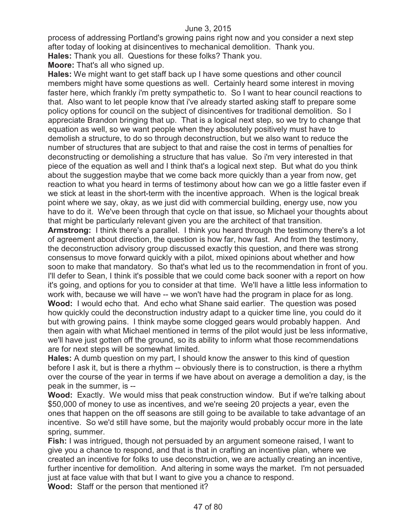process of addressing Portland's growing pains right now and you consider a next step after today of looking at disincentives to mechanical demolition. Thank you. **Hales:** Thank you all. Questions for these folks? Thank you.

**Moore:** That's all who signed up.

**Hales:** We might want to get staff back up I have some questions and other council members might have some questions as well. Certainly heard some interest in moving faster here, which frankly i'm pretty sympathetic to. So I want to hear council reactions to that. Also want to let people know that i've already started asking staff to prepare some policy options for council on the subject of disincentives for traditional demolition. So I appreciate Brandon bringing that up. That is a logical next step, so we try to change that equation as well, so we want people when they absolutely positively must have to demolish a structure, to do so through deconstruction, but we also want to reduce the number of structures that are subject to that and raise the cost in terms of penalties for deconstructing or demolishing a structure that has value. So i'm very interested in that piece of the equation as well and I think that's a logical next step. But what do you think about the suggestion maybe that we come back more quickly than a year from now, get reaction to what you heard in terms of testimony about how can we go a little faster even if we stick at least in the short-term with the incentive approach. When is the logical break point where we say, okay, as we just did with commercial building, energy use, now you have to do it. We've been through that cycle on that issue, so Michael your thoughts about that might be particularly relevant given you are the architect of that transition.

**Armstrong:** I think there's a parallel. I think you heard through the testimony there's a lot of agreement about direction, the question is how far, how fast. And from the testimony, the deconstruction advisory group discussed exactly this question, and there was strong consensus to move forward quickly with a pilot, mixed opinions about whether and how soon to make that mandatory. So that's what led us to the recommendation in front of you. I'll defer to Sean, I think it's possible that we could come back sooner with a report on how it's going, and options for you to consider at that time. We'll have a little less information to work with, because we will have -- we won't have had the program in place for as long. **Wood:** I would echo that. And echo what Shane said earlier. The question was posed how quickly could the deconstruction industry adapt to a quicker time line, you could do it but with growing pains. I think maybe some clogged gears would probably happen. And then again with what Michael mentioned in terms of the pilot would just be less informative, we'll have just gotten off the ground, so its ability to inform what those recommendations are for next steps will be somewhat limited.

**Hales:** A dumb question on my part, I should know the answer to this kind of question before I ask it, but is there a rhythm -- obviously there is to construction, is there a rhythm over the course of the year in terms if we have about on average a demolition a day, is the peak in the summer, is --

**Wood:** Exactly. We would miss that peak construction window. But if we're talking about \$50,000 of money to use as incentives, and we're seeing 20 projects a year, even the ones that happen on the off seasons are still going to be available to take advantage of an incentive. So we'd still have some, but the majority would probably occur more in the late spring, summer.

**Fish:** I was intrigued, though not persuaded by an argument someone raised, I want to give you a chance to respond, and that is that in crafting an incentive plan, where we created an incentive for folks to use deconstruction, we are actually creating an incentive, further incentive for demolition. And altering in some ways the market. I'm not persuaded just at face value with that but I want to give you a chance to respond.

**Wood:** Staff or the person that mentioned it?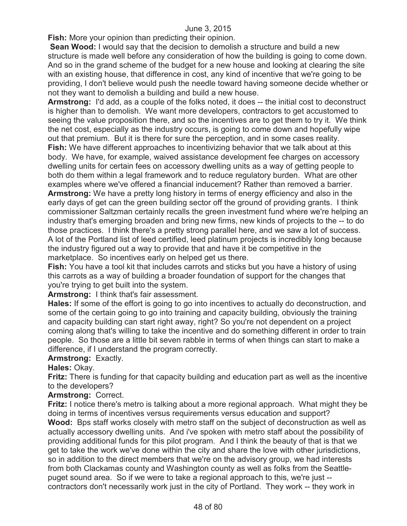**Fish:** More your opinion than predicting their opinion.

**Sean Wood:** I would say that the decision to demolish a structure and build a new structure is made well before any consideration of how the building is going to come down. And so in the grand scheme of the budget for a new house and looking at clearing the site with an existing house, that difference in cost, any kind of incentive that we're going to be providing, I don't believe would push the needle toward having someone decide whether or not they want to demolish a building and build a new house.

**Armstrong:** I'd add, as a couple of the folks noted, it does -- the initial cost to deconstruct is higher than to demolish. We want more developers, contractors to get accustomed to seeing the value proposition there, and so the incentives are to get them to try it. We think the net cost, especially as the industry occurs, is going to come down and hopefully wipe out that premium. But it is there for sure the perception, and in some cases reality.

**Fish:** We have different approaches to incentivizing behavior that we talk about at this body. We have, for example, waived assistance development fee charges on accessory dwelling units for certain fees on accessory dwelling units as a way of getting people to both do them within a legal framework and to reduce regulatory burden. What are other examples where we've offered a financial inducement? Rather than removed a barrier. **Armstrong:** We have a pretty long history in terms of energy efficiency and also in the early days of get can the green building sector off the ground of providing grants. I think commissioner Saltzman certainly recalls the green investment fund where we're helping an industry that's emerging broaden and bring new firms, new kinds of projects to the -- to do those practices. I think there's a pretty strong parallel here, and we saw a lot of success. A lot of the Portland list of leed certified, leed platinum projects is incredibly long because the industry figured out a way to provide that and have it be competitive in the marketplace. So incentives early on helped get us there.

**Fish:** You have a tool kit that includes carrots and sticks but you have a history of using this carrots as a way of building a broader foundation of support for the changes that you're trying to get built into the system.

**Armstrong:** I think that's fair assessment.

**Hales:** If some of the effort is going to go into incentives to actually do deconstruction, and some of the certain going to go into training and capacity building, obviously the training and capacity building can start right away, right? So you're not dependent on a project coming along that's willing to take the incentive and do something different in order to train people. So those are a little bit seven rabble in terms of when things can start to make a difference, if I understand the program correctly.

# **Armstrong:** Exactly.

# **Hales:** Okay.

**Fritz:** There is funding for that capacity building and education part as well as the incentive to the developers?

# **Armstrong:** Correct.

**Fritz:** I notice there's metro is talking about a more regional approach. What might they be doing in terms of incentives versus requirements versus education and support? **Wood:** Bps staff works closely with metro staff on the subject of deconstruction as well as actually accessory dwelling units. And i've spoken with metro staff about the possibility of providing additional funds for this pilot program. And I think the beauty of that is that we get to take the work we've done within the city and share the love with other jurisdictions, so in addition to the direct members that we're on the advisory group, we had interests from both Clackamas county and Washington county as well as folks from the Seattlepuget sound area. So if we were to take a regional approach to this, we're just - contractors don't necessarily work just in the city of Portland. They work -- they work in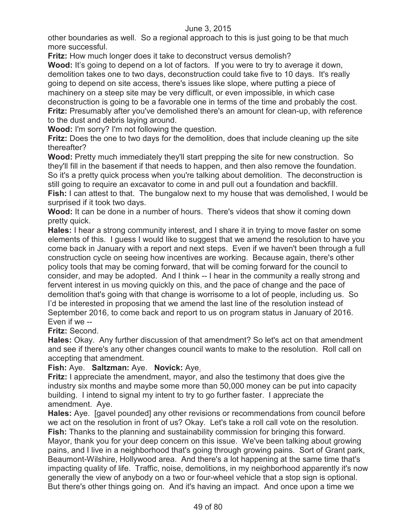other boundaries as well. So a regional approach to this is just going to be that much more successful.

**Fritz:** How much longer does it take to deconstruct versus demolish?

Wood: It's going to depend on a lot of factors. If you were to try to average it down, demolition takes one to two days, deconstruction could take five to 10 days. It's really going to depend on site access, there's issues like slope, where putting a piece of machinery on a steep site may be very difficult, or even impossible, in which case deconstruction is going to be a favorable one in terms of the time and probably the cost. **Fritz:** Presumably after you've demolished there's an amount for clean-up, with reference to the dust and debris laying around.

**Wood:** I'm sorry? I'm not following the question.

**Fritz:** Does the one to two days for the demolition, does that include cleaning up the site thereafter?

**Wood:** Pretty much immediately they'll start prepping the site for new construction. So they'll fill in the basement if that needs to happen, and then also remove the foundation. So it's a pretty quick process when you're talking about demolition. The deconstruction is still going to require an excavator to come in and pull out a foundation and backfill. **Fish:** I can attest to that. The bungalow next to my house that was demolished, I would be surprised if it took two days.

**Wood:** It can be done in a number of hours. There's videos that show it coming down pretty quick.

**Hales:** I hear a strong community interest, and I share it in trying to move faster on some elements of this. I guess I would like to suggest that we amend the resolution to have you come back in January with a report and next steps. Even if we haven't been through a full construction cycle on seeing how incentives are working. Because again, there's other policy tools that may be coming forward, that will be coming forward for the council to consider, and may be adopted. And I think -- I hear in the community a really strong and fervent interest in us moving quickly on this, and the pace of change and the pace of demolition that's going with that change is worrisome to a lot of people, including us. So I'd be interested in proposing that we amend the last line of the resolution instead of September 2016, to come back and report to us on program status in January of 2016. Even if we --

**Fritz:** Second.

**Hales:** Okay. Any further discussion of that amendment? So let's act on that amendment and see if there's any other changes council wants to make to the resolution. Roll call on accepting that amendment.

# **Fish:** Aye. **Saltzman:** Aye. **Novick:** Aye.

**Fritz:** I appreciate the amendment, mayor, and also the testimony that does give the industry six months and maybe some more than 50,000 money can be put into capacity building. I intend to signal my intent to try to go further faster. I appreciate the amendment. Aye.

**Hales:** Aye. [gavel pounded] any other revisions or recommendations from council before we act on the resolution in front of us? Okay. Let's take a roll call vote on the resolution. **Fish:** Thanks to the planning and sustainability commission for bringing this forward. Mayor, thank you for your deep concern on this issue. We've been talking about growing pains, and I live in a neighborhood that's going through growing pains. Sort of Grant park, Beaumont-Wilshire, Hollywood area. And there's a lot happening at the same time that's impacting quality of life. Traffic, noise, demolitions, in my neighborhood apparently it's now generally the view of anybody on a two or four-wheel vehicle that a stop sign is optional. But there's other things going on. And it's having an impact. And once upon a time we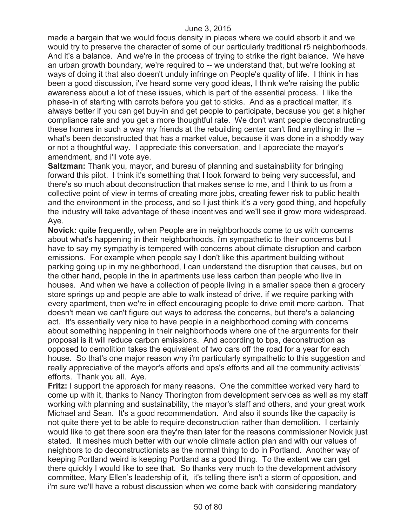made a bargain that we would focus density in places where we could absorb it and we would try to preserve the character of some of our particularly traditional r5 neighborhoods. And it's a balance. And we're in the process of trying to strike the right balance. We have an urban growth boundary, we're required to -- we understand that, but we're looking at ways of doing it that also doesn't unduly infringe on People's quality of life. I think in has been a good discussion, i've heard some very good ideas, I think we're raising the public awareness about a lot of these issues, which is part of the essential process. I like the phase-in of starting with carrots before you get to sticks. And as a practical matter, it's always better if you can get buy-in and get people to participate, because you get a higher compliance rate and you get a more thoughtful rate. We don't want people deconstructing these homes in such a way my friends at the rebuilding center can't find anything in the - what's been deconstructed that has a market value, because it was done in a shoddy way or not a thoughtful way. I appreciate this conversation, and I appreciate the mayor's amendment, and i'll vote aye.

**Saltzman:** Thank you, mayor, and bureau of planning and sustainability for bringing forward this pilot. I think it's something that I look forward to being very successful, and there's so much about deconstruction that makes sense to me, and I think to us from a collective point of view in terms of creating more jobs, creating fewer risk to public health and the environment in the process, and so I just think it's a very good thing, and hopefully the industry will take advantage of these incentives and we'll see it grow more widespread. Aye.

**Novick:** quite frequently, when People are in neighborhoods come to us with concerns about what's happening in their neighborhoods, i'm sympathetic to their concerns but I have to say my sympathy is tempered with concerns about climate disruption and carbon emissions. For example when people say I don't like this apartment building without parking going up in my neighborhood, I can understand the disruption that causes, but on the other hand, people in the in apartments use less carbon than people who live in houses. And when we have a collection of people living in a smaller space then a grocery store springs up and people are able to walk instead of drive, if we require parking with every apartment, then we're in effect encouraging people to drive emit more carbon. That doesn't mean we can't figure out ways to address the concerns, but there's a balancing act. It's essentially very nice to have people in a neighborhood coming with concerns about something happening in their neighborhoods where one of the arguments for their proposal is it will reduce carbon emissions. And according to bps, deconstruction as opposed to demolition takes the equivalent of two cars off the road for a year for each house. So that's one major reason why i'm particularly sympathetic to this suggestion and really appreciative of the mayor's efforts and bps's efforts and all the community activists' efforts. Thank you all. Aye.

**Fritz:** I support the approach for many reasons. One the committee worked very hard to come up with it, thanks to Nancy Thorington from development services as well as my staff working with planning and sustainability, the mayor's staff and others, and your great work Michael and Sean. It's a good recommendation. And also it sounds like the capacity is not quite there yet to be able to require deconstruction rather than demolition. I certainly would like to get there soon era they're than later for the reasons commissioner Novick just stated. It meshes much better with our whole climate action plan and with our values of neighbors to do deconstructionists as the normal thing to do in Portland. Another way of keeping Portland weird is keeping Portland as a good thing. To the extent we can get there quickly I would like to see that. So thanks very much to the development advisory committee, Mary Ellen's leadership of it, it's telling there isn't a storm of opposition, and i'm sure we'll have a robust discussion when we come back with considering mandatory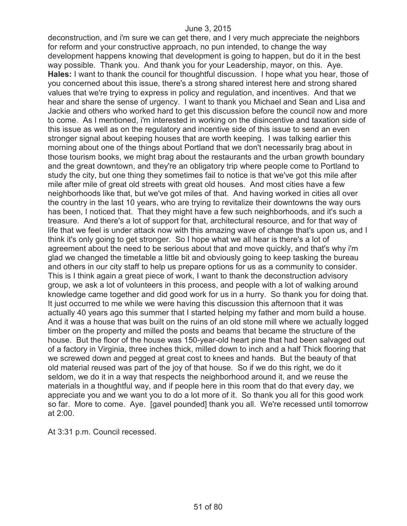deconstruction, and i'm sure we can get there, and I very much appreciate the neighbors for reform and your constructive approach, no pun intended, to change the way development happens knowing that development is going to happen, but do it in the best way possible. Thank you. And thank you for your Leadership, mayor, on this. Aye. **Hales:** I want to thank the council for thoughtful discussion. I hope what you hear, those of you concerned about this issue, there's a strong shared interest here and strong shared values that we're trying to express in policy and regulation, and incentives. And that we hear and share the sense of urgency. I want to thank you Michael and Sean and Lisa and Jackie and others who worked hard to get this discussion before the council now and more to come. As I mentioned, i'm interested in working on the disincentive and taxation side of this issue as well as on the regulatory and incentive side of this issue to send an even stronger signal about keeping houses that are worth keeping. I was talking earlier this morning about one of the things about Portland that we don't necessarily brag about in those tourism books, we might brag about the restaurants and the urban growth boundary and the great downtown, and they're an obligatory trip where people come to Portland to study the city, but one thing they sometimes fail to notice is that we've got this mile after mile after mile of great old streets with great old houses. And most cities have a few neighborhoods like that, but we've got miles of that. And having worked in cities all over the country in the last 10 years, who are trying to revitalize their downtowns the way ours has been, I noticed that. That they might have a few such neighborhoods, and it's such a treasure. And there's a lot of support for that, architectural resource, and for that way of life that we feel is under attack now with this amazing wave of change that's upon us, and I think it's only going to get stronger. So I hope what we all hear is there's a lot of agreement about the need to be serious about that and move quickly, and that's why i'm glad we changed the timetable a little bit and obviously going to keep tasking the bureau and others in our city staff to help us prepare options for us as a community to consider. This is I think again a great piece of work, I want to thank the deconstruction advisory group, we ask a lot of volunteers in this process, and people with a lot of walking around knowledge came together and did good work for us in a hurry. So thank you for doing that. It just occurred to me while we were having this discussion this afternoon that it was actually 40 years ago this summer that I started helping my father and mom build a house. And it was a house that was built on the ruins of an old stone mill where we actually logged timber on the property and milled the posts and beams that became the structure of the house. But the floor of the house was 150-year-old heart pine that had been salvaged out of a factory in Virginia, three inches thick, milled down to inch and a half Thick flooring that we screwed down and pegged at great cost to knees and hands. But the beauty of that old material reused was part of the joy of that house. So if we do this right, we do it seldom, we do it in a way that respects the neighborhood around it, and we reuse the materials in a thoughtful way, and if people here in this room that do that every day, we appreciate you and we want you to do a lot more of it. So thank you all for this good work so far. More to come. Aye. [gavel pounded] thank you all. We're recessed until tomorrow at 2:00.

At 3:31 p.m. Council recessed.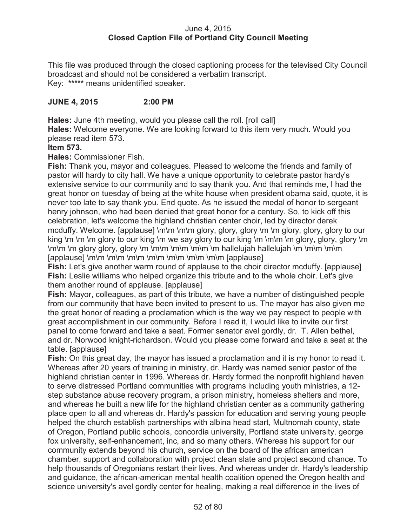## June 4, 2015 **Closed Caption File of Portland City Council Meeting**

This file was produced through the closed captioning process for the televised City Council broadcast and should not be considered a verbatim transcript. Key: **\*\*\*\*\*** means unidentified speaker.

# **JUNE 4, 2015 2:00 PM**

**Hales:** June 4th meeting, would you please call the roll. [roll call]

**Hales:** Welcome everyone. We are looking forward to this item very much. Would you please read item 573.

### **Item 573.**

**Hales:** Commissioner Fish.

**Fish:** Thank you, mayor and colleagues. Pleased to welcome the friends and family of pastor will hardy to city hall. We have a unique opportunity to celebrate pastor hardy's extensive service to our community and to say thank you. And that reminds me, I had the great honor on tuesday of being at the white house when president obama said, quote, it is never too late to say thank you. End quote. As he issued the medal of honor to sergeant henry johnson, who had been denied that great honor for a century. So, to kick off this celebration, let's welcome the highland christian center choir, led by director derek mcduffy. Welcome. [applause] \m\m \m\m glory, glory, glory \m \m glory, glory, glory to our king  $\mathfrak{m} \mathfrak{m}$  \m \m glory to our king \m we say glory to our king  $\mathfrak{m} \mathfrak{m}$  \m glory, glory, glory  $\mathfrak{m}$ \m\m \m glory glory, glory \m \m\m \m\m \m\m \m hallelujah hallelujah \m \m\m \m\m [applause] \m\m \m\m \m\m \m\m \m\m \m\m \m\m [applause]

**Fish:** Let's give another warm round of applause to the choir director mcduffy. [applause] **Fish:** Leslie williams who helped organize this tribute and to the whole choir. Let's give them another round of applause. [applause]

**Fish:** Mayor, colleagues, as part of this tribute, we have a number of distinguished people from our community that have been invited to present to us. The mayor has also given me the great honor of reading a proclamation which is the way we pay respect to people with great accomplishment in our community. Before I read it, I would like to invite our first panel to come forward and take a seat. Former senator avel gordly, dr. T. Allen bethel, and dr. Norwood knight-richardson. Would you please come forward and take a seat at the table. [applause]

**Fish:** On this great day, the mayor has issued a proclamation and it is my honor to read it. Whereas after 20 years of training in ministry, dr. Hardy was named senior pastor of the highland christian center in 1996. Whereas dr. Hardy formed the nonprofit highland haven to serve distressed Portland communities with programs including youth ministries, a 12 step substance abuse recovery program, a prison ministry, homeless shelters and more, and whereas he built a new life for the highland christian center as a community gathering place open to all and whereas dr. Hardy's passion for education and serving young people helped the church establish partnerships with albina head start, Multnomah county, state of Oregon, Portland public schools, concordia university, Portland state university, george fox university, self-enhancement, inc, and so many others. Whereas his support for our community extends beyond his church, service on the board of the african american chamber, support and collaboration with project clean slate and project second chance. To help thousands of Oregonians restart their lives. And whereas under dr. Hardy's leadership and guidance, the african-american mental health coalition opened the Oregon health and science university's avel gordly center for healing, making a real difference in the lives of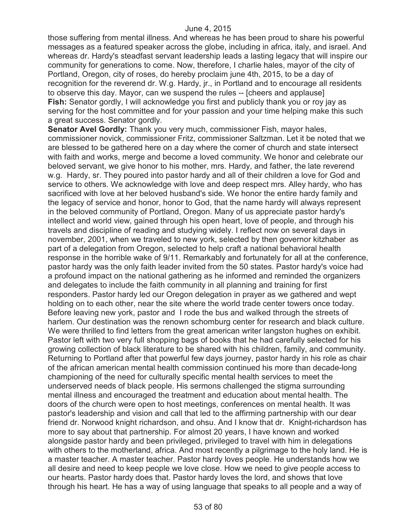those suffering from mental illness. And whereas he has been proud to share his powerful messages as a featured speaker across the globe, including in africa, italy, and israel. And whereas dr. Hardy's steadfast servant leadership leads a lasting legacy that will inspire our community for generations to come. Now, therefore, I charlie hales, mayor of the city of Portland, Oregon, city of roses, do hereby proclaim june 4th, 2015, to be a day of recognition for the reverend dr. W.g. Hardy, jr., in Portland and to encourage all residents to observe this day. Mayor, can we suspend the rules -- [cheers and applause] **Fish:** Senator gordly, I will acknowledge you first and publicly thank you or roy jay as serving for the host committee and for your passion and your time helping make this such a great success. Senator gordly.

**Senator Avel Gordly:** Thank you very much, commissioner Fish, mayor hales, commissioner novick, commissioner Fritz, commissioner Saltzman. Let it be noted that we are blessed to be gathered here on a day where the corner of church and state intersect with faith and works, merge and become a loved community. We honor and celebrate our beloved servant, we give honor to his mother, mrs. Hardy, and father, the late reverend w.g. Hardy, sr. They poured into pastor hardy and all of their children a love for God and service to others. We acknowledge with love and deep respect mrs. Alley hardy, who has sacrificed with love at her beloved husband's side. We honor the entire hardy family and the legacy of service and honor, honor to God, that the name hardy will always represent in the beloved community of Portland, Oregon. Many of us appreciate pastor hardy's intellect and world view, gained through his open heart, love of people, and through his travels and discipline of reading and studying widely. I reflect now on several days in november, 2001, when we traveled to new york, selected by then governor kitzhaber as part of a delegation from Oregon, selected to help craft a national behavioral health response in the horrible wake of 9/11. Remarkably and fortunately for all at the conference, pastor hardy was the only faith leader invited from the 50 states. Pastor hardy's voice had a profound impact on the national gathering as he informed and reminded the organizers and delegates to include the faith community in all planning and training for first responders. Pastor hardy led our Oregon delegation in prayer as we gathered and wept holding on to each other, near the site where the world trade center towers once today. Before leaving new york, pastor and I rode the bus and walked through the streets of harlem. Our destination was the renown schomburg center for research and black culture. We were thrilled to find letters from the great american writer langston hughes on exhibit. Pastor left with two very full shopping bags of books that he had carefully selected for his growing collection of black literature to be shared with his children, family, and community. Returning to Portland after that powerful few days journey, pastor hardy in his role as chair of the african american mental health commission continued his more than decade-long championing of the need for culturally specific mental health services to meet the underserved needs of black people. His sermons challenged the stigma surrounding mental illness and encouraged the treatment and education about mental health. The doors of the church were open to host meetings, conferences on mental health. It was pastor's leadership and vision and call that led to the affirming partnership with our dear friend dr. Norwood knight richardson, and ohsu. And I know that dr. Knight-richardson has more to say about that partnership. For almost 20 years, I have known and worked alongside pastor hardy and been privileged, privileged to travel with him in delegations with others to the motherland, africa. And most recently a pilgrimage to the holy land. He is a master teacher. A master teacher. Pastor hardy loves people. He understands how we all desire and need to keep people we love close. How we need to give people access to our hearts. Pastor hardy does that. Pastor hardy loves the lord, and shows that love through his heart. He has a way of using language that speaks to all people and a way of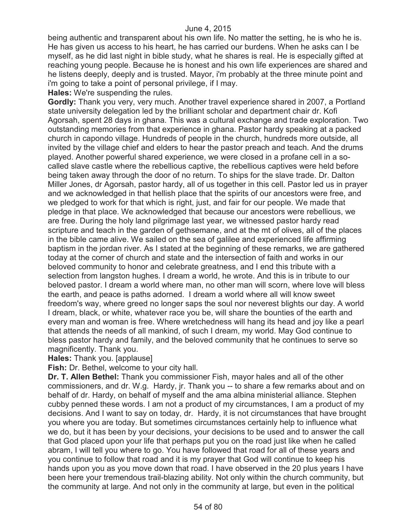being authentic and transparent about his own life. No matter the setting, he is who he is. He has given us access to his heart, he has carried our burdens. When he asks can I be myself, as he did last night in bible study, what he shares is real. He is especially gifted at reaching young people. Because he is honest and his own life experiences are shared and he listens deeply, deeply and is trusted. Mayor, i'm probably at the three minute point and i'm going to take a point of personal privilege, if I may.

**Hales:** We're suspending the rules.

**Gordly:** Thank you very, very much. Another travel experience shared in 2007, a Portland state university delegation led by the brilliant scholar and department chair dr. Kofi Agorsah, spent 28 days in ghana. This was a cultural exchange and trade exploration. Two outstanding memories from that experience in ghana. Pastor hardy speaking at a packed church in capondo village. Hundreds of people in the church, hundreds more outside, all invited by the village chief and elders to hear the pastor preach and teach. And the drums played. Another powerful shared experience, we were closed in a profane cell in a socalled slave castle where the rebellious captive, the rebellious captives were held before being taken away through the door of no return. To ships for the slave trade. Dr. Dalton Miller Jones, dr Agorsah, pastor hardy, all of us together in this cell. Pastor led us in prayer and we acknowledged in that hellish place that the spirits of our ancestors were free, and we pledged to work for that which is right, just, and fair for our people. We made that pledge in that place. We acknowledged that because our ancestors were rebellious, we are free. During the holy land pilgrimage last year, we witnessed pastor hardy read scripture and teach in the garden of gethsemane, and at the mt of olives, all of the places in the bible came alive. We sailed on the sea of galilee and experienced life affirming baptism in the jordan river. As I stated at the beginning of these remarks, we are gathered today at the corner of church and state and the intersection of faith and works in our beloved community to honor and celebrate greatness, and I end this tribute with a selection from langston hughes. I dream a world, he wrote. And this is in tribute to our beloved pastor. I dream a world where man, no other man will scorn, where love will bless the earth, and peace is paths adorned. I dream a world where all will know sweet freedom's way, where greed no longer saps the soul nor neverest blights our day. A world I dream, black, or white, whatever race you be, will share the bounties of the earth and every man and woman is free. Where wretchedness will hang its head and joy like a pearl that attends the needs of all mankind, of such I dream, my world. May God continue to bless pastor hardy and family, and the beloved community that he continues to serve so magnificently. Thank you.

**Hales:** Thank you. [applause]

**Fish:** Dr. Bethel, welcome to your city hall.

**Dr. T. Allen Bethel:** Thank you commissioner Fish, mayor hales and all of the other commissioners, and dr. W.g. Hardy, jr. Thank you -- to share a few remarks about and on behalf of dr. Hardy, on behalf of myself and the ama albina ministerial alliance. Stephen cubby penned these words. I am not a product of my circumstances, I am a product of my decisions. And I want to say on today, dr. Hardy, it is not circumstances that have brought you where you are today. But sometimes circumstances certainly help to influence what we do, but it has been by your decisions, your decisions to be used and to answer the call that God placed upon your life that perhaps put you on the road just like when he called abram, I will tell you where to go. You have followed that road for all of these years and you continue to follow that road and it is my prayer that God will continue to keep his hands upon you as you move down that road. I have observed in the 20 plus years I have been here your tremendous trail-blazing ability. Not only within the church community, but the community at large. And not only in the community at large, but even in the political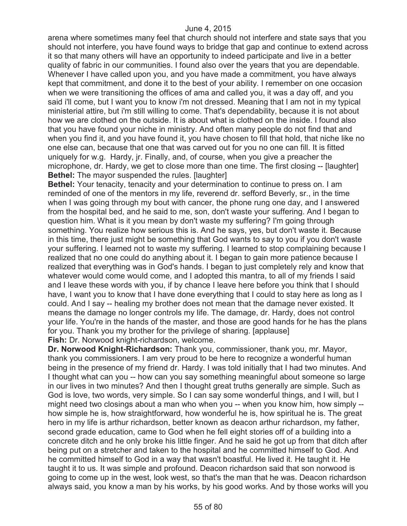arena where sometimes many feel that church should not interfere and state says that you should not interfere, you have found ways to bridge that gap and continue to extend across it so that many others will have an opportunity to indeed participate and live in a better quality of fabric in our communities. I found also over the years that you are dependable. Whenever I have called upon you, and you have made a commitment, you have always kept that commitment, and done it to the best of your ability. I remember on one occasion when we were transitioning the offices of ama and called you, it was a day off, and you said i'll come, but I want you to know i'm not dressed. Meaning that I am not in my typical ministerial attire, but i'm still willing to come. That's dependability, because it is not about how we are clothed on the outside. It is about what is clothed on the inside. I found also that you have found your niche in ministry. And often many people do not find that and when you find it, and you have found it, you have chosen to fill that hold, that niche like no one else can, because that one that was carved out for you no one can fill. It is fitted uniquely for w.g. Hardy, jr. Finally, and, of course, when you give a preacher the microphone, dr. Hardy, we get to close more than one time. The first closing -- [laughter] **Bethel:** The mayor suspended the rules. [laughter]

**Bethel:** Your tenacity, tenacity and your determination to continue to press on. I am reminded of one of the mentors in my life, reverend dr. sefford Beverly, sr., in the time when I was going through my bout with cancer, the phone rung one day, and I answered from the hospital bed, and he said to me, son, don't waste your suffering. And I began to question him. What is it you mean by don't waste my suffering? I'm going through something. You realize how serious this is. And he says, yes, but don't waste it. Because in this time, there just might be something that God wants to say to you if you don't waste your suffering. I learned not to waste my suffering. I learned to stop complaining because I realized that no one could do anything about it. I began to gain more patience because I realized that everything was in God's hands. I began to just completely rely and know that whatever would come would come, and I adopted this mantra, to all of my friends I said and I leave these words with you, if by chance I leave here before you think that I should have, I want you to know that I have done everything that I could to stay here as long as I could. And I say -- healing my brother does not mean that the damage never existed. It means the damage no longer controls my life. The damage, dr. Hardy, does not control your life. You're in the hands of the master, and those are good hands for he has the plans for you. Thank you my brother for the privilege of sharing. [applause] **Fish:** Dr. Norwood knight-richardson, welcome.

**Dr. Norwood Knight-Richardson:** Thank you, commissioner, thank you, mr. Mayor, thank you commissioners. I am very proud to be here to recognize a wonderful human being in the presence of my friend dr. Hardy. I was told initially that I had two minutes. And I thought what can you -- how can you say something meaningful about someone so large in our lives in two minutes? And then I thought great truths generally are simple. Such as God is love, two words, very simple. So I can say some wonderful things, and I will, but I might need two closings about a man who when you -- when you know him, how simply - how simple he is, how straightforward, how wonderful he is, how spiritual he is. The great hero in my life is arthur richardson, better known as deacon arthur richardson, my father, second grade education, came to God when he fell eight stories off of a building into a concrete ditch and he only broke his little finger. And he said he got up from that ditch after being put on a stretcher and taken to the hospital and he committed himself to God. And he committed himself to God in a way that wasn't boastful. He lived it. He taught it. He taught it to us. It was simple and profound. Deacon richardson said that son norwood is going to come up in the west, look west, so that's the man that he was. Deacon richardson always said, you know a man by his works, by his good works. And by those works will you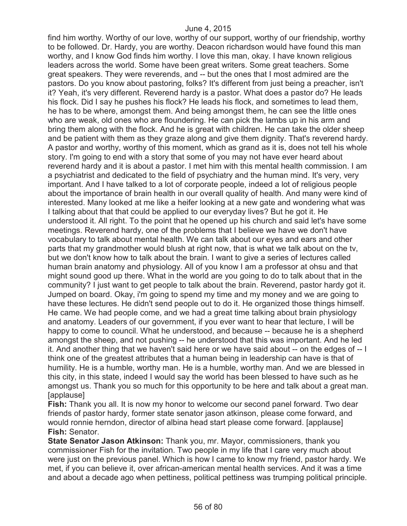find him worthy. Worthy of our love, worthy of our support, worthy of our friendship, worthy to be followed. Dr. Hardy, you are worthy. Deacon richardson would have found this man worthy, and I know God finds him worthy. I love this man, okay. I have known religious leaders across the world. Some have been great writers. Some great teachers. Some great speakers. They were reverends, and -- but the ones that I most admired are the pastors. Do you know about pastoring, folks? It's different from just being a preacher, isn't it? Yeah, it's very different. Reverend hardy is a pastor. What does a pastor do? He leads his flock. Did I say he pushes his flock? He leads his flock, and sometimes to lead them, he has to be where, amongst them. And being amongst them, he can see the little ones who are weak, old ones who are floundering. He can pick the lambs up in his arm and bring them along with the flock. And he is great with children. He can take the older sheep and be patient with them as they graze along and give them dignity. That's reverend hardy. A pastor and worthy, worthy of this moment, which as grand as it is, does not tell his whole story. I'm going to end with a story that some of you may not have ever heard about reverend hardy and it is about a pastor. I met him with this mental health commission. I am a psychiatrist and dedicated to the field of psychiatry and the human mind. It's very, very important. And I have talked to a lot of corporate people, indeed a lot of religious people about the importance of brain health in our overall quality of health. And many were kind of interested. Many looked at me like a heifer looking at a new gate and wondering what was I talking about that that could be applied to our everyday lives? But he got it. He understood it. All right. To the point that he opened up his church and said let's have some meetings. Reverend hardy, one of the problems that I believe we have we don't have vocabulary to talk about mental health. We can talk about our eyes and ears and other parts that my grandmother would blush at right now, that is what we talk about on the tv, but we don't know how to talk about the brain. I want to give a series of lectures called human brain anatomy and physiology. All of you know I am a professor at ohsu and that might sound good up there. What in the world are you going to do to talk about that in the community? I just want to get people to talk about the brain. Reverend, pastor hardy got it. Jumped on board. Okay, i'm going to spend my time and my money and we are going to have these lectures. He didn't send people out to do it. He organized those things himself. He came. We had people come, and we had a great time talking about brain physiology and anatomy. Leaders of our government, if you ever want to hear that lecture, I will be happy to come to council. What he understood, and because -- because he is a shepherd amongst the sheep, and not pushing -- he understood that this was important. And he led it. And another thing that we haven't said here or we have said about -- on the edges of -- I think one of the greatest attributes that a human being in leadership can have is that of humility. He is a humble, worthy man. He is a humble, worthy man. And we are blessed in this city, in this state, indeed I would say the world has been blessed to have such as he amongst us. Thank you so much for this opportunity to be here and talk about a great man. [applause]

**Fish:** Thank you all. It is now my honor to welcome our second panel forward. Two dear friends of pastor hardy, former state senator jason atkinson, please come forward, and would ronnie herndon, director of albina head start please come forward. [applause] **Fish:** Senator.

**State Senator Jason Atkinson:** Thank you, mr. Mayor, commissioners, thank you commissioner Fish for the invitation. Two people in my life that I care very much about were just on the previous panel. Which is how I came to know my friend, pastor hardy. We met, if you can believe it, over african-american mental health services. And it was a time and about a decade ago when pettiness, political pettiness was trumping political principle.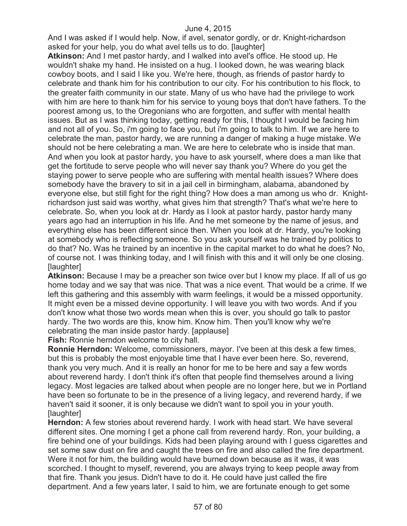And I was asked if I would help. Now, if avel, senator gordly, or dr. Knight-richardson asked for your help, you do what avel tells us to do. [laughter]

**Atkinson:** And I met pastor hardy, and I walked into avel's office. He stood up. He wouldn't shake my hand. He insisted on a hug. I looked down, he was wearing black cowboy boots, and I said I like you. We're here, though, as friends of pastor hardy to celebrate and thank him for his contribution to our city. For his contribution to his flock, to the greater faith community in our state. Many of us who have had the privilege to work with him are here to thank him for his service to young boys that don't have fathers. To the poorest among us, to the Oregonians who are forgotten, and suffer with mental health issues. But as I was thinking today, getting ready for this, I thought I would be facing him and not all of you. So, i'm going to face you, but i'm going to talk to him. If we are here to celebrate the man, pastor hardy, we are running a danger of making a huge mistake. We should not be here celebrating a man. We are here to celebrate who is inside that man. And when you look at pastor hardy, you have to ask yourself, where does a man like that get the fortitude to serve people who will never say thank you? Where do you get the staying power to serve people who are suffering with mental health issues? Where does somebody have the bravery to sit in a jail cell in birmingham, alabama, abandoned by everyone else, but still fight for the right thing? How does a man among us who dr. Knightrichardson just said was worthy, what gives him that strength? That's what we're here to celebrate. So, when you look at dr. Hardy as I look at pastor hardy, pastor hardy many years ago had an interruption in his life. And he met someone by the name of jesus, and everything else has been different since then. When you look at dr. Hardy, you're looking at somebody who is reflecting someone. So you ask yourself was he trained by politics to do that? No. Was he trained by an incentive in the capital market to do what he does? No, of course not. I was thinking today, and I will finish with this and it will only be one closing. [laughter]

**Atkinson:** Because I may be a preacher son twice over but I know my place. If all of us go home today and we say that was nice. That was a nice event. That would be a crime. If we left this gathering and this assembly with warm feelings, it would be a missed opportunity. It might even be a missed devine opportunity. I will leave you with two words. And if you don't know what those two words mean when this is over, you should go talk to pastor hardy. The two words are this, know him. Know him. Then you'll know why we're celebrating the man inside pastor hardy. [applause]

**Fish:** Ronnie herndon welcome to city hall.

**Ronnie Herndon:** Welcome, commissioners, mayor. I've been at this desk a few times, but this is probably the most enjoyable time that I have ever been here. So, reverend, thank you very much. And it is really an honor for me to be here and say a few words about reverend hardy. I don't think it's often that people find themselves around a living legacy. Most legacies are talked about when people are no longer here, but we in Portland have been so fortunate to be in the presence of a living legacy, and reverend hardy, if we haven't said it sooner, it is only because we didn't want to spoil you in your youth. [laughter]

**Herndon:** A few stories about reverend hardy. I work with head start. We have several different sites. One morning I get a phone call from reverend hardy. Ron, your building, a fire behind one of your buildings. Kids had been playing around with I guess cigarettes and set some saw dust on fire and caught the trees on fire and also called the fire department. Were it not for him, the building would have burned down because as it was, it was scorched. I thought to myself, reverend, you are always trying to keep people away from that fire. Thank you jesus. Didn't have to do it. He could have just called the fire department. And a few years later, I said to him, we are fortunate enough to get some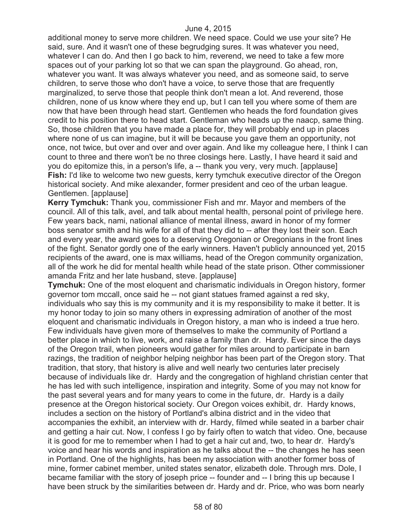additional money to serve more children. We need space. Could we use your site? He said, sure. And it wasn't one of these begrudging sures. It was whatever you need, whatever I can do. And then I go back to him, reverend, we need to take a few more spaces out of your parking lot so that we can span the playground. Go ahead, ron, whatever you want. It was always whatever you need, and as someone said, to serve children, to serve those who don't have a voice, to serve those that are frequently marginalized, to serve those that people think don't mean a lot. And reverend, those children, none of us know where they end up, but I can tell you where some of them are now that have been through head start. Gentlemen who heads the ford foundation gives credit to his position there to head start. Gentleman who heads up the naacp, same thing. So, those children that you have made a place for, they will probably end up in places where none of us can imagine, but it will be because you gave them an opportunity, not once, not twice, but over and over and over again. And like my colleague here, I think I can count to three and there won't be no three closings here. Lastly, I have heard it said and you do epitomize this, in a person's life, a -- thank you very, very much. [applause] **Fish:** I'd like to welcome two new guests, kerry tymchuk executive director of the Oregon historical society. And mike alexander, former president and ceo of the urban league. Gentlemen. [applause]

**Kerry Tymchuk:** Thank you, commissioner Fish and mr. Mayor and members of the council. All of this talk, avel, and talk about mental health, personal point of privilege here. Few years back, nami, national alliance of mental illness, award in honor of my former boss senator smith and his wife for all of that they did to -- after they lost their son. Each and every year, the award goes to a deserving Oregonian or Oregonians in the front lines of the fight. Senator gordly one of the early winners. Haven't publicly announced yet, 2015 recipients of the award, one is max williams, head of the Oregon community organization, all of the work he did for mental health while head of the state prison. Other commissioner amanda Fritz and her late husband, steve. [applause]

**Tymchuk:** One of the most eloquent and charismatic individuals in Oregon history, former governor tom mccall, once said he -- not giant statues framed against a red sky, individuals who say this is my community and it is my responsibility to make it better. It is my honor today to join so many others in expressing admiration of another of the most eloquent and charismatic individuals in Oregon history, a man who is indeed a true hero. Few individuals have given more of themselves to make the community of Portland a better place in which to live, work, and raise a family than dr. Hardy. Ever since the days of the Oregon trail, when pioneers would gather for miles around to participate in barn razings, the tradition of neighbor helping neighbor has been part of the Oregon story. That tradition, that story, that history is alive and well nearly two centuries later precisely because of individuals like dr. Hardy and the congregation of highland christian center that he has led with such intelligence, inspiration and integrity. Some of you may not know for the past several years and for many years to come in the future, dr. Hardy is a daily presence at the Oregon historical society. Our Oregon voices exhibit, dr. Hardy knows, includes a section on the history of Portland's albina district and in the video that accompanies the exhibit, an interview with dr. Hardy, filmed while seated in a barber chair and getting a hair cut. Now, I confess I go by fairly often to watch that video. One, because it is good for me to remember when I had to get a hair cut and, two, to hear dr. Hardy's voice and hear his words and inspiration as he talks about the -- the changes he has seen in Portland. One of the highlights, has been my association with another former boss of mine, former cabinet member, united states senator, elizabeth dole. Through mrs. Dole, I became familiar with the story of joseph price -- founder and -- I bring this up because I have been struck by the similarities between dr. Hardy and dr. Price, who was born nearly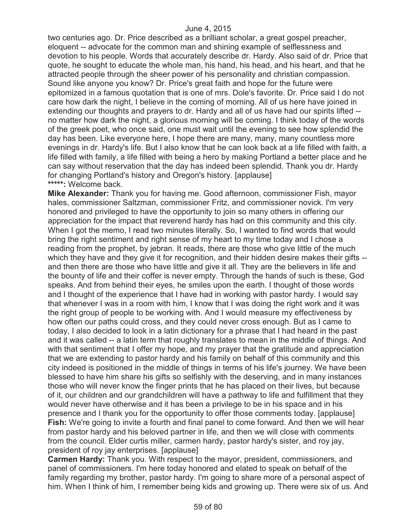two centuries ago. Dr. Price described as a brilliant scholar, a great gospel preacher, eloquent -- advocate for the common man and shining example of selflessness and devotion to his people. Words that accurately describe dr. Hardy. Also said of dr. Price that quote, he sought to educate the whole man, his hand, his head, and his heart, and that he attracted people through the sheer power of his personality and christian compassion. Sound like anyone you know? Dr. Price's great faith and hope for the future were epitomized in a famous quotation that is one of mrs. Dole's favorite. Dr. Price said I do not care how dark the night, I believe in the coming of morning. All of us here have joined in extending our thoughts and prayers to dr. Hardy and all of us have had our spirits lifted - no matter how dark the night, a glorious morning will be coming. I think today of the words of the greek poet, who once said, one must wait until the evening to see how splendid the day has been. Like everyone here, I hope there are many, many, many countless more evenings in dr. Hardy's life. But I also know that he can look back at a life filled with faith, a life filled with family, a life filled with being a hero by making Portland a better place and he can say without reservation that the day has indeed been splendid. Thank you dr. Hardy for changing Portland's history and Oregon's history. [applause] **\*\*\*\*\*:** Welcome back.

**Mike Alexander:** Thank you for having me. Good afternoon, commissioner Fish, mayor hales, commissioner Saltzman, commissioner Fritz, and commissioner novick. I'm very honored and privileged to have the opportunity to join so many others in offering our appreciation for the impact that reverend hardy has had on this community and this city. When I got the memo, I read two minutes literally. So, I wanted to find words that would bring the right sentiment and right sense of my heart to my time today and I chose a reading from the prophet, by jebran. It reads, there are those who give little of the much which they have and they give it for recognition, and their hidden desire makes their gifts -and then there are those who have little and give it all. They are the believers in life and the bounty of life and their coffer is never empty. Through the hands of such is these, God speaks. And from behind their eyes, he smiles upon the earth. I thought of those words and I thought of the experience that I have had in working with pastor hardy. I would say that whenever I was in a room with him, I know that I was doing the right work and it was the right group of people to be working with. And I would measure my effectiveness by how often our paths could cross, and they could never cross enough. But as I came to today, I also decided to look in a latin dictionary for a phrase that I had heard in the past and it was called -- a latin term that roughly translates to mean in the middle of things. And with that sentiment that I offer my hope, and my prayer that the gratitude and appreciation that we are extending to pastor hardy and his family on behalf of this community and this city indeed is positioned in the middle of things in terms of his life's journey. We have been blessed to have him share his gifts so selfishly with the deserving, and in many instances those who will never know the finger prints that he has placed on their lives, but because of it, our children and our grandchildren will have a pathway to life and fulfillment that they would never have otherwise and it has been a privilege to be in his space and in his presence and I thank you for the opportunity to offer those comments today. [applause] **Fish:** We're going to invite a fourth and final panel to come forward. And then we will hear from pastor hardy and his beloved partner in life, and then we will close with comments from the council. Elder curtis miller, carmen hardy, pastor hardy's sister, and roy jay, president of roy jay enterprises. [applause]

**Carmen Hardy:** Thank you. With respect to the mayor, president, commissioners, and panel of commissioners. I'm here today honored and elated to speak on behalf of the family regarding my brother, pastor hardy. I'm going to share more of a personal aspect of him. When I think of him, I remember being kids and growing up. There were six of us. And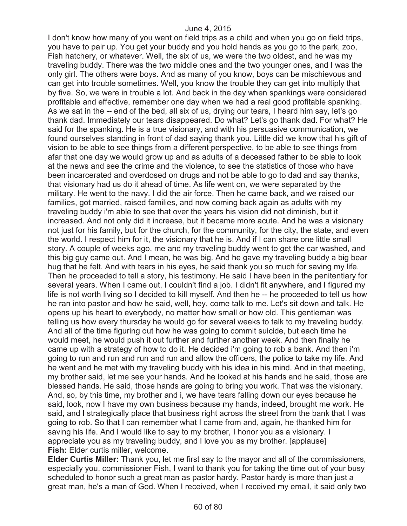I don't know how many of you went on field trips as a child and when you go on field trips, you have to pair up. You get your buddy and you hold hands as you go to the park, zoo, Fish hatchery, or whatever. Well, the six of us, we were the two oldest, and he was my traveling buddy. There was the two middle ones and the two younger ones, and I was the only girl. The others were boys. And as many of you know, boys can be mischievous and can get into trouble sometimes. Well, you know the trouble they can get into multiply that by five. So, we were in trouble a lot. And back in the day when spankings were considered profitable and effective, remember one day when we had a real good profitable spanking. As we sat in the -- end of the bed, all six of us, drying our tears, I heard him say, let's go thank dad. Immediately our tears disappeared. Do what? Let's go thank dad. For what? He said for the spanking. He is a true visionary, and with his persuasive communication, we found ourselves standing in front of dad saying thank you. Little did we know that his gift of vision to be able to see things from a different perspective, to be able to see things from afar that one day we would grow up and as adults of a deceased father to be able to look at the news and see the crime and the violence, to see the statistics of those who have been incarcerated and overdosed on drugs and not be able to go to dad and say thanks, that visionary had us do it ahead of time. As life went on, we were separated by the military. He went to the navy. I did the air force. Then he came back, and we raised our families, got married, raised families, and now coming back again as adults with my traveling buddy i'm able to see that over the years his vision did not diminish, but it increased. And not only did it increase, but it became more acute. And he was a visionary not just for his family, but for the church, for the community, for the city, the state, and even the world. I respect him for it, the visionary that he is. And if I can share one little small story. A couple of weeks ago, me and my traveling buddy went to get the car washed, and this big guy came out. And I mean, he was big. And he gave my traveling buddy a big bear hug that he felt. And with tears in his eyes, he said thank you so much for saving my life. Then he proceeded to tell a story, his testimony. He said I have been in the penitentiary for several years. When I came out, I couldn't find a job. I didn't fit anywhere, and I figured my life is not worth living so I decided to kill myself. And then he -- he proceeded to tell us how he ran into pastor and how he said, well, hey, come talk to me. Let's sit down and talk. He opens up his heart to everybody, no matter how small or how old. This gentleman was telling us how every thursday he would go for several weeks to talk to my traveling buddy. And all of the time figuring out how he was going to commit suicide, but each time he would meet, he would push it out further and further another week. And then finally he came up with a strategy of how to do it. He decided i'm going to rob a bank. And then i'm going to run and run and run and run and allow the officers, the police to take my life. And he went and he met with my traveling buddy with his idea in his mind. And in that meeting, my brother said, let me see your hands. And he looked at his hands and he said, those are blessed hands. He said, those hands are going to bring you work. That was the visionary. And, so, by this time, my brother and i, we have tears falling down our eyes because he said, look, now I have my own business because my hands, indeed, brought me work. He said, and I strategically place that business right across the street from the bank that I was going to rob. So that I can remember what I came from and, again, he thanked him for saving his life. And I would like to say to my brother, I honor you as a visionary. I appreciate you as my traveling buddy, and I love you as my brother. [applause] **Fish:** Elder curtis miller, welcome.

**Elder Curtis Miller:** Thank you, let me first say to the mayor and all of the commissioners, especially you, commissioner Fish, I want to thank you for taking the time out of your busy scheduled to honor such a great man as pastor hardy. Pastor hardy is more than just a great man, he's a man of God. When I received, when I received my email, it said only two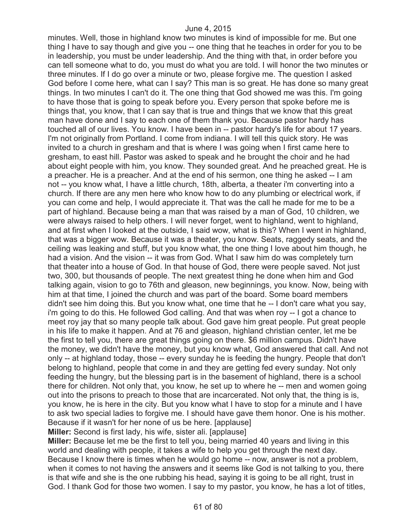minutes. Well, those in highland know two minutes is kind of impossible for me. But one thing I have to say though and give you -- one thing that he teaches in order for you to be in leadership, you must be under leadership. And the thing with that, in order before you can tell someone what to do, you must do what you are told. I will honor the two minutes or three minutes. If I do go over a minute or two, please forgive me. The question I asked God before I come here, what can I say? This man is so great. He has done so many great things. In two minutes I can't do it. The one thing that God showed me was this. I'm going to have those that is going to speak before you. Every person that spoke before me is things that, you know, that I can say that is true and things that we know that this great man have done and I say to each one of them thank you. Because pastor hardy has touched all of our lives. You know. I have been in -- pastor hardy's life for about 17 years. I'm not originally from Portland. I come from indiana. I will tell this quick story. He was invited to a church in gresham and that is where I was going when I first came here to gresham, to east hill. Pastor was asked to speak and he brought the choir and he had about eight people with him, you know. They sounded great. And he preached great. He is a preacher. He is a preacher. And at the end of his sermon, one thing he asked -- I am not -- you know what, I have a little church, 18th, alberta, a theater i'm converting into a church. If there are any men here who know how to do any plumbing or electrical work, if you can come and help, I would appreciate it. That was the call he made for me to be a part of highland. Because being a man that was raised by a man of God, 10 children, we were always raised to help others. I will never forget, went to highland, went to highland, and at first when I looked at the outside, I said wow, what is this? When I went in highland, that was a bigger wow. Because it was a theater, you know. Seats, raggedy seats, and the ceiling was leaking and stuff, but you know what, the one thing I love about him though, he had a vision. And the vision -- it was from God. What I saw him do was completely turn that theater into a house of God. In that house of God, there were people saved. Not just two, 300, but thousands of people. The next greatest thing he done when him and God talking again, vision to go to 76th and gleason, new beginnings, you know. Now, being with him at that time, I joined the church and was part of the board. Some board members didn't see him doing this. But you know what, one time that he -- I don't care what you say, i'm going to do this. He followed God calling. And that was when roy -- I got a chance to meet roy jay that so many people talk about. God gave him great people. Put great people in his life to make it happen. And at 76 and gleason, highland christian center, let me be the first to tell you, there are great things going on there. \$6 million campus. Didn't have the money, we didn't have the money, but you know what, God answered that call. And not only -- at highland today, those -- every sunday he is feeding the hungry. People that don't belong to highland, people that come in and they are getting fed every sunday. Not only feeding the hungry, but the blessing part is in the basement of highland, there is a school there for children. Not only that, you know, he set up to where he -- men and women going out into the prisons to preach to those that are incarcerated. Not only that, the thing is is, you know, he is here in the city. But you know what I have to stop for a minute and I have to ask two special ladies to forgive me. I should have gave them honor. One is his mother. Because if it wasn't for her none of us be here. [applause]

**Miller:** Second is first lady, his wife, sister ali. [applause]

**Miller:** Because let me be the first to tell you, being married 40 years and living in this world and dealing with people, it takes a wife to help you get through the next day. Because I know there is times when he would go home -- now, answer is not a problem, when it comes to not having the answers and it seems like God is not talking to you, there is that wife and she is the one rubbing his head, saying it is going to be all right, trust in God. I thank God for those two women. I say to my pastor, you know, he has a lot of titles,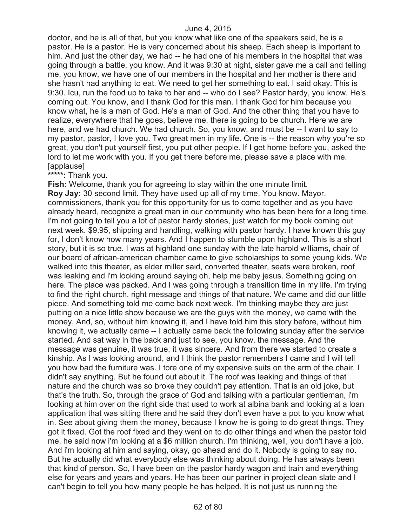doctor, and he is all of that, but you know what like one of the speakers said, he is a pastor. He is a pastor. He is very concerned about his sheep. Each sheep is important to him. And just the other day, we had -- he had one of his members in the hospital that was going through a battle, you know. And it was 9:30 at night, sister gave me a call and telling me, you know, we have one of our members in the hospital and her mother is there and she hasn't had anything to eat. We need to get her something to eat. I said okay. This is 9:30. Icu, run the food up to take to her and -- who do I see? Pastor hardy, you know. He's coming out. You know, and I thank God for this man. I thank God for him because you know what, he is a man of God. He's a man of God. And the other thing that you have to realize, everywhere that he goes, believe me, there is going to be church. Here we are here, and we had church. We had church. So, you know, and must be -- I want to say to my pastor, pastor, I love you. Two great men in my life. One is -- the reason why you're so great, you don't put yourself first, you put other people. If I get home before you, asked the lord to let me work with you. If you get there before me, please save a place with me. [applause]

**\*\*\*\*\*:** Thank you.

**Fish:** Welcome, thank you for agreeing to stay within the one minute limit. **Roy Jay:** 30 second limit. They have used up all of my time. You know. Mayor, commissioners, thank you for this opportunity for us to come together and as you have already heard, recognize a great man in our community who has been here for a long time. I'm not going to tell you a lot of pastor hardy stories, just watch for my book coming out next week. \$9.95, shipping and handling, walking with pastor hardy. I have known this guy for, I don't know how many years. And I happen to stumble upon highland. This is a short story, but it is so true. I was at highland one sunday with the late harold williams, chair of our board of african-american chamber came to give scholarships to some young kids. We walked into this theater, as elder miller said, converted theater, seats were broken, roof was leaking and i'm looking around saying oh, help me baby jesus. Something going on here. The place was packed. And I was going through a transition time in my life. I'm trying to find the right church, right message and things of that nature. We came and did our little piece. And something told me come back next week. I'm thinking maybe they are just putting on a nice little show because we are the guys with the money, we came with the money. And, so, without him knowing it, and I have told him this story before, without him knowing it, we actually came -- I actually came back the following sunday after the service started. And sat way in the back and just to see, you know, the message. And the message was genuine, it was true, it was sincere. And from there we started to create a kinship. As I was looking around, and I think the pastor remembers I came and I will tell you how bad the furniture was. I tore one of my expensive suits on the arm of the chair. I didn't say anything. But he found out about it. The roof was leaking and things of that nature and the church was so broke they couldn't pay attention. That is an old joke, but that's the truth. So, through the grace of God and talking with a particular gentleman, i'm looking at him over on the right side that used to work at albina bank and looking at a loan application that was sitting there and he said they don't even have a pot to you know what in. See about giving them the money, because I know he is going to do great things. They got it fixed. Got the roof fixed and they went on to do other things and when the pastor told me, he said now i'm looking at a \$6 million church. I'm thinking, well, you don't have a job. And i'm looking at him and saying, okay, go ahead and do it. Nobody is going to say no. But he actually did what everybody else was thinking about doing. He has always been that kind of person. So, I have been on the pastor hardy wagon and train and everything else for years and years and years. He has been our partner in project clean slate and I can't begin to tell you how many people he has helped. It is not just us running the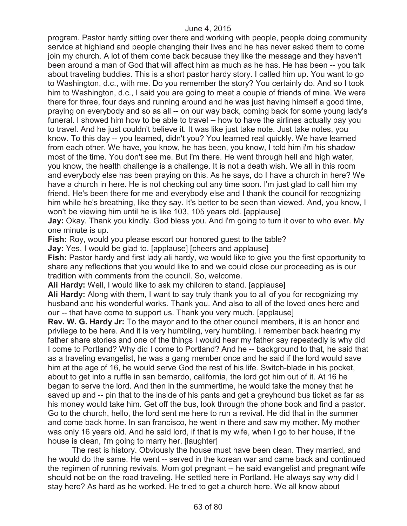program. Pastor hardy sitting over there and working with people, people doing community service at highland and people changing their lives and he has never asked them to come join my church. A lot of them come back because they like the message and they haven't been around a man of God that will affect him as much as he has. He has been -- you talk about traveling buddies. This is a short pastor hardy story. I called him up. You want to go to Washington, d.c., with me. Do you remember the story? You certainly do. And so I took him to Washington, d.c., I said you are going to meet a couple of friends of mine. We were there for three, four days and running around and he was just having himself a good time, praying on everybody and so as all -- on our way back, coming back for some young lady's funeral. I showed him how to be able to travel -- how to have the airlines actually pay you to travel. And he just couldn't believe it. It was like just take note. Just take notes, you know. To this day -- you learned, didn't you? You learned real quickly. We have learned from each other. We have, you know, he has been, you know, I told him i'm his shadow most of the time. You don't see me. But i'm there. He went through hell and high water, you know, the health challenge is a challenge. It is not a death wish. We all in this room and everybody else has been praying on this. As he says, do I have a church in here? We have a church in here. He is not checking out any time soon. I'm just glad to call him my friend. He's been there for me and everybody else and I thank the council for recognizing him while he's breathing, like they say. It's better to be seen than viewed. And, you know, I won't be viewing him until he is like 103, 105 years old. [applause]

**Jay:** Okay. Thank you kindly. God bless you. And i'm going to turn it over to who ever. My one minute is up.

**Fish:** Roy, would you please escort our honored guest to the table?

**Jay:** Yes, I would be glad to. [applause] [cheers and applause]

**Fish:** Pastor hardy and first lady ali hardy, we would like to give you the first opportunity to share any reflections that you would like to and we could close our proceeding as is our tradition with comments from the council. So, welcome.

**Ali Hardy:** Well, I would like to ask my children to stand. [applause]

**Ali Hardy:** Along with them, I want to say truly thank you to all of you for recognizing my husband and his wonderful works. Thank you. And also to all of the loved ones here and our -- that have come to support us. Thank you very much. [applause]

**Rev. W. G. Hardy Jr:** To the mayor and to the other council members, it is an honor and privilege to be here. And it is very humbling, very humbling. I remember back hearing my father share stories and one of the things I would hear my father say repeatedly is why did I come to Portland? Why did I come to Portland? And he -- background to that, he said that as a traveling evangelist, he was a gang member once and he said if the lord would save him at the age of 16, he would serve God the rest of his life. Switch-blade in his pocket, about to get into a ruffle in san bernardo, california, the lord got him out of it. At 16 he began to serve the lord. And then in the summertime, he would take the money that he saved up and -- pin that to the inside of his pants and get a greyhound bus ticket as far as his money would take him. Get off the bus, look through the phone book and find a pastor. Go to the church, hello, the lord sent me here to run a revival. He did that in the summer and come back home. In san francisco, he went in there and saw my mother. My mother was only 16 years old. And he said lord, if that is my wife, when I go to her house, if the house is clean, i'm going to marry her. [laughter]

The rest is history. Obviously the house must have been clean. They married, and he would do the same. He went -- served in the korean war and came back and continued the regimen of running revivals. Mom got pregnant -- he said evangelist and pregnant wife should not be on the road traveling. He settled here in Portland. He always say why did I stay here? As hard as he worked. He tried to get a church here. We all know about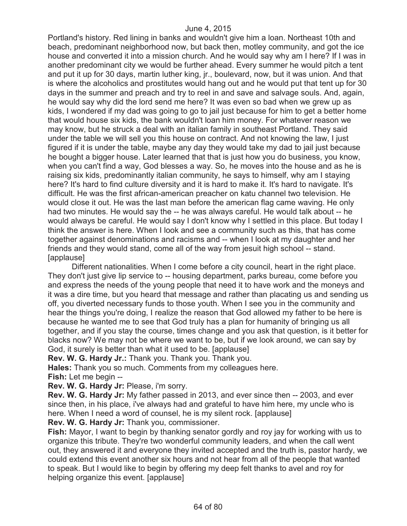Portland's history. Red lining in banks and wouldn't give him a loan. Northeast 10th and beach, predominant neighborhood now, but back then, motley community, and got the ice house and converted it into a mission church. And he would say why am I here? If I was in another predominant city we would be further ahead. Every summer he would pitch a tent and put it up for 30 days, martin luther king, jr., boulevard, now, but it was union. And that is where the alcoholics and prostitutes would hang out and he would put that tent up for 30 days in the summer and preach and try to reel in and save and salvage souls. And, again, he would say why did the lord send me here? It was even so bad when we grew up as kids, I wondered if my dad was going to go to jail just because for him to get a better home that would house six kids, the bank wouldn't loan him money. For whatever reason we may know, but he struck a deal with an italian family in southeast Portland. They said under the table we will sell you this house on contract. And not knowing the law, I just figured if it is under the table, maybe any day they would take my dad to jail just because he bought a bigger house. Later learned that that is just how you do business, you know, when you can't find a way, God blesses a way. So, he moves into the house and as he is raising six kids, predominantly italian community, he says to himself, why am I staying here? It's hard to find culture diversity and it is hard to make it. It's hard to navigate. It's difficult. He was the first african-american preacher on katu channel two television. He would close it out. He was the last man before the american flag came waving. He only had two minutes. He would say the -- he was always careful. He would talk about -- he would always be careful. He would say I don't know why I settled in this place. But today I think the answer is here. When I look and see a community such as this, that has come together against denominations and racisms and -- when I look at my daughter and her friends and they would stand, come all of the way from jesuit high school -- stand. [applause]

Different nationalities. When I come before a city council, heart in the right place. They don't just give lip service to -- housing department, parks bureau, come before you and express the needs of the young people that need it to have work and the moneys and it was a dire time, but you heard that message and rather than placating us and sending us off, you diverted necessary funds to those youth. When I see you in the community and hear the things you're doing, I realize the reason that God allowed my father to be here is because he wanted me to see that God truly has a plan for humanity of bringing us all together, and if you stay the course, times change and you ask that question, is it better for blacks now? We may not be where we want to be, but if we look around, we can say by God, it surely is better than what it used to be. [applause]

**Rev. W. G. Hardy Jr.:** Thank you. Thank you. Thank you.

**Hales:** Thank you so much. Comments from my colleagues here.

**Fish:** Let me begin --

**Rev. W. G. Hardy Jr:** Please, i'm sorry.

**Rev. W. G. Hardy Jr:** My father passed in 2013, and ever since then -- 2003, and ever since then, in his place, i've always had and grateful to have him here, my uncle who is here. When I need a word of counsel, he is my silent rock. [applause]

**Rev. W. G. Hardy Jr:** Thank you, commissioner.

**Fish:** Mayor, I want to begin by thanking senator gordly and roy jay for working with us to organize this tribute. They're two wonderful community leaders, and when the call went out, they answered it and everyone they invited accepted and the truth is, pastor hardy, we could extend this event another six hours and not hear from all of the people that wanted to speak. But I would like to begin by offering my deep felt thanks to avel and roy for helping organize this event. [applause]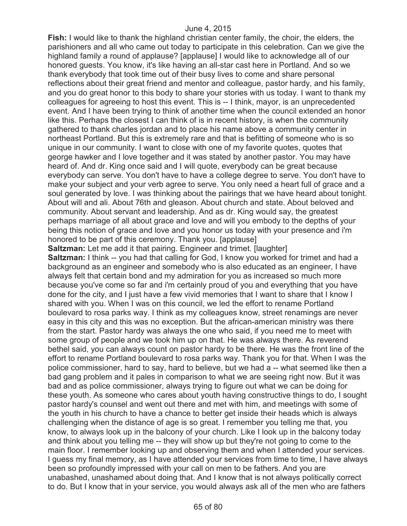**Fish:** I would like to thank the highland christian center family, the choir, the elders, the parishioners and all who came out today to participate in this celebration. Can we give the highland family a round of applause? [applause] I would like to acknowledge all of our honored guests. You know, it's like having an all-star cast here in Portland. And so we thank everybody that took time out of their busy lives to come and share personal reflections about their great friend and mentor and colleague, pastor hardy, and his family, and you do great honor to this body to share your stories with us today. I want to thank my colleagues for agreeing to host this event. This is -- I think, mayor, is an unprecedented event. And I have been trying to think of another time when the council extended an honor like this. Perhaps the closest I can think of is in recent history, is when the community gathered to thank charles jordan and to place his name above a community center in northeast Portland. But this is extremely rare and that is befitting of someone who is so unique in our community. I want to close with one of my favorite quotes, quotes that george hawker and I love together and it was stated by another pastor. You may have heard of. And dr. King once said and I will quote, everybody can be great because everybody can serve. You don't have to have a college degree to serve. You don't have to make your subject and your verb agree to serve. You only need a heart full of grace and a soul generated by love. I was thinking about the pairings that we have heard about tonight. About will and ali. About 76th and gleason. About church and state. About beloved and community. About servant and leadership. And as dr. King would say, the greatest perhaps marriage of all about grace and love and will you embody to the depths of your being this notion of grace and love and you honor us today with your presence and i'm honored to be part of this ceremony. Thank you. [applause]

**Saltzman:** Let me add it that pairing. Engineer and trimet. [laughter]

**Saltzman:** I think -- you had that calling for God, I know you worked for trimet and had a background as an engineer and somebody who is also educated as an engineer, I have always felt that certain bond and my admiration for you as increased so much more because you've come so far and i'm certainly proud of you and everything that you have done for the city, and I just have a few vivid memories that I want to share that I know I shared with you. When I was on this council, we led the effort to rename Portland boulevard to rosa parks way. I think as my colleagues know, street renamings are never easy in this city and this was no exception. But the african-american ministry was there from the start. Pastor hardy was always the one who said, if you need me to meet with some group of people and we took him up on that. He was always there. As reverend bethel said, you can always count on pastor hardy to be there. He was the front line of the effort to rename Portland boulevard to rosa parks way. Thank you for that. When I was the police commissioner, hard to say, hard to believe, but we had a -- what seemed like then a bad gang problem and it pales in comparison to what we are seeing right now. But it was bad and as police commissioner, always trying to figure out what we can be doing for these youth. As someone who cares about youth having constructive things to do, I sought pastor hardy's counsel and went out there and met with him, and meetings with some of the youth in his church to have a chance to better get inside their heads which is always challenging when the distance of age is so great. I remember you telling me that, you know, to always look up in the balcony of your church. Like I look up in the balcony today and think about you telling me -- they will show up but they're not going to come to the main floor. I remember looking up and observing them and when I attended your services. I guess my final memory, as I have attended your services from time to time, I have always been so profoundly impressed with your call on men to be fathers. And you are unabashed, unashamed about doing that. And I know that is not always politically correct to do. But I know that in your service, you would always ask all of the men who are fathers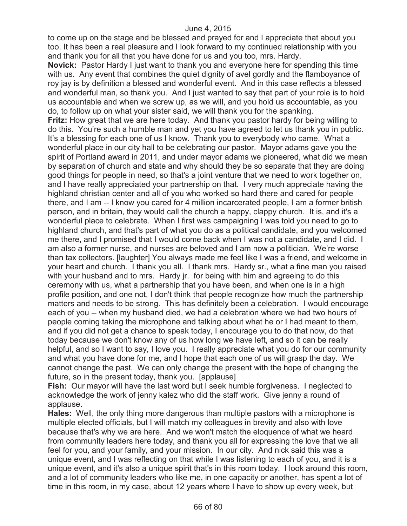to come up on the stage and be blessed and prayed for and I appreciate that about you too. It has been a real pleasure and I look forward to my continued relationship with you and thank you for all that you have done for us and you too, mrs. Hardy.

**Novick:** Pastor Hardy I just want to thank you and everyone here for spending this time with us. Any event that combines the quiet dignity of avel gordly and the flamboyance of roy jay is by definition a blessed and wonderful event. And in this case reflects a blessed and wonderful man, so thank you. And I just wanted to say that part of your role is to hold us accountable and when we screw up, as we will, and you hold us accountable, as you do, to follow up on what your sister said, we will thank you for the spanking.

**Fritz:** How great that we are here today. And thank you pastor hardy for being willing to do this. You're such a humble man and yet you have agreed to let us thank you in public. It's a blessing for each one of us I know. Thank you to everybody who came. What a wonderful place in our city hall to be celebrating our pastor. Mayor adams gave you the spirit of Portland award in 2011, and under mayor adams we pioneered, what did we mean by separation of church and state and why should they be so separate that they are doing good things for people in need, so that's a joint venture that we need to work together on, and I have really appreciated your partnership on that. I very much appreciate having the highland christian center and all of you who worked so hard there and cared for people there, and I am -- I know you cared for 4 million incarcerated people, I am a former british person, and in britain, they would call the church a happy, clappy church. It is, and it's a wonderful place to celebrate. When I first was campaigning I was told you need to go to highland church, and that's part of what you do as a political candidate, and you welcomed me there, and I promised that I would come back when I was not a candidate, and I did. I am also a former nurse, and nurses are beloved and I am now a politician. We're worse than tax collectors. [laughter] You always made me feel like I was a friend, and welcome in your heart and church. I thank you all. I thank mrs. Hardy sr., what a fine man you raised with your husband and to mrs. Hardy jr. for being with him and agreeing to do this ceremony with us, what a partnership that you have been, and when one is in a high profile position, and one not, I don't think that people recognize how much the partnership matters and needs to be strong. This has definitely been a celebration. I would encourage each of you -- when my husband died, we had a celebration where we had two hours of people coming taking the microphone and talking about what he or I had meant to them, and if you did not get a chance to speak today, I encourage you to do that now, do that today because we don't know any of us how long we have left, and so it can be really helpful, and so I want to say, I love you. I really appreciate what you do for our community and what you have done for me, and I hope that each one of us will grasp the day. We cannot change the past. We can only change the present with the hope of changing the future, so in the present today, thank you. [applause]

**Fish:** Our mayor will have the last word but I seek humble forgiveness. I neglected to acknowledge the work of jenny kalez who did the staff work. Give jenny a round of applause.

**Hales:** Well, the only thing more dangerous than multiple pastors with a microphone is multiple elected officials, but I will match my colleagues in brevity and also with love because that's why we are here. And we won't match the eloquence of what we heard from community leaders here today, and thank you all for expressing the love that we all feel for you, and your family, and your mission. In our city. And nick said this was a unique event, and I was reflecting on that while I was listening to each of you, and it is a unique event, and it's also a unique spirit that's in this room today. I look around this room, and a lot of community leaders who like me, in one capacity or another, has spent a lot of time in this room, in my case, about 12 years where I have to show up every week, but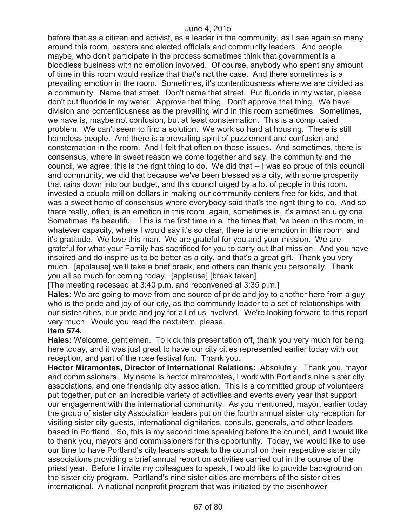before that as a citizen and activist, as a leader in the community, as I see again so many around this room, pastors and elected officials and community leaders. And people, maybe, who don't participate in the process sometimes think that government is a bloodless business with no emotion involved. Of course, anybody who spent any amount of time in this room would realize that that's not the case. And there sometimes is a prevailing emotion in the room. Sometimes, it's contentiousness where we are divided as a community. Name that street. Don't name that street. Put fluoride in my water, please don't put fluoride in my water. Approve that thing. Don't approve that thing. We have division and contentiousness as the prevailing wind in this room sometimes. Sometimes, we have is, maybe not confusion, but at least consternation. This is a complicated problem. We can't seem to find a solution. We work so hard at housing. There is still homeless people. And there is a prevailing spirit of puzzlement and confusion and consternation in the room. And I felt that often on those issues. And sometimes, there is consensus, where in sweet reason we come together and say, the community and the council, we agree, this is the right thing to do. We did that -- I was so proud of this council and community, we did that because we've been blessed as a city, with some prosperity that rains down into our budget, and this council urged by a lot of people in this room, invested a couple million dollars in making our community centers free for kids, and that was a sweet home of consensus where everybody said that's the right thing to do. And so there really, often, is an emotion in this room, again, sometimes is, it's almost an ulgy one. Sometimes it's beautiful. This is the first time in all the times that i've been in this room, in whatever capacity, where I would say it's so clear, there is one emotion in this room, and it's gratitude. We love this man. We are grateful for you and your mission. We are grateful for what your Family has sacrificed for you to carry out that mission. And you have inspired and do inspire us to be better as a city, and that's a great gift. Thank you very much. [applause] we'll take a brief break, and others can thank you personally. Thank you all so much for coming today. [applause] [break taken]

[The meeting recessed at 3:40 p.m. and reconvened at 3:35 p.m.]

**Hales:** We are going to move from one source of pride and joy to another here from a guy who is the pride and joy of our city, as the community leader to a set of relationships with our sister cities, our pride and joy for all of us involved. We're looking forward to this report very much. Would you read the next item, please.

# **Item 574.**

**Hales:** Welcome, gentlemen. To kick this presentation off, thank you very much for being here today, and it was just great to have our city cities represented earlier today with our reception, and part of the rose festival fun. Thank you.

**Hector Miramontes, Director of International Relations:** Absolutely. Thank you, mayor and commissioners. My name is hector miramontes, I work with Portland's nine sister city associations, and one friendship city association. This is a committed group of volunteers put together, put on an incredible variety of activities and events every year that support our engagement with the international community. As you mentioned, mayor, earlier today the group of sister city Association leaders put on the fourth annual sister city reception for visiting sister city guests, international dignitaries, consuls, generals, and other leaders based in Portland. So, this is my second time speaking before the council, and I would like to thank you, mayors and commissioners for this opportunity. Today, we would like to use our time to have Portland's city leaders speak to the council on their respective sister city associations providing a brief annual report on activities carried out in the course of the priest year. Before I invite my colleagues to speak, I would like to provide background on the sister city program. Portland's nine sister cities are members of the sister cities international. A national nonprofit program that was initiated by the eisenhower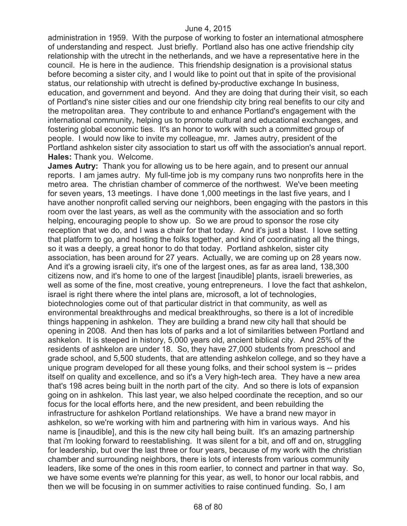administration in 1959. With the purpose of working to foster an international atmosphere of understanding and respect. Just briefly. Portland also has one active friendship city relationship with the utrecht in the netherlands, and we have a representative here in the council. He is here in the audience. This friendship designation is a provisional status before becoming a sister city, and I would like to point out that in spite of the provisional status, our relationship with utrecht is defined by-productive exchange In business, education, and government and beyond. And they are doing that during their visit, so each of Portland's nine sister cities and our one friendship city bring real benefits to our city and the metropolitan area. They contribute to and enhance Portland's engagement with the international community, helping us to promote cultural and educational exchanges, and fostering global economic ties. It's an honor to work with such a committed group of people. I would now like to invite my colleague, mr. James autry, president of the Portland ashkelon sister city association to start us off with the association's annual report. **Hales:** Thank you. Welcome.

**James Autry:** Thank you for allowing us to be here again, and to present our annual reports. I am james autry. My full-time job is my company runs two nonprofits here in the metro area. The christian chamber of commerce of the northwest. We've been meeting for seven years, 13 meetings. I have done 1,000 meetings in the last five years, and I have another nonprofit called serving our neighbors, been engaging with the pastors in this room over the last years, as well as the community with the association and so forth helping, encouraging people to show up. So we are proud to sponsor the rose city reception that we do, and I was a chair for that today. And it's just a blast. I love setting that platform to go, and hosting the folks together, and kind of coordinating all the things, so it was a deeply, a great honor to do that today. Portland ashkelon, sister city association, has been around for 27 years. Actually, we are coming up on 28 years now. And it's a growing israeli city, it's one of the largest ones, as far as area land, 138,300 citizens now, and it's home to one of the largest [inaudible] plants, israeli breweries, as well as some of the fine, most creative, young entrepreneurs. I love the fact that ashkelon, israel is right there where the intel plans are, microsoft, a lot of technologies, biotechnologies come out of that particular district in that community, as well as environmental breakthroughs and medical breakthroughs, so there is a lot of incredible things happening in ashkelon. They are building a brand new city hall that should be opening in 2008. And then has lots of parks and a lot of similarities between Portland and ashkelon. It is steeped in history, 5,000 years old, ancient biblical city. And 25% of the residents of ashkelon are under 18. So, they have 27,000 students from preschool and grade school, and 5,500 students, that are attending ashkelon college, and so they have a unique program developed for all these young folks, and their school system is -- prides itself on quality and excellence, and so it's a Very high-tech area. They have a new area that's 198 acres being built in the north part of the city. And so there is lots of expansion going on in ashkelon. This last year, we also helped coordinate the reception, and so our focus for the local efforts here, and the new president, and been rebuilding the infrastructure for ashkelon Portland relationships. We have a brand new mayor in ashkelon, so we're working with him and partnering with him in various ways. And his name is [inaudible], and this is the new city hall being built. It's an amazing partnership that i'm looking forward to reestablishing. It was silent for a bit, and off and on, struggling for leadership, but over the last three or four years, because of my work with the christian chamber and surrounding neighbors, there is lots of interests from various community leaders, like some of the ones in this room earlier, to connect and partner in that way. So, we have some events we're planning for this year, as well, to honor our local rabbis, and then we will be focusing in on summer activities to raise continued funding. So, I am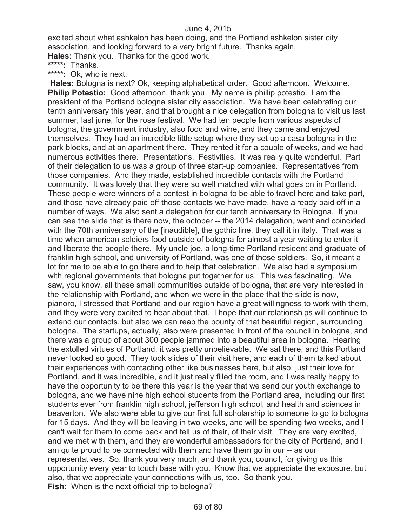excited about what ashkelon has been doing, and the Portland ashkelon sister city association, and looking forward to a very bright future. Thanks again. **Hales:** Thank you. Thanks for the good work.

**\*\*\*\*\*:** Thanks.

**\*\*\*\*\*:** Ok, who is next.

**Hales:** Bologna is next? Ok, keeping alphabetical order. Good afternoon. Welcome. **Philip Potestio:** Good afternoon, thank you. My name is phillip potestio. I am the president of the Portland bologna sister city association. We have been celebrating our tenth anniversary this year, and that brought a nice delegation from bologna to visit us last summer, last june, for the rose festival. We had ten people from various aspects of bologna, the government industry, also food and wine, and they came and enjoyed themselves. They had an incredible little setup where they set up a casa bologna in the park blocks, and at an apartment there. They rented it for a couple of weeks, and we had numerous activities there. Presentations. Festivities. It was really quite wonderful. Part of their delegation to us was a group of three start-up companies. Representatives from those companies. And they made, established incredible contacts with the Portland community. It was lovely that they were so well matched with what goes on in Portland. These people were winners of a contest in bologna to be able to travel here and take part, and those have already paid off those contacts we have made, have already paid off in a number of ways. We also sent a delegation for our tenth anniversary to Bologna. If you can see the slide that is there now, the october -- the 2014 delegation, went and coincided with the 70th anniversary of the [inaudible], the gothic line, they call it in italy. That was a time when american soldiers food outside of bologna for almost a year waiting to enter it and liberate the people there. My uncle joe, a long-time Portland resident and graduate of franklin high school, and university of Portland, was one of those soldiers. So, it meant a lot for me to be able to go there and to help that celebration. We also had a symposium with regional governments that bologna put together for us. This was fascinating. We saw, you know, all these small communities outside of bologna, that are very interested in the relationship with Portland, and when we were in the place that the slide is now, pianoro, I stressed that Portland and our region have a great willingness to work with them, and they were very excited to hear about that. I hope that our relationships will continue to extend our contacts, but also we can reap the bounty of that beautiful region, surrounding bologna. The startups, actually, also were presented in front of the council in bologna, and there was a group of about 300 people jammed into a beautiful area in bologna. Hearing the extolled virtues of Portland, it was pretty unbelievable. We sat there, and this Portland never looked so good. They took slides of their visit here, and each of them talked about their experiences with contacting other like businesses here, but also, just their love for Portland, and it was incredible, and it just really filled the room, and I was really happy to have the opportunity to be there this year is the year that we send our youth exchange to bologna, and we have nine high school students from the Portland area, including our first students ever from franklin high school, jefferson high school, and health and sciences in beaverton. We also were able to give our first full scholarship to someone to go to bologna for 15 days. And they will be leaving in two weeks, and will be spending two weeks, and I can't wait for them to come back and tell us of their, of their visit. They are very excited, and we met with them, and they are wonderful ambassadors for the city of Portland, and I am quite proud to be connected with them and have them go in our -- as our representatives. So, thank you very much, and thank you, council, for giving us this opportunity every year to touch base with you. Know that we appreciate the exposure, but also, that we appreciate your connections with us, too. So thank you. **Fish:** When is the next official trip to bologna?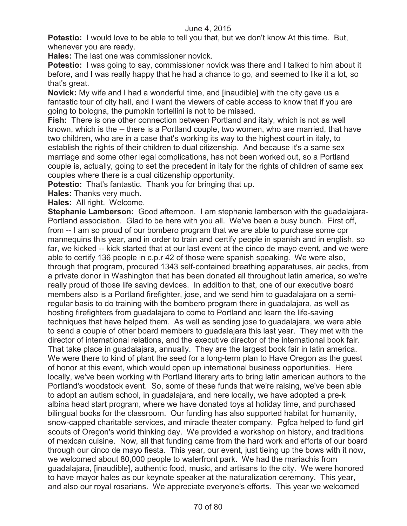**Potestio:** I would love to be able to tell you that, but we don't know At this time. But, whenever you are ready.

**Hales:** The last one was commissioner novick.

**Potestio:** I was going to say, commissioner novick was there and I talked to him about it before, and I was really happy that he had a chance to go, and seemed to like it a lot, so that's great.

**Novick:** My wife and I had a wonderful time, and [inaudible] with the city gave us a fantastic tour of city hall, and I want the viewers of cable access to know that if you are going to bologna, the pumpkin tortellini is not to be missed.

**Fish:** There is one other connection between Portland and italy, which is not as well known, which is the -- there is a Portland couple, two women, who are married, that have two children, who are in a case that's working its way to the highest court in italy, to establish the rights of their children to dual citizenship. And because it's a same sex marriage and some other legal complications, has not been worked out, so a Portland couple is, actually, going to set the precedent in italy for the rights of children of same sex couples where there is a dual citizenship opportunity.

**Potestio:** That's fantastic. Thank you for bringing that up.

**Hales:** Thanks very much.

**Hales:** All right. Welcome.

**Stephanie Lamberson:** Good afternoon. I am stephanie lamberson with the guadalajara-Portland association. Glad to be here with you all. We've been a busy bunch. First off, from -- I am so proud of our bombero program that we are able to purchase some cpr mannequins this year, and in order to train and certify people in spanish and in english, so far, we kicked -- kick started that at our last event at the cinco de mayo event, and we were able to certify 136 people in c.p.r 42 of those were spanish speaking. We were also, through that program, procured 1343 self-contained breathing apparatuses, air packs, from a private donor in Washington that has been donated all throughout latin america, so we're really proud of those life saving devices. In addition to that, one of our executive board members also is a Portland firefighter, jose, and we send him to guadalajara on a semiregular basis to do training with the bombero program there in guadalajara, as well as hosting firefighters from guadalajara to come to Portland and learn the life-saving techniques that have helped them. As well as sending jose to guadalajara, we were able to send a couple of other board members to guadalajara this last year. They met with the director of international relations, and the executive director of the international book fair. That take place in guadalajara, annually. They are the largest book fair in latin america. We were there to kind of plant the seed for a long-term plan to Have Oregon as the quest of honor at this event, which would open up international business opportunities. Here locally, we've been working with Portland literary arts to bring latin american authors to the Portland's woodstock event. So, some of these funds that we're raising, we've been able to adopt an autism school, in guadalajara, and here locally, we have adopted a pre-k albina head start program, where we have donated toys at holiday time, and purchased bilingual books for the classroom. Our funding has also supported habitat for humanity, snow-capped charitable services, and miracle theater company. Pgfca helped to fund girl scouts of Oregon's world thinking day. We provided a workshop on history, and traditions of mexican cuisine. Now, all that funding came from the hard work and efforts of our board through our cinco de mayo fiesta. This year, our event, just tieing up the bows with it now, we welcomed about 80,000 people to waterfront park. We had the mariachis from guadalajara, [inaudible], authentic food, music, and artisans to the city. We were honored to have mayor hales as our keynote speaker at the naturalization ceremony. This year, and also our royal rosarians. We appreciate everyone's efforts. This year we welcomed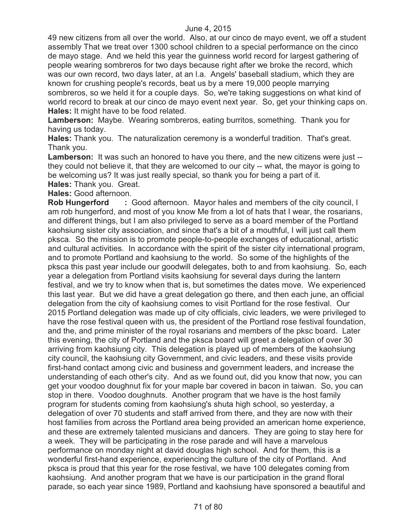49 new citizens from all over the world. Also, at our cinco de mayo event, we off a student assembly That we treat over 1300 school children to a special performance on the cinco de mayo stage. And we held this year the guinness world record for largest gathering of people wearing sombreros for two days because right after we broke the record, which was our own record, two days later, at an l.a. Angels' baseball stadium, which they are known for crushing people's records, beat us by a mere 19,000 people marrying sombreros, so we held it for a couple days. So, we're taking suggestions on what kind of world record to break at our cinco de mayo event next year. So, get your thinking caps on. **Hales:** It might have to be food related.

**Lamberson:** Maybe. Wearing sombreros, eating burritos, something. Thank you for having us today.

**Hales:** Thank you. The naturalization ceremony is a wonderful tradition. That's great. Thank you.

**Lamberson:** It was such an honored to have you there, and the new citizens were just - they could not believe it, that they are welcomed to our city -- what, the mayor is going to be welcoming us? It was just really special, so thank you for being a part of it.

**Hales:** Thank you. Great.

**Hales:** Good afternoon.

**Rob Hungerford : Good afternoon. Mayor hales and members of the city council, I** am rob hungerford, and most of you know Me from a lot of hats that I wear, the rosarians, and different things, but I am also privileged to serve as a board member of the Portland kaohsiung sister city association, and since that's a bit of a mouthful, I will just call them pksca. So the mission is to promote people-to-people exchanges of educational, artistic and cultural activities. In accordance with the spirit of the sister city international program, and to promote Portland and kaohsiung to the world. So some of the highlights of the pksca this past year include our goodwill delegates, both to and from kaohsiung. So, each year a delegation from Portland visits kaohsiung for several days during the lantern festival, and we try to know when that is, but sometimes the dates move. We experienced this last year. But we did have a great delegation go there, and then each june, an official delegation from the city of kaohsiung comes to visit Portland for the rose festival. Our 2015 Portland delegation was made up of city officials, civic leaders, we were privileged to have the rose festival queen with us, the president of the Portland rose festival foundation, and the, and prime minister of the royal rosarians and members of the pksc board. Later this evening, the city of Portland and the pksca board will greet a delegation of over 30 arriving from kaohsiung city. This delegation is played up of members of the kaohsiung city council, the kaohsiung city Government, and civic leaders, and these visits provide first-hand contact among civic and business and government leaders, and increase the understanding of each other's city. And as we found out, did you know that now, you can get your voodoo doughnut fix for your maple bar covered in bacon in taiwan. So, you can stop in there. Voodoo doughnuts. Another program that we have is the host family program for students coming from kaohsiung's shuta high school, so yesterday, a delegation of over 70 students and staff arrived from there, and they are now with their host families from across the Portland area being provided an american home experience, and these are extremely talented musicians and dancers. They are going to stay here for a week. They will be participating in the rose parade and will have a marvelous performance on monday night at david douglas high school. And for them, this is a wonderful first-hand experience, experiencing the culture of the city of Portland. And pksca is proud that this year for the rose festival, we have 100 delegates coming from kaohsiung. And another program that we have is our participation in the grand floral parade, so each year since 1989, Portland and kaohsiung have sponsored a beautiful and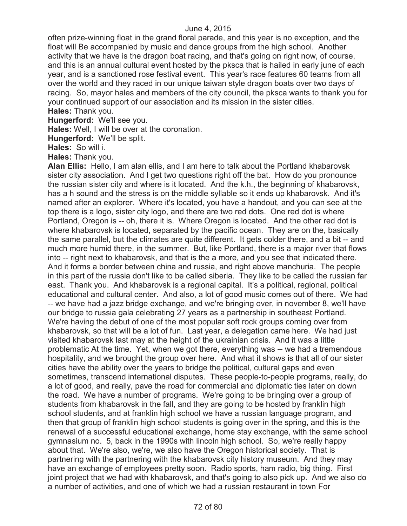often prize-winning float in the grand floral parade, and this year is no exception, and the float will Be accompanied by music and dance groups from the high school. Another activity that we have is the dragon boat racing, and that's going on right now, of course, and this is an annual cultural event hosted by the pksca that is hailed in early june of each year, and is a sanctioned rose festival event. This year's race features 60 teams from all over the world and they raced in our unique taiwan style dragon boats over two days of racing. So, mayor hales and members of the city council, the pksca wants to thank you for your continued support of our association and its mission in the sister cities. **Hales:** Thank you.

**Hungerford:** We'll see you.

**Hales:** Well, I will be over at the coronation.

**Hungerford:** We'll be split.

**Hales:** So will i.

**Hales:** Thank you.

**Alan Ellis:** Hello, I am alan ellis, and I am here to talk about the Portland khabarovsk sister city association. And I get two questions right off the bat. How do you pronounce the russian sister city and where is it located. And the k.h., the beginning of khabarovsk, has a h sound and the stress is on the middle syllable so it ends up khabarovsk. And it's named after an explorer. Where it's located, you have a handout, and you can see at the top there is a logo, sister city logo, and there are two red dots. One red dot is where Portland, Oregon is -- oh, there it is. Where Oregon is located. And the other red dot is where khabarovsk is located, separated by the pacific ocean. They are on the, basically the same parallel, but the climates are quite different. It gets colder there, and a bit -- and much more humid there, in the summer. But, like Portland, there is a major river that flows into -- right next to khabarovsk, and that is the a more, and you see that indicated there. And it forms a border between china and russia, and right above manchuria. The people in this part of the russia don't like to be called siberia. They like to be called the russian far east. Thank you. And khabarovsk is a regional capital. It's a political, regional, political educational and cultural center. And also, a lot of good music comes out of there. We had -- we have had a jazz bridge exchange, and we're bringing over, in november 8, we'll have our bridge to russia gala celebrating 27 years as a partnership in southeast Portland. We're having the debut of one of the most popular soft rock groups coming over from khabarovsk, so that will be a lot of fun. Last year, a delegation came here. We had just visited khabarovsk last may at the height of the ukrainian crisis. And it was a little problematic At the time. Yet, when we got there, everything was -- we had a tremendous hospitality, and we brought the group over here. And what it shows is that all of our sister cities have the ability over the years to bridge the political, cultural gaps and even sometimes, transcend international disputes. These people-to-people programs, really, do a lot of good, and really, pave the road for commercial and diplomatic ties later on down the road. We have a number of programs. We're going to be bringing over a group of students from khabarovsk in the fall, and they are going to be hosted by franklin high school students, and at franklin high school we have a russian language program, and then that group of franklin high school students is going over in the spring, and this is the renewal of a successful educational exchange, home stay exchange, with the same school gymnasium no. 5, back in the 1990s with lincoln high school. So, we're really happy about that. We're also, we're, we also have the Oregon historical society. That is partnering with the partnering with the khabarovsk city history museum. And they may have an exchange of employees pretty soon. Radio sports, ham radio, big thing. First joint project that we had with khabarovsk, and that's going to also pick up. And we also do a number of activities, and one of which we had a russian restaurant in town For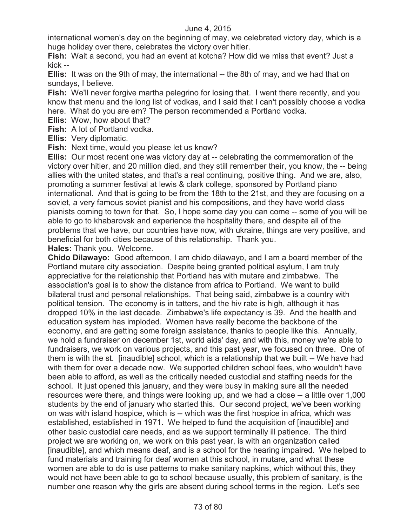international women's day on the beginning of may, we celebrated victory day, which is a huge holiday over there, celebrates the victory over hitler.

**Fish:** Wait a second, you had an event at kotcha? How did we miss that event? Just a kick --

**Ellis:** It was on the 9th of may, the international -- the 8th of may, and we had that on sundays, I believe.

**Fish:** We'll never forgive martha pelegrino for losing that. I went there recently, and you know that menu and the long list of vodkas, and I said that I can't possibly choose a vodka here. What do you are em? The person recommended a Portland vodka.

**Ellis:** Wow, how about that?

**Fish:** A lot of Portland vodka.

**Ellis:** Very diplomatic.

**Fish:** Next time, would you please let us know?

**Ellis:** Our most recent one was victory day at -- celebrating the commemoration of the victory over hitler, and 20 million died, and they still remember their, you know, the -- being allies with the united states, and that's a real continuing, positive thing. And we are, also, promoting a summer festival at lewis & clark college, sponsored by Portland piano international. And that is going to be from the 18th to the 21st, and they are focusing on a soviet, a very famous soviet pianist and his compositions, and they have world class pianists coming to town for that. So, I hope some day you can come -- some of you will be able to go to khabarovsk and experience the hospitality there, and despite all of the problems that we have, our countries have now, with ukraine, things are very positive, and beneficial for both cities because of this relationship. Thank you.

**Hales:** Thank you. Welcome.

**Chido Dilawayo:** Good afternoon, I am chido dilawayo, and I am a board member of the Portland mutare city association. Despite being granted political asylum, I am truly appreciative for the relationship that Portland has with mutare and zimbabwe. The association's goal is to show the distance from africa to Portland. We want to build bilateral trust and personal relationships. That being said, zimbabwe is a country with political tension. The economy is in tatters, and the hiv rate is high, although it has dropped 10% in the last decade. Zimbabwe's life expectancy is 39. And the health and education system has imploded. Women have really become the backbone of the economy, and are getting some foreign assistance, thanks to people like this. Annually, we hold a fundraiser on december 1st, world aids' day, and with this, money we're able to fundraisers, we work on various projects, and this past year, we focused on three. One of them is with the st. [inaudible] school, which is a relationship that we built -- We have had with them for over a decade now. We supported children school fees, who wouldn't have been able to afford, as well as the critically needed custodial and staffing needs for the school. It just opened this january, and they were busy in making sure all the needed resources were there, and things were looking up, and we had a close -- a little over 1,000 students by the end of january who started this. Our second project, we've been working on was with island hospice, which is -- which was the first hospice in africa, which was established, established in 1971. We helped to fund the acquisition of [inaudible] and other basic custodial care needs, and as we support terminally ill patience. The third project we are working on, we work on this past year, is with an organization called [inaudible], and which means deaf, and is a school for the hearing impaired. We helped to fund materials and training for deaf women at this school, in mutare, and what these women are able to do is use patterns to make sanitary napkins, which without this, they would not have been able to go to school because usually, this problem of sanitary, is the number one reason why the girls are absent during school terms in the region. Let's see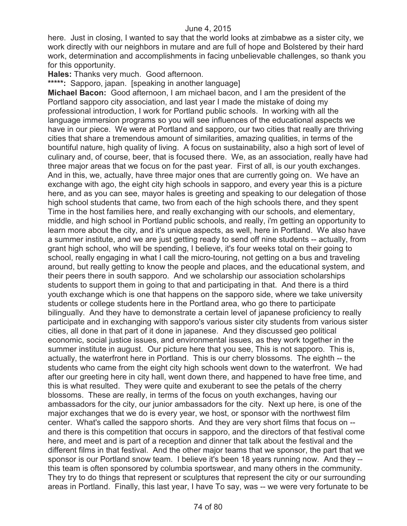here. Just in closing, I wanted to say that the world looks at zimbabwe as a sister city, we work directly with our neighbors in mutare and are full of hope and Bolstered by their hard work, determination and accomplishments in facing unbelievable challenges, so thank you for this opportunity.

**Hales:** Thanks very much. Good afternoon.

**\*\*\*\*\*:** Sapporo, japan. [speaking in another language]

**Michael Bacon:** Good afternoon, I am michael bacon, and I am the president of the Portland sapporo city association, and last year I made the mistake of doing my professional introduction, I work for Portland public schools. In working with all the language immersion programs so you will see influences of the educational aspects we have in our piece. We were at Portland and sapporo, our two cities that really are thriving cities that share a tremendous amount of similarities, amazing qualities, in terms of the bountiful nature, high quality of living. A focus on sustainability, also a high sort of level of culinary and, of course, beer, that is focused there. We, as an association, really have had three major areas that we focus on for the past year. First of all, is our youth exchanges. And in this, we, actually, have three major ones that are currently going on. We have an exchange with ago, the eight city high schools in sapporo, and every year this is a picture here, and as you can see, mayor hales is greeting and speaking to our delegation of those high school students that came, two from each of the high schools there, and they spent Time in the host families here, and really exchanging with our schools, and elementary, middle, and high school in Portland public schools, and really, i'm getting an opportunity to learn more about the city, and it's unique aspects, as well, here in Portland. We also have a summer institute, and we are just getting ready to send off nine students -- actually, from grant high school, who will be spending, I believe, it's four weeks total on their going to school, really engaging in what I call the micro-touring, not getting on a bus and traveling around, but really getting to know the people and places, and the educational system, and their peers there in south sapporo. And we scholarship our association scholarships students to support them in going to that and participating in that. And there is a third youth exchange which is one that happens on the sapporo side, where we take university students or college students here in the Portland area, who go there to participate bilingually. And they have to demonstrate a certain level of japanese proficiency to really participate and in exchanging with sapporo's various sister city students from various sister cities, all done in that part of it done in japanese. And they discussed geo political economic, social justice issues, and environmental issues, as they work together in the summer institute in august. Our picture here that you see, This is not sapporo. This is, actually, the waterfront here in Portland. This is our cherry blossoms. The eighth -- the students who came from the eight city high schools went down to the waterfront. We had after our greeting here in city hall, went down there, and happened to have free time, and this is what resulted. They were quite and exuberant to see the petals of the cherry blossoms. These are really, in terms of the focus on youth exchanges, having our ambassadors for the city, our junior ambassadors for the city. Next up here, is one of the major exchanges that we do is every year, we host, or sponsor with the northwest film center. What's called the sapporo shorts. And they are very short films that focus on - and there is this competition that occurs in sapporo, and the directors of that festival come here, and meet and is part of a reception and dinner that talk about the festival and the different films in that festival. And the other major teams that we sponsor, the part that we sponsor is our Portland snow team. I believe it's been 18 years running now. And they - this team is often sponsored by columbia sportswear, and many others in the community. They try to do things that represent or sculptures that represent the city or our surrounding areas in Portland. Finally, this last year, I have To say, was -- we were very fortunate to be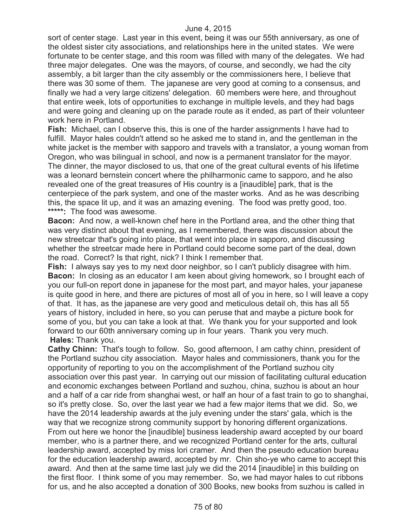sort of center stage. Last year in this event, being it was our 55th anniversary, as one of the oldest sister city associations, and relationships here in the united states. We were fortunate to be center stage, and this room was filled with many of the delegates. We had three major delegates. One was the mayors, of course, and secondly, we had the city assembly, a bit larger than the city assembly or the commissioners here, I believe that there was 30 some of them. The japanese are very good at coming to a consensus, and finally we had a very large citizens' delegation. 60 members were here, and throughout that entire week, lots of opportunities to exchange in multiple levels, and they had bags and were going and cleaning up on the parade route as it ended, as part of their volunteer work here in Portland.

**Fish:** Michael, can I observe this, this is one of the harder assignments I have had to fulfill. Mayor hales couldn't attend so he asked me to stand in, and the gentleman in the white jacket is the member with sapporo and travels with a translator, a young woman from Oregon, who was bilingual in school, and now is a permanent translator for the mayor. The dinner, the mayor disclosed to us, that one of the great cultural events of his lifetime was a leonard bernstein concert where the philharmonic came to sapporo, and he also revealed one of the great treasures of His country is a [inaudible] park, that is the centerpiece of the park system, and one of the master works. And as he was describing this, the space lit up, and it was an amazing evening. The food was pretty good, too. **\*\*\*\*\*:** The food was awesome.

**Bacon:** And now, a well-known chef here in the Portland area, and the other thing that was very distinct about that evening, as I remembered, there was discussion about the new streetcar that's going into place, that went into place in sapporo, and discussing whether the streetcar made here in Portland could become some part of the deal, down the road. Correct? Is that right, nick? I think I remember that.

**Fish:** I always say yes to my next door neighbor, so I can't publicly disagree with him. **Bacon:** In closing as an educator I am keen about giving homework, so I brought each of you our full-on report done in japanese for the most part, and mayor hales, your japanese is quite good in here, and there are pictures of most all of you in here, so I will leave a copy of that. It has, as the japanese are very good and meticulous detail oh, this has all 55 years of history, included in here, so you can peruse that and maybe a picture book for some of you, but you can take a look at that. We thank you for your supported and look forward to our 60th anniversary coming up in four years. Thank you very much. **Hales:** Thank you.

**Cathy Chinn:** That's tough to follow. So, good afternoon, I am cathy chinn, president of the Portland suzhou city association. Mayor hales and commissioners, thank you for the opportunity of reporting to you on the accomplishment of the Portland suzhou city association over this past year. In carrying out our mission of facilitating cultural education and economic exchanges between Portland and suzhou, china, suzhou is about an hour and a half of a car ride from shanghai west, or half an hour of a fast train to go to shanghai, so it's pretty close. So, over the last year we had a few major items that we did. So, we have the 2014 leadership awards at the july evening under the stars' gala, which is the way that we recognize strong community support by honoring different organizations. From out here we honor the [inaudible] business leadership award accepted by our board member, who is a partner there, and we recognized Portland center for the arts, cultural leadership award, accepted by miss lori cramer. And then the pseudo education bureau for the education leadership award, accepted by mr. Chin sho-ye who came to accept this award. And then at the same time last july we did the 2014 [inaudible] in this building on the first floor. I think some of you may remember. So, we had mayor hales to cut ribbons for us, and he also accepted a donation of 300 Books, new books from suzhou is called in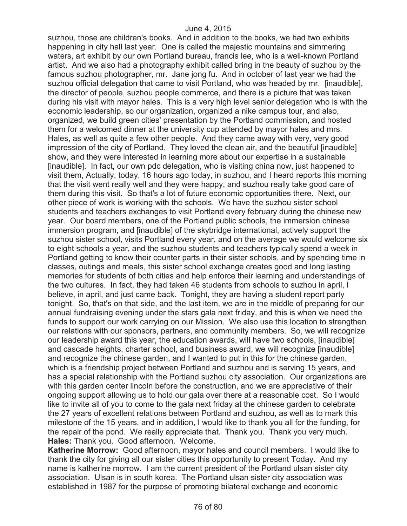suzhou, those are children's books. And in addition to the books, we had two exhibits happening in city hall last year. One is called the majestic mountains and simmering waters, art exhibit by our own Portland bureau, francis lee, who is a well-known Portland artist. And we also had a photography exhibit called bring in the beauty of suzhou by the famous suzhou photographer, mr. Jane jong fu. And in october of last year we had the suzhou official delegation that came to visit Portland, who was headed by mr. [inaudible], the director of people, suzhou people commerce, and there is a picture that was taken during his visit with mayor hales. This is a very high level senior delegation who is with the economic leadership, so our organization, organized a nike campus tour, and also, organized, we build green cities' presentation by the Portland commission, and hosted them for a welcomed dinner at the university cup attended by mayor hales and mrs. Hales, as well as quite a few other people. And they came away with very, very good impression of the city of Portland. They loved the clean air, and the beautiful [inaudible] show, and they were interested in learning more about our expertise in a sustainable [inaudible]. In fact, our own pdc delegation, who is visiting china now, just happened to visit them, Actually, today, 16 hours ago today, in suzhou, and I heard reports this morning that the visit went really well and they were happy, and suzhou really take good care of them during this visit. So that's a lot of future economic opportunities there. Next, our other piece of work is working with the schools. We have the suzhou sister school students and teachers exchanges to visit Portland every february during the chinese new year. Our board members, one of the Portland public schools, the immersion chinese immersion program, and [inaudible] of the skybridge international, actively support the suzhou sister school, visits Portland every year, and on the average we would welcome six to eight schools a year, and the suzhou students and teachers typically spend a week in Portland getting to know their counter parts in their sister schools, and by spending time in classes, outings and meals, this sister school exchange creates good and long lasting memories for students of both cities and help enforce their learning and understandings of the two cultures. In fact, they had taken 46 students from schools to suzhou in april, I believe, in april, and just came back. Tonight, they are having a student report party tonight. So, that's on that side, and the last item, we are in the middle of preparing for our annual fundraising evening under the stars gala next friday, and this is when we need the funds to support our work carrying on our Mission. We also use this location to strengthen our relations with our sponsors, partners, and community members. So, we will recognize our leadership award this year, the education awards, will have two schools, [inaudible] and cascade heights, charter school, and business award, we will recognize [inaudible] and recognize the chinese garden, and I wanted to put in this for the chinese garden, which is a friendship project between Portland and suzhou and is serving 15 years, and has a special relationship with the Portland suzhou city association. Our organizations are with this garden center lincoln before the construction, and we are appreciative of their ongoing support allowing us to hold our gala over there at a reasonable cost. So I would like to invite all of you to come to the gala next friday at the chinese garden to celebrate the 27 years of excellent relations between Portland and suzhou, as well as to mark this milestone of the 15 years, and in addition, I would like to thank you all for the funding, for the repair of the pond. We really appreciate that. Thank you. Thank you very much. **Hales:** Thank you. Good afternoon. Welcome.

**Katherine Morrow:** Good afternoon, mayor hales and council members. I would like to thank the city for giving all our sister cities this opportunity to present Today. And my name is katherine morrow. I am the current president of the Portland ulsan sister city association. Ulsan is in south korea. The Portland ulsan sister city association was established in 1987 for the purpose of promoting bilateral exchange and economic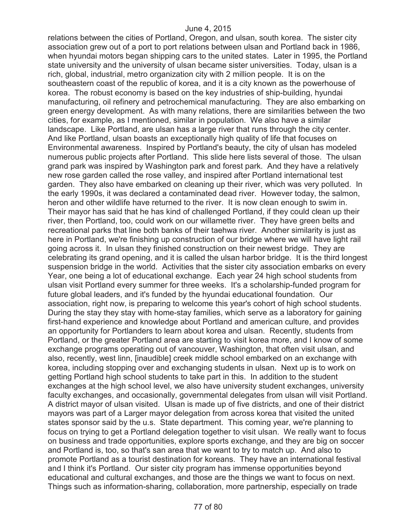relations between the cities of Portland, Oregon, and ulsan, south korea. The sister city association grew out of a port to port relations between ulsan and Portland back in 1986, when hyundai motors began shipping cars to the united states. Later in 1995, the Portland state university and the university of ulsan became sister universities. Today, ulsan is a rich, global, industrial, metro organization city with 2 million people. It is on the southeastern coast of the republic of korea, and it is a city known as the powerhouse of korea. The robust economy is based on the key industries of ship-building, hyundai manufacturing, oil refinery and petrochemical manufacturing. They are also embarking on green energy development. As with many relations, there are similarities between the two cities, for example, as I mentioned, similar in population. We also have a similar landscape. Like Portland, are ulsan has a large river that runs through the city center. And like Portland, ulsan boasts an exceptionally high quality of life that focuses on Environmental awareness. Inspired by Portland's beauty, the city of ulsan has modeled numerous public projects after Portland. This slide here lists several of those. The ulsan grand park was inspired by Washington park and forest park. And they have a relatively new rose garden called the rose valley, and inspired after Portland international test garden. They also have embarked on cleaning up their river, which was very polluted. In the early 1990s, it was declared a contaminated dead river. However today, the salmon, heron and other wildlife have returned to the river. It is now clean enough to swim in. Their mayor has said that he has kind of challenged Portland, if they could clean up their river, then Portland, too, could work on our willamette river. They have green belts and recreational parks that line both banks of their taehwa river. Another similarity is just as here in Portland, we're finishing up construction of our bridge where we will have light rail going across it. In ulsan they finished construction on their newest bridge. They are celebrating its grand opening, and it is called the ulsan harbor bridge. It is the third longest suspension bridge in the world. Activities that the sister city association embarks on every Year, one being a lot of educational exchange. Each year 24 high school students from ulsan visit Portland every summer for three weeks. It's a scholarship-funded program for future global leaders, and it's funded by the hyundai educational foundation. Our association, right now, is preparing to welcome this year's cohort of high school students. During the stay they stay with home-stay families, which serve as a laboratory for gaining first-hand experience and knowledge about Portland and american culture, and provides an opportunity for Portlanders to learn about korea and ulsan. Recently, students from Portland, or the greater Portland area are starting to visit korea more, and I know of some exchange programs operating out of vancouver, Washington, that often visit ulsan, and also, recently, west linn, [inaudible] creek middle school embarked on an exchange with korea, including stopping over and exchanging students in ulsan. Next up is to work on getting Portland high school students to take part in this. In addition to the student exchanges at the high school level, we also have university student exchanges, university faculty exchanges, and occasionally, governmental delegates from ulsan will visit Portland. A district mayor of ulsan visited. Ulsan is made up of five districts, and one of their district mayors was part of a Larger mayor delegation from across korea that visited the united states sponsor said by the u.s. State department. This coming year, we're planning to focus on trying to get a Portland delegation together to visit ulsan. We really want to focus on business and trade opportunities, explore sports exchange, and they are big on soccer and Portland is, too, so that's san area that we want to try to match up. And also to promote Portland as a tourist destination for koreans. They have an international festival and I think it's Portland. Our sister city program has immense opportunities beyond educational and cultural exchanges, and those are the things we want to focus on next. Things such as information-sharing, collaboration, more partnership, especially on trade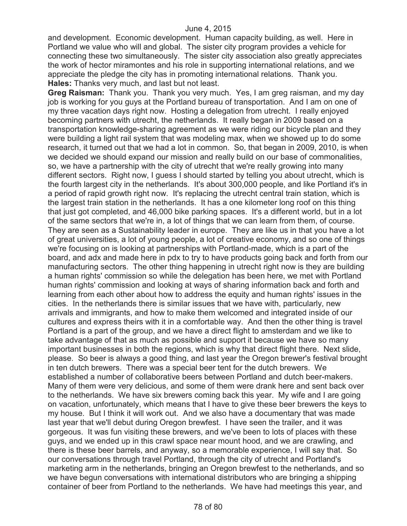and development. Economic development. Human capacity building, as well. Here in Portland we value who will and global. The sister city program provides a vehicle for connecting these two simultaneously. The sister city association also greatly appreciates the work of hector miramontes and his role in supporting international relations, and we appreciate the pledge the city has in promoting international relations. Thank you. **Hales:** Thanks very much, and last but not least.

**Greg Raisman:** Thank you. Thank you very much. Yes, I am greg raisman, and my day job is working for you guys at the Portland bureau of transportation. And I am on one of my three vacation days right now. Hosting a delegation from utrecht. I really enjoyed becoming partners with utrecht, the netherlands. It really began in 2009 based on a transportation knowledge-sharing agreement as we were riding our bicycle plan and they were building a light rail system that was modeling max, when we showed up to do some research, it turned out that we had a lot in common. So, that began in 2009, 2010, is when we decided we should expand our mission and really build on our base of commonalities, so, we have a partnership with the city of utrecht that we're really growing into many different sectors. Right now, I guess I should started by telling you about utrecht, which is the fourth largest city in the netherlands. It's about 300,000 people, and like Portland it's in a period of rapid growth right now. It's replacing the utrecht central train station, which is the largest train station in the netherlands. It has a one kilometer long roof on this thing that just got completed, and 46,000 bike parking spaces. It's a different world, but in a lot of the same sectors that we're in, a lot of things that we can learn from them, of course. They are seen as a Sustainability leader in europe. They are like us in that you have a lot of great universities, a lot of young people, a lot of creative economy, and so one of things we're focusing on is looking at partnerships with Portland-made, which is a part of the board, and adx and made here in pdx to try to have products going back and forth from our manufacturing sectors. The other thing happening in utrecht right now is they are building a human rights' commission so while the delegation has been here, we met with Portland human rights' commission and looking at ways of sharing information back and forth and learning from each other about how to address the equity and human rights' issues in the cities. In the netherlands there is similar issues that we have with, particularly, new arrivals and immigrants, and how to make them welcomed and integrated inside of our cultures and express theirs with it in a comfortable way. And then the other thing is travel Portland is a part of the group, and we have a direct flight to amsterdam and we like to take advantage of that as much as possible and support it because we have so many important businesses in both the regions, which is why that direct flight there. Next slide, please. So beer is always a good thing, and last year the Oregon brewer's festival brought in ten dutch brewers. There was a special beer tent for the dutch brewers. We established a number of collaborative beers between Portland and dutch beer-makers. Many of them were very delicious, and some of them were drank here and sent back over to the netherlands. We have six brewers coming back this year. My wife and I are going on vacation, unfortunately, which means that I have to give these beer brewers the keys to my house. But I think it will work out. And we also have a documentary that was made last year that we'll debut during Oregon brewfest. I have seen the trailer, and it was gorgeous. It was fun visiting these brewers, and we've been to lots of places with these guys, and we ended up in this crawl space near mount hood, and we are crawling, and there is these beer barrels, and anyway, so a memorable experience, I will say that. So our conversations through travel Portland, through the city of utrecht and Portland's marketing arm in the netherlands, bringing an Oregon brewfest to the netherlands, and so we have begun conversations with international distributors who are bringing a shipping container of beer from Portland to the netherlands. We have had meetings this year, and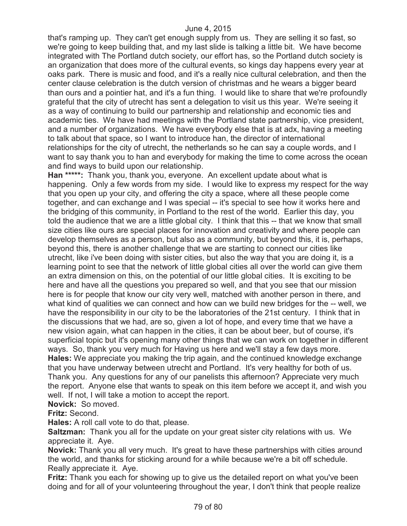that's ramping up. They can't get enough supply from us. They are selling it so fast, so we're going to keep building that, and my last slide is talking a little bit. We have become integrated with The Portland dutch society, our effort has, so the Portland dutch society is an organization that does more of the cultural events, so kings day happens every year at oaks park. There is music and food, and it's a really nice cultural celebration, and then the center clause celebration is the dutch version of christmas and he wears a bigger beard than ours and a pointier hat, and it's a fun thing. I would like to share that we're profoundly grateful that the city of utrecht has sent a delegation to visit us this year. We're seeing it as a way of continuing to build our partnership and relationship and economic ties and academic ties. We have had meetings with the Portland state partnership, vice president, and a number of organizations. We have everybody else that is at adx, having a meeting to talk about that space, so I want to introduce han, the director of international relationships for the city of utrecht, the netherlands so he can say a couple words, and I want to say thank you to han and everybody for making the time to come across the ocean and find ways to build upon our relationship.

**Han \*\*\*\*\*:** Thank you, thank you, everyone. An excellent update about what is happening. Only a few words from my side. I would like to express my respect for the way that you open up your city, and offering the city a space, where all these people come together, and can exchange and I was special -- it's special to see how it works here and the bridging of this community, in Portland to the rest of the world. Earlier this day, you told the audience that we are a little global city. I think that this -- that we know that small size cities like ours are special places for innovation and creativity and where people can develop themselves as a person, but also as a community, but beyond this, it is, perhaps, beyond this, there is another challenge that we are starting to connect our cities like utrecht, like i've been doing with sister cities, but also the way that you are doing it, is a learning point to see that the network of little global cities all over the world can give them an extra dimension on this, on the potential of our little global cities. It is exciting to be here and have all the questions you prepared so well, and that you see that our mission here is for people that know our city very well, matched with another person in there, and what kind of qualities we can connect and how can we build new bridges for the -- well, we have the responsibility in our city to be the laboratories of the 21st century. I think that in the discussions that we had, are so, given a lot of hope, and every time that we have a new vision again, what can happen in the cities, it can be about beer, but of course, it's superficial topic but it's opening many other things that we can work on together in different ways. So, thank you very much for Having us here and we'll stay a few days more. **Hales:** We appreciate you making the trip again, and the continued knowledge exchange that you have underway between utrecht and Portland. It's very healthy for both of us. Thank you. Any questions for any of our panelists this afternoon? Appreciate very much the report. Anyone else that wants to speak on this item before we accept it, and wish you well. If not, I will take a motion to accept the report.

**Novick:** So moved.

**Fritz:** Second.

**Hales:** A roll call vote to do that, please.

**Saltzman:** Thank you all for the update on your great sister city relations with us. We appreciate it. Aye.

**Novick:** Thank you all very much. It's great to have these partnerships with cities around the world, and thanks for sticking around for a while because we're a bit off schedule. Really appreciate it. Aye.

**Fritz:** Thank you each for showing up to give us the detailed report on what you've been doing and for all of your volunteering throughout the year, I don't think that people realize